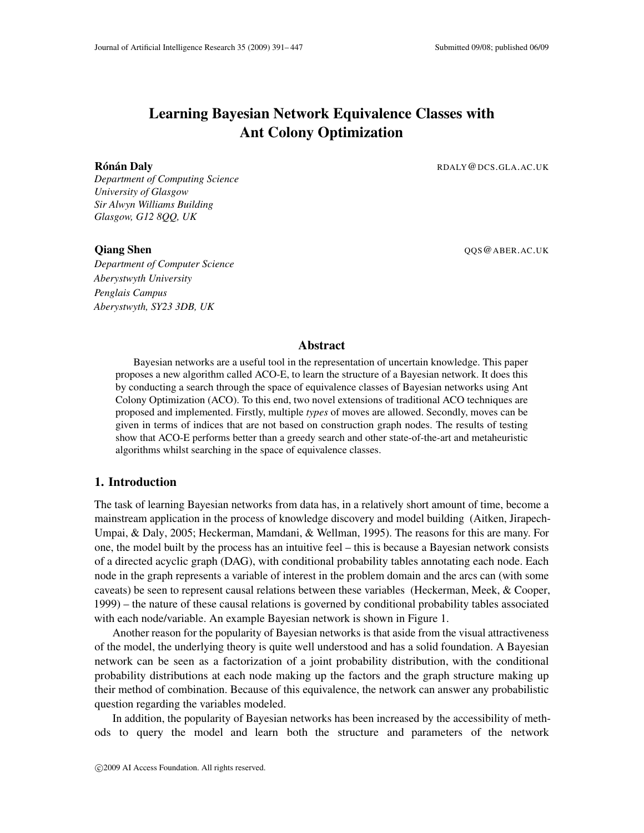# Learning Bayesian Network Equivalence Classes with Ant Colony Optimization

*Department of Computing Science University of Glasgow Sir Alwyn Williams Building Glasgow, G12 8QQ, UK*

*Department of Computer Science Aberystwyth University Penglais Campus Aberystwyth, SY23 3DB, UK*

Rónán Daly **Ronald Roman Daly Roman Daly Roman Roman Roman Roman Roman Roman Roman Roman Roman Roman Roman Roman Roman Roman Roman Roman Roman Roman Roman Roman Roman Roman Roman Roman Roman Roman Roman Roman Roman Roman R** 

**Oiang Shen** QOS @ABER.AC.UK

#### Abstract

Bayesian networks are a useful tool in the representation of uncertain knowledge. This paper proposes a new algorithm called ACO-E, to learn the structure of a Bayesian network. It does this by conducting a search through the space of equivalence classes of Bayesian networks using Ant Colony Optimization (ACO). To this end, two novel extensions of traditional ACO techniques are proposed and implemented. Firstly, multiple *types* of moves are allowed. Secondly, moves can be given in terms of indices that are not based on construction graph nodes. The results of testing show that ACO-E performs better than a greedy search and other state-of-the-art and metaheuristic algorithms whilst searching in the space of equivalence classes.

# 1. Introduction

The task of learning Bayesian networks from data has, in a relatively short amount of time, become a mainstream application in the process of knowledge discovery and model building [\(Aitken, Jirapech-](#page-51-0)[Umpai, & Daly,](#page-51-0) [2005;](#page-51-0) [Heckerman, Mamdani, & Wellman,](#page-54-0) [1995\)](#page-54-0). The reasons for this are many. For one, the model built by the process has an intuitive feel – this is because a Bayesian network consists of a directed acyclic graph (DAG), with conditional probability tables annotating each node. Each node in the graph represents a variable of interest in the problem domain and the arcs can (with some caveats) be seen to represent causal relations between these variables [\(Heckerman, Meek, & Cooper,](#page-54-1) [1999\)](#page-54-1) – the nature of these causal relations is governed by conditional probability tables associated with each node/variable. An example Bayesian network is shown in Figure [1.](#page-1-0)

Another reason for the popularity of Bayesian networks is that aside from the visual attractiveness of the model, the underlying theory is quite well understood and has a solid foundation. A Bayesian network can be seen as a factorization of a joint probability distribution, with the conditional probability distributions at each node making up the factors and the graph structure making up their method of combination. Because of this equivalence, the network can answer any probabilistic question regarding the variables modeled.

In addition, the popularity of Bayesian networks has been increased by the accessibility of methods to query the model and learn both the structure and parameters of the network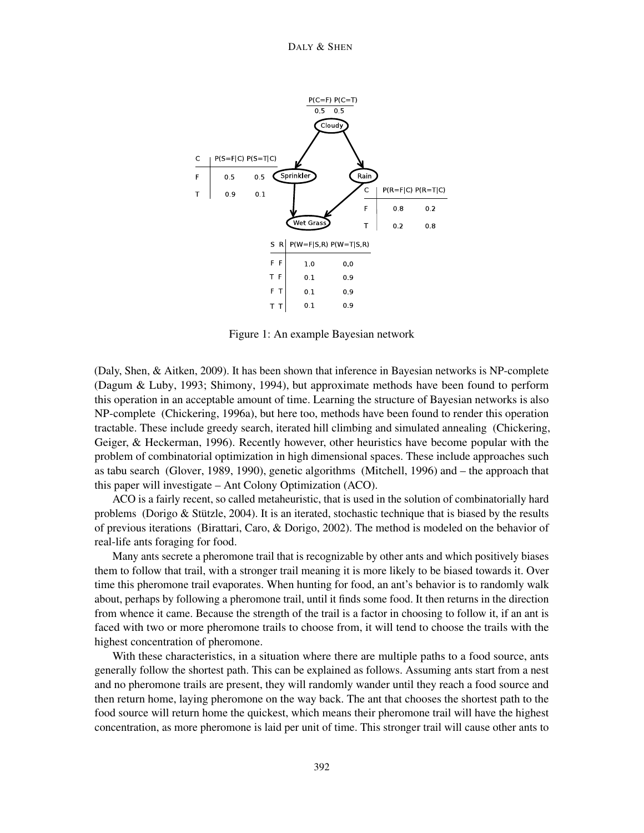

<span id="page-1-0"></span>Figure 1: An example Bayesian network

[\(Daly, Shen, & Aitken,](#page-53-0) [2009\)](#page-53-0). It has been shown that inference in Bayesian networks is NP-complete [\(Dagum & Luby,](#page-53-1) [1993;](#page-53-1) [Shimony,](#page-56-0) [1994\)](#page-56-0), but approximate methods have been found to perform this operation in an acceptable amount of time. Learning the structure of Bayesian networks is also NP-complete [\(Chickering,](#page-52-0) [1996a\)](#page-52-0), but here too, methods have been found to render this operation tractable. These include greedy search, iterated hill climbing and simulated annealing [\(Chickering,](#page-52-1) [Geiger, & Heckerman,](#page-52-1) [1996\)](#page-52-1). Recently however, other heuristics have become popular with the problem of combinatorial optimization in high dimensional spaces. These include approaches such as tabu search [\(Glover,](#page-54-2) [1989,](#page-54-2) [1990\)](#page-54-3), genetic algorithms [\(Mitchell,](#page-55-0) [1996\)](#page-55-0) and – the approach that this paper will investigate – Ant Colony Optimization (ACO).

ACO is a fairly recent, so called metaheuristic, that is used in the solution of combinatorially hard problems [\(Dorigo & Stützle,](#page-54-4) [2004\)](#page-54-4). It is an iterated, stochastic technique that is biased by the results of previous iterations [\(Birattari, Caro, & Dorigo,](#page-51-1) [2002\)](#page-51-1). The method is modeled on the behavior of real-life ants foraging for food.

Many ants secrete a pheromone trail that is recognizable by other ants and which positively biases them to follow that trail, with a stronger trail meaning it is more likely to be biased towards it. Over time this pheromone trail evaporates. When hunting for food, an ant's behavior is to randomly walk about, perhaps by following a pheromone trail, until it finds some food. It then returns in the direction from whence it came. Because the strength of the trail is a factor in choosing to follow it, if an ant is faced with two or more pheromone trails to choose from, it will tend to choose the trails with the highest concentration of pheromone.

With these characteristics, in a situation where there are multiple paths to a food source, ants generally follow the shortest path. This can be explained as follows. Assuming ants start from a nest and no pheromone trails are present, they will randomly wander until they reach a food source and then return home, laying pheromone on the way back. The ant that chooses the shortest path to the food source will return home the quickest, which means their pheromone trail will have the highest concentration, as more pheromone is laid per unit of time. This stronger trail will cause other ants to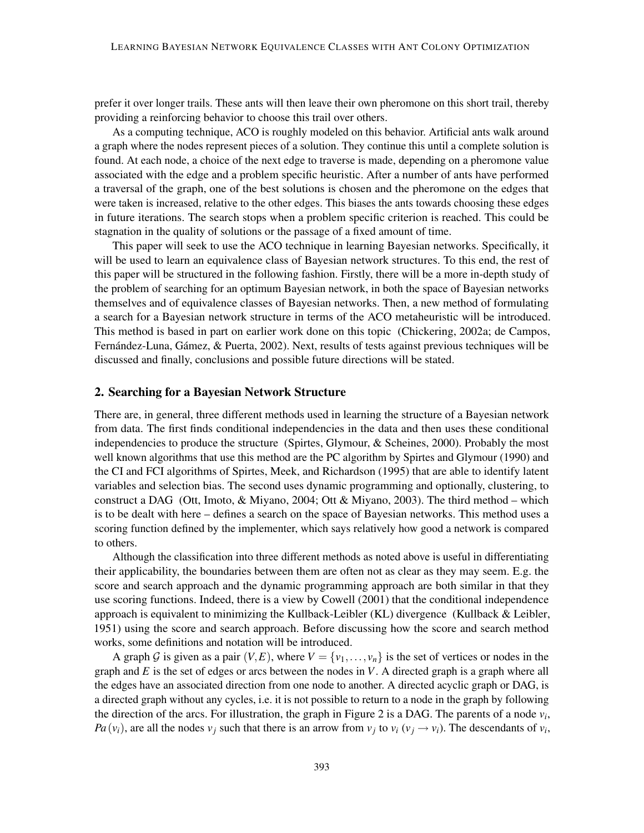prefer it over longer trails. These ants will then leave their own pheromone on this short trail, thereby providing a reinforcing behavior to choose this trail over others.

As a computing technique, ACO is roughly modeled on this behavior. Artificial ants walk around a graph where the nodes represent pieces of a solution. They continue this until a complete solution is found. At each node, a choice of the next edge to traverse is made, depending on a pheromone value associated with the edge and a problem specific heuristic. After a number of ants have performed a traversal of the graph, one of the best solutions is chosen and the pheromone on the edges that were taken is increased, relative to the other edges. This biases the ants towards choosing these edges in future iterations. The search stops when a problem specific criterion is reached. This could be stagnation in the quality of solutions or the passage of a fixed amount of time.

This paper will seek to use the ACO technique in learning Bayesian networks. Specifically, it will be used to learn an equivalence class of Bayesian network structures. To this end, the rest of this paper will be structured in the following fashion. Firstly, there will be a more in-depth study of the problem of searching for an optimum Bayesian network, in both the space of Bayesian networks themselves and of equivalence classes of Bayesian networks. Then, a new method of formulating a search for a Bayesian network structure in terms of the ACO metaheuristic will be introduced. This method is based in part on earlier work done on this topic [\(Chickering,](#page-52-2) [2002a;](#page-52-2) [de Campos,](#page-53-2) [Fernández-Luna, Gámez, & Puerta,](#page-53-2) [2002\)](#page-53-2). Next, results of tests against previous techniques will be discussed and finally, conclusions and possible future directions will be stated.

# <span id="page-2-0"></span>2. Searching for a Bayesian Network Structure

There are, in general, three different methods used in learning the structure of a Bayesian network from data. The first finds conditional independencies in the data and then uses these conditional independencies to produce the structure [\(Spirtes, Glymour, & Scheines,](#page-56-1) [2000\)](#page-56-1). Probably the most well known algorithms that use this method are the PC algorithm by [Spirtes and Glymour](#page-56-2) [\(1990\)](#page-56-2) and the CI and FCI algorithms of [Spirtes, Meek, and Richardson](#page-56-3) [\(1995\)](#page-56-3) that are able to identify latent variables and selection bias. The second uses dynamic programming and optionally, clustering, to construct a DAG [\(Ott, Imoto, & Miyano,](#page-55-1) [2004;](#page-55-1) [Ott & Miyano,](#page-56-4) [2003\)](#page-56-4). The third method – which is to be dealt with here – defines a search on the space of Bayesian networks. This method uses a scoring function defined by the implementer, which says relatively how good a network is compared to others.

Although the classification into three different methods as noted above is useful in differentiating their applicability, the boundaries between them are often not as clear as they may seem. E.g. the score and search approach and the dynamic programming approach are both similar in that they use scoring functions. Indeed, there is a view by [Cowell](#page-53-3) [\(2001\)](#page-53-3) that the conditional independence approach is equivalent to minimizing the Kullback-Leibler (KL) divergence [\(Kullback & Leibler,](#page-55-2) [1951\)](#page-55-2) using the score and search approach. Before discussing how the score and search method works, some definitions and notation will be introduced.

A graph G is given as a pair  $(V, E)$ , where  $V = \{v_1, \ldots, v_n\}$  is the set of vertices or nodes in the graph and *E* is the set of edges or arcs between the nodes in *V*. A directed graph is a graph where all the edges have an associated direction from one node to another. A directed acyclic graph or DAG, is a directed graph without any cycles, i.e. it is not possible to return to a node in the graph by following the direction of the arcs. For illustration, the graph in Figure [2](#page-3-0) is a DAG. The parents of a node  $v_i$ , *Pa*( $v_i$ ), are all the nodes  $v_j$  such that there is an arrow from  $v_j$  to  $v_i$  ( $v_j \rightarrow v_i$ ). The descendants of  $v_i$ ,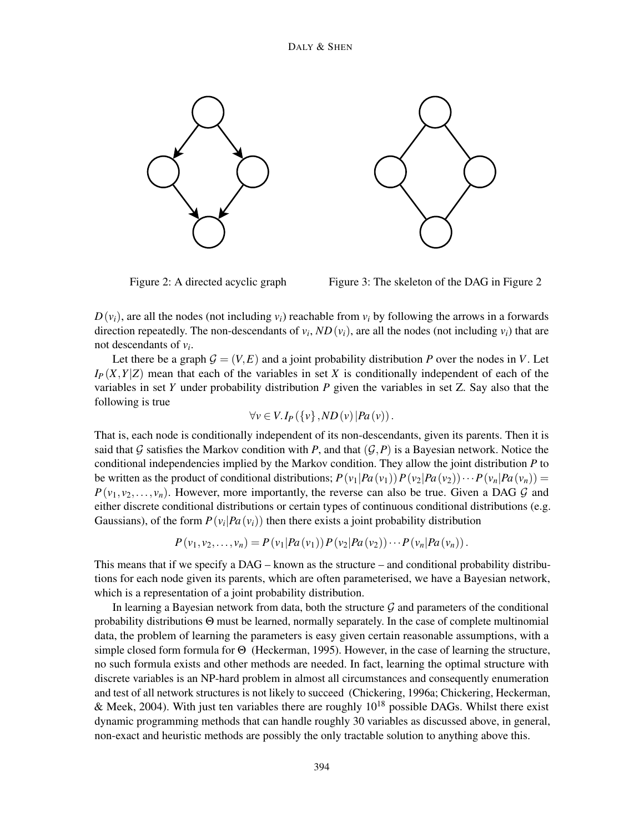

<span id="page-3-0"></span>

Figure 2: A directed acyclic graph Figure 3: The skeleton of the DAG in Figure [2](#page-3-0)

 $D(v_i)$ , are all the nodes (not including  $v_i$ ) reachable from  $v_i$  by following the arrows in a forwards direction repeatedly. The non-descendants of  $v_i$ ,  $ND(v_i)$ , are all the nodes (not including  $v_i$ ) that are not descendants of *v<sup>i</sup>* .

Let there be a graph  $G = (V, E)$  and a joint probability distribution *P* over the nodes in *V*. Let  $I_P(X, Y|Z)$  mean that each of the variables in set *X* is conditionally independent of each of the variables in set *Y* under probability distribution *P* given the variables in set Z. Say also that the following is true

<span id="page-3-1"></span>
$$
\forall v \in V. I_P(\{v\}, ND(v) | Pa(v)).
$$

That is, each node is conditionally independent of its non-descendants, given its parents. Then it is said that G satisfies the Markov condition with P, and that  $(G, P)$  is a Bayesian network. Notice the conditional independencies implied by the Markov condition. They allow the joint distribution *P* to be written as the product of conditional distributions;  $P(v_1|Pa(v_1))P(v_2|Pa(v_2))\cdots P(v_n|Pa(v_n)) =$  $P(v_1, v_2, \ldots, v_n)$ . However, more importantly, the reverse can also be true. Given a DAG G and either discrete conditional distributions or certain types of continuous conditional distributions (e.g. Gaussians), of the form  $P(v_i|Pa(v_i))$  then there exists a joint probability distribution

$$
P(v_1, v_2,..., v_n) = P(v_1|Pa(v_1)) P(v_2|Pa(v_2)) \cdots P(v_n|Pa(v_n)).
$$

This means that if we specify a DAG – known as the structure – and conditional probability distributions for each node given its parents, which are often parameterised, we have a Bayesian network, which is a representation of a joint probability distribution.

In learning a Bayesian network from data, both the structure  $G$  and parameters of the conditional probability distributions Θ must be learned, normally separately. In the case of complete multinomial data, the problem of learning the parameters is easy given certain reasonable assumptions, with a simple closed form formula for Θ [\(Heckerman,](#page-54-5) [1995\)](#page-54-5). However, in the case of learning the structure, no such formula exists and other methods are needed. In fact, learning the optimal structure with discrete variables is an NP-hard problem in almost all circumstances and consequently enumeration and test of all network structures is not likely to succeed [\(Chickering,](#page-52-0) [1996a;](#page-52-0) [Chickering, Heckerman,](#page-52-3) [& Meek,](#page-52-3) [2004\)](#page-52-3). With just ten variables there are roughly  $10^{18}$  possible DAGs. Whilst there exist dynamic programming methods that can handle roughly 30 variables as discussed above, in general, non-exact and heuristic methods are possibly the only tractable solution to anything above this.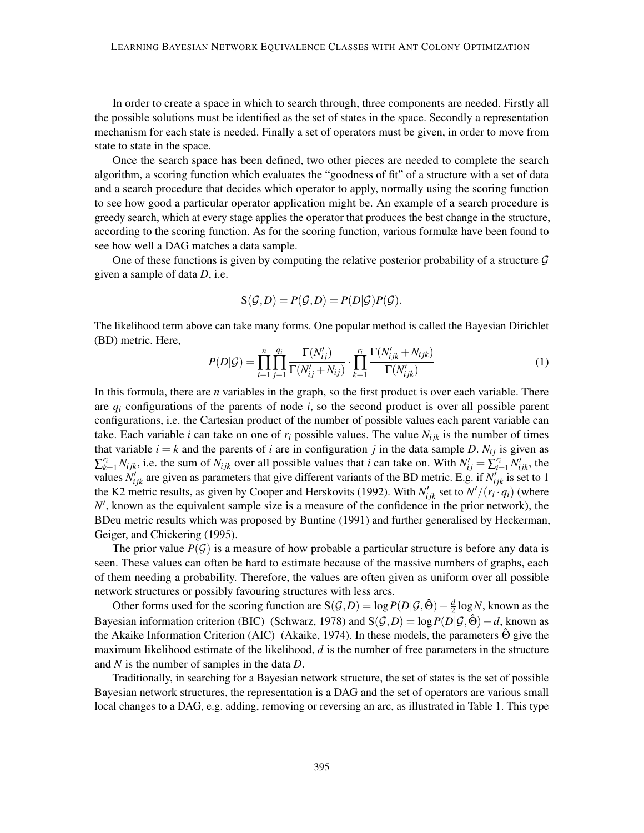In order to create a space in which to search through, three components are needed. Firstly all the possible solutions must be identified as the set of states in the space. Secondly a representation mechanism for each state is needed. Finally a set of operators must be given, in order to move from state to state in the space.

Once the search space has been defined, two other pieces are needed to complete the search algorithm, a scoring function which evaluates the "goodness of fit" of a structure with a set of data and a search procedure that decides which operator to apply, normally using the scoring function to see how good a particular operator application might be. An example of a search procedure is greedy search, which at every stage applies the operator that produces the best change in the structure, according to the scoring function. As for the scoring function, various formulæ have been found to see how well a DAG matches a data sample.

One of these functions is given by computing the relative posterior probability of a structure  $\mathcal G$ given a sample of data *D*, i.e.

$$
S(\mathcal{G}, D) = P(\mathcal{G}, D) = P(D|\mathcal{G})P(\mathcal{G}).
$$

The likelihood term above can take many forms. One popular method is called the Bayesian Dirichlet (BD) metric. Here,

$$
P(D|\mathcal{G}) = \prod_{i=1}^{n} \prod_{j=1}^{q_i} \frac{\Gamma(N'_{ij})}{\Gamma(N'_{ij} + N_{ij})} \cdot \prod_{k=1}^{r_i} \frac{\Gamma(N'_{ijk} + N_{ijk})}{\Gamma(N'_{ijk})}
$$
(1)

In this formula, there are *n* variables in the graph, so the first product is over each variable. There are *q<sup>i</sup>* configurations of the parents of node *i*, so the second product is over all possible parent configurations, i.e. the Cartesian product of the number of possible values each parent variable can take. Each variable *i* can take on one of  $r_i$  possible values. The value  $N_{ijk}$  is the number of times that variable  $i = k$  and the parents of *i* are in configuration *j* in the data sample *D*.  $N_{ij}$  is given as  $\sum_{k=1}^{r_i} N_{ijk}$ , i.e. the sum of  $N_{ijk}$  over all possible values that *i* can take on. With  $N'_{ij} = \sum_{i=1}^{r_i} N'_{ijk}$ , the values  $N'_{ijk}$  are given as parameters that give different variants of the BD metric. E.g. if  $N'_{ijk}$  is set to 1 the K2 metric results, as given by [Cooper and Herskovits](#page-52-4) [\(1992\)](#page-52-4). With  $N'_{ijk}$  set to  $N'/(r_i \cdot q_i)$  (where N', known as the equivalent sample size is a measure of the confidence in the prior network), the BDeu metric results which was proposed by [Buntine](#page-52-5) [\(1991\)](#page-52-5) and further generalised by [Heckerman,](#page-54-6) [Geiger, and Chickering](#page-54-6) [\(1995\)](#page-54-6).

The prior value  $P(G)$  is a measure of how probable a particular structure is before any data is seen. These values can often be hard to estimate because of the massive numbers of graphs, each of them needing a probability. Therefore, the values are often given as uniform over all possible network structures or possibly favouring structures with less arcs.

Other forms used for the scoring function are  $S(G,D) = \log P(D|\mathcal{G},\hat{\Theta}) - \frac{d}{2}$  $\frac{d}{2} \log N$ , known as the Bayesian information criterion (BIC) [\(Schwarz,](#page-56-5) [1978\)](#page-56-5) and  $S(G, D) = \log P(D|\mathcal{G}, \hat{\Theta}) - d$ , known as the Akaike Information Criterion (AIC) [\(Akaike,](#page-51-2) [1974\)](#page-51-2). In these models, the parameters Θ give the maximum likelihood estimate of the likelihood, *d* is the number of free parameters in the structure and *N* is the number of samples in the data *D*.

Traditionally, in searching for a Bayesian network structure, the set of states is the set of possible Bayesian network structures, the representation is a DAG and the set of operators are various small local changes to a DAG, e.g. adding, removing or reversing an arc, as illustrated in Table [1.](#page-5-0) This type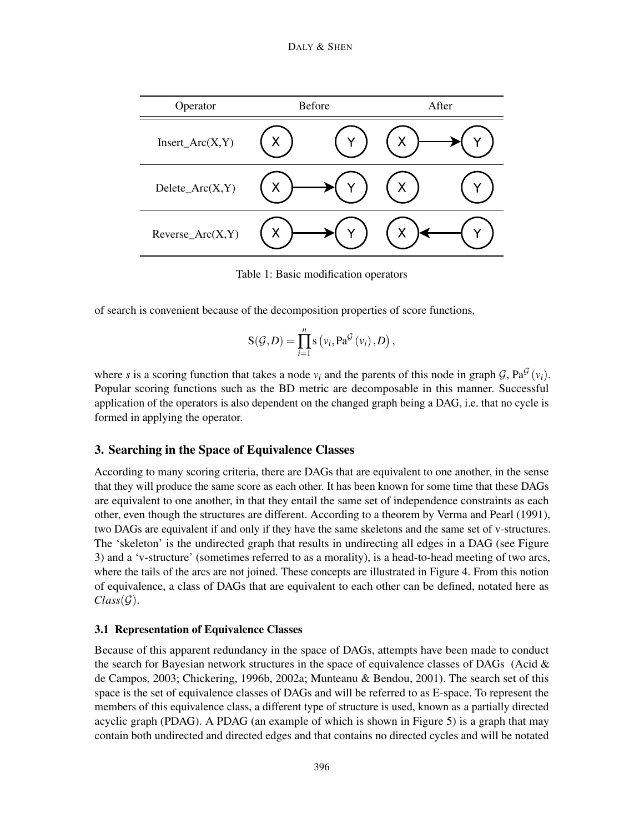

<span id="page-5-0"></span>Table 1: Basic modification operators

of search is convenient because of the decomposition properties of score functions,

$$
S(\mathcal{G}, D) = \prod_{i=1}^{n} s(v_i, Pa^{\mathcal{G}}(v_i), D),
$$

where *s* is a scoring function that takes a node  $v_i$  and the parents of this node in graph  $G$ ,  $Pa^G(v_i)$ . Popular scoring functions such as the BD metric are decomposable in this manner. Successful application of the operators is also dependent on the changed graph being a DAG, i.e. that no cycle is formed in applying the operator.

# 3. Searching in the Space of Equivalence Classes

According to many scoring criteria, there are DAGs that are equivalent to one another, in the sense that they will produce the same score as each other. It has been known for some time that these DAGs are equivalent to one another, in that they entail the same set of independence constraints as each other, even though the structures are different. According to a theorem by [Verma and Pearl](#page-56-6) [\(1991\)](#page-56-6), two DAGs are equivalent if and only if they have the same skeletons and the same set of v-structures. The 'skeleton' is the undirected graph that results in undirecting all edges in a DAG (see Figure [3\)](#page-3-1) and a 'v-structure' (sometimes referred to as a morality), is a head-to-head meeting of two arcs, where the tails of the arcs are not joined. These concepts are illustrated in Figure [4.](#page-6-0) From this notion of equivalence, a class of DAGs that are equivalent to each other can be defined, notated here as  $Class(\mathcal{G})$ .

#### <span id="page-5-1"></span>3.1 Representation of Equivalence Classes

Because of this apparent redundancy in the space of DAGs, attempts have been made to conduct the search for Bayesian network structures in the space of equivalence classes of DAGs (Acid  $\&$ [de Campos,](#page-51-3) [2003;](#page-51-3) [Chickering,](#page-52-6) [1996b,](#page-52-6) [2002a;](#page-52-2) [Munteanu & Bendou,](#page-55-3) [2001\)](#page-55-3). The search set of this space is the set of equivalence classes of DAGs and will be referred to as E-space. To represent the members of this equivalence class, a different type of structure is used, known as a partially directed acyclic graph (PDAG). A PDAG (an example of which is shown in Figure [5\)](#page-6-1) is a graph that may contain both undirected and directed edges and that contains no directed cycles and will be notated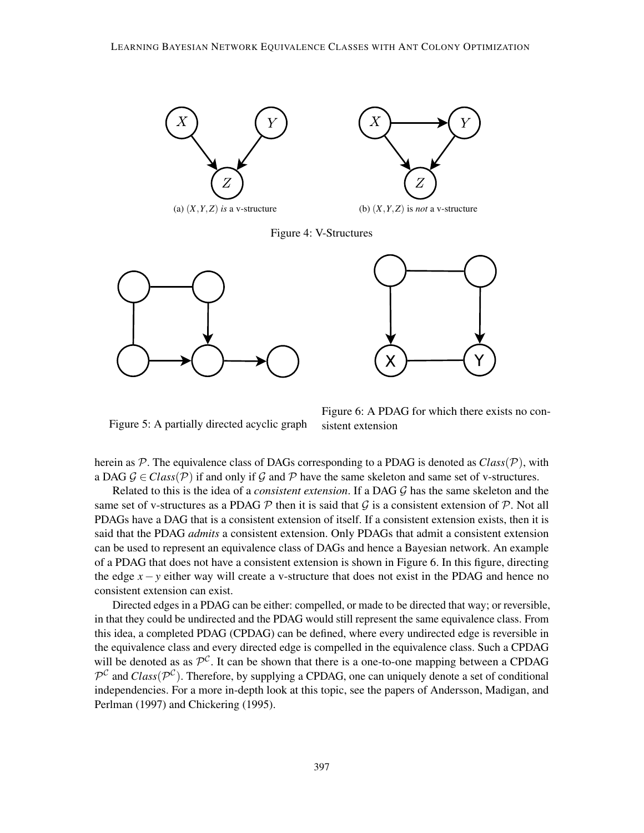



(a)  $(X, Y, Z)$  *is* a v-structure (b)  $(X, Y, Z)$  *is not* a v-structure

<span id="page-6-0"></span>Figure 4: V-Structures





<span id="page-6-1"></span>Figure 5: A partially directed acyclic graph

<span id="page-6-2"></span>Figure 6: A PDAG for which there exists no consistent extension

herein as  $P$ . The equivalence class of DAGs corresponding to a PDAG is denoted as  $Class(P)$ , with a DAG  $\mathcal{G} \in Class(\mathcal{P})$  if and only if  $\mathcal{G}$  and  $\mathcal{P}$  have the same skeleton and same set of v-structures.

Related to this is the idea of a *consistent extension*. If a DAG G has the same skeleton and the same set of v-structures as a PDAG  $\mathcal P$  then it is said that  $\mathcal G$  is a consistent extension of  $\mathcal P$ . Not all PDAGs have a DAG that is a consistent extension of itself. If a consistent extension exists, then it is said that the PDAG *admits* a consistent extension. Only PDAGs that admit a consistent extension can be used to represent an equivalence class of DAGs and hence a Bayesian network. An example of a PDAG that does not have a consistent extension is shown in Figure [6.](#page-6-2) In this figure, directing the edge  $x - y$  either way will create a v-structure that does not exist in the PDAG and hence no consistent extension can exist.

Directed edges in a PDAG can be either: compelled, or made to be directed that way; or reversible, in that they could be undirected and the PDAG would still represent the same equivalence class. From this idea, a completed PDAG (CPDAG) can be defined, where every undirected edge is reversible in the equivalence class and every directed edge is compelled in the equivalence class. Such a CPDAG will be denoted as as  $\mathcal{P}^{\mathcal{C}}$ . It can be shown that there is a one-to-one mapping between a CPDAG  $\mathcal{P}^{\mathcal{C}}$  and *Class*( $\mathcal{P}^{\mathcal{C}}$ ). Therefore, by supplying a CPDAG, one can uniquely denote a set of conditional independencies. For a more in-depth look at this topic, see the papers of [Andersson, Madigan, and](#page-51-4) [Perlman](#page-51-4) [\(1997\)](#page-51-4) and [Chickering](#page-52-7) [\(1995\)](#page-52-7).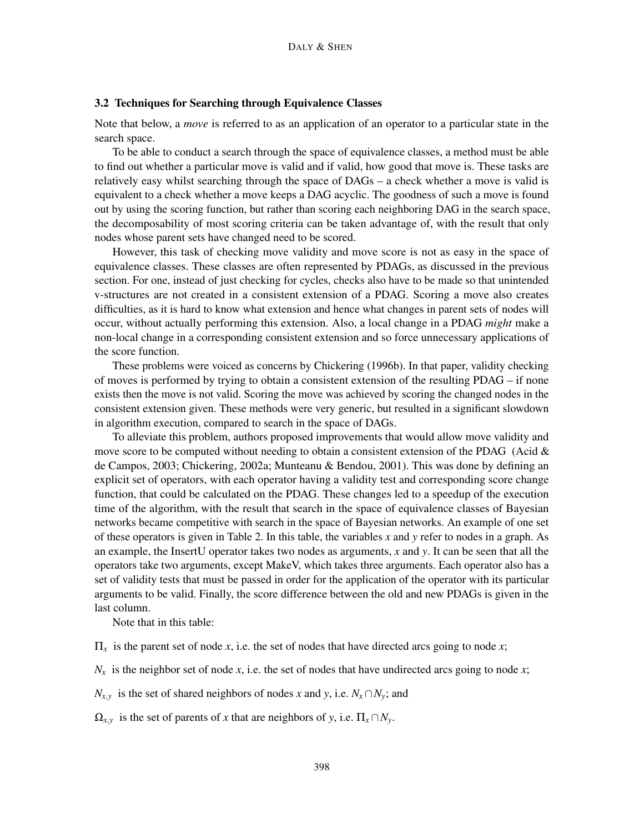#### 3.2 Techniques for Searching through Equivalence Classes

Note that below, a *move* is referred to as an application of an operator to a particular state in the search space.

To be able to conduct a search through the space of equivalence classes, a method must be able to find out whether a particular move is valid and if valid, how good that move is. These tasks are relatively easy whilst searching through the space of DAGs – a check whether a move is valid is equivalent to a check whether a move keeps a DAG acyclic. The goodness of such a move is found out by using the scoring function, but rather than scoring each neighboring DAG in the search space, the decomposability of most scoring criteria can be taken advantage of, with the result that only nodes whose parent sets have changed need to be scored.

However, this task of checking move validity and move score is not as easy in the space of equivalence classes. These classes are often represented by PDAGs, as discussed in the previous section. For one, instead of just checking for cycles, checks also have to be made so that unintended v-structures are not created in a consistent extension of a PDAG. Scoring a move also creates difficulties, as it is hard to know what extension and hence what changes in parent sets of nodes will occur, without actually performing this extension. Also, a local change in a PDAG *might* make a non-local change in a corresponding consistent extension and so force unnecessary applications of the score function.

These problems were voiced as concerns by [Chickering](#page-52-6) [\(1996b\)](#page-52-6). In that paper, validity checking of moves is performed by trying to obtain a consistent extension of the resulting PDAG – if none exists then the move is not valid. Scoring the move was achieved by scoring the changed nodes in the consistent extension given. These methods were very generic, but resulted in a significant slowdown in algorithm execution, compared to search in the space of DAGs.

To alleviate this problem, authors proposed improvements that would allow move validity and move score to be computed without needing to obtain a consistent extension of the PDAG (Acid  $\&$ [de Campos,](#page-51-3) [2003;](#page-51-3) [Chickering,](#page-52-2) [2002a;](#page-52-2) [Munteanu & Bendou,](#page-55-3) [2001\)](#page-55-3). This was done by defining an explicit set of operators, with each operator having a validity test and corresponding score change function, that could be calculated on the PDAG. These changes led to a speedup of the execution time of the algorithm, with the result that search in the space of equivalence classes of Bayesian networks became competitive with search in the space of Bayesian networks. An example of one set of these operators is given in Table [2.](#page-8-0) In this table, the variables *x* and *y* refer to nodes in a graph. As an example, the InsertU operator takes two nodes as arguments, *x* and *y*. It can be seen that all the operators take two arguments, except MakeV, which takes three arguments. Each operator also has a set of validity tests that must be passed in order for the application of the operator with its particular arguments to be valid. Finally, the score difference between the old and new PDAGs is given in the last column.

Note that in this table:

Π*<sup>x</sup>* is the parent set of node *x*, i.e. the set of nodes that have directed arcs going to node *x*;

 $N_x$  is the neighbor set of node *x*, i.e. the set of nodes that have undirected arcs going to node *x*;

 $N_{x,y}$  is the set of shared neighbors of nodes *x* and *y*, i.e.  $N_x \cap N_y$ ; and

 $\Omega_{x,y}$  is the set of parents of *x* that are neighbors of *y*, i.e.  $\Pi_x \cap N_y$ .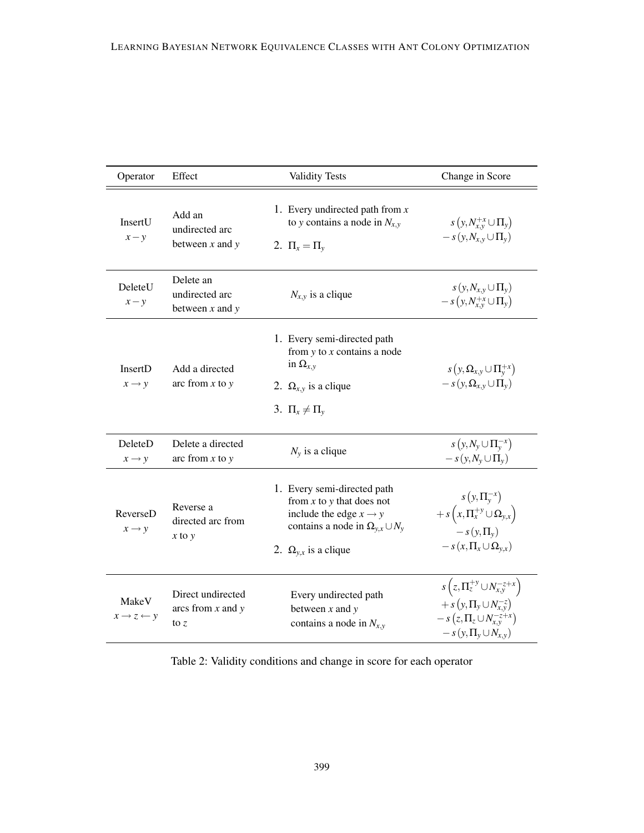| Operator                                | Effect                                               | <b>Validity Tests</b>                                                                                                                                                             | Change in Score                                                                                                                                                    |
|-----------------------------------------|------------------------------------------------------|-----------------------------------------------------------------------------------------------------------------------------------------------------------------------------------|--------------------------------------------------------------------------------------------------------------------------------------------------------------------|
| InsertU<br>$x - y$                      | Add an<br>undirected arc<br>between $x$ and $y$      | 1. Every undirected path from $x$<br>to y contains a node in $N_{x,y}$<br>2. $\Pi_x = \Pi_v$                                                                                      | $s(y, N_{x,y}^{+x} \cup \Pi_{y})$<br>$-s(y, N_{x,y} \cup \Pi_{y})$                                                                                                 |
| DeleteU<br>$x - y$                      | Delete an<br>undirected arc<br>between $x$ and $y$   | $N_{x,y}$ is a clique                                                                                                                                                             | $s(y, N_{x,y} \cup \Pi_{y})$<br>$-s(y, N_{xy}^{+x} \cup \Pi_{y})$                                                                                                  |
| InsertD<br>$x \rightarrow y$            | Add a directed<br>arc from $x$ to $y$                | 1. Every semi-directed path<br>from $y$ to $x$ contains a node<br>in $\Omega_{x,y}$<br>2. $\Omega_{x,y}$ is a clique<br>3. $\Pi_x \neq \Pi_v$                                     | $s(y, \Omega_{x,y} \cup \Pi_{y}^{+x})$<br>$-s(y, \Omega_{x,y} \cup \Pi_{y})$                                                                                       |
| DeleteD<br>$x \rightarrow y$            | Delete a directed<br>arc from $x$ to $y$             | $N_{v}$ is a clique                                                                                                                                                               | $s(y, N_{\nu} \cup \Pi_{\nu}^{-x})$<br>$-s(y, N_{v} \cup \Pi_{v})$                                                                                                 |
| ReverseD<br>$x \rightarrow y$           | Reverse a<br>directed arc from<br>$x$ to $y$         | 1. Every semi-directed path<br>from $x$ to $y$ that does not<br>include the edge $x \rightarrow y$<br>contains a node in $\Omega_{y,x} \cup N_y$<br>2. $\Omega_{v,x}$ is a clique | $s(y,\Pi_{v}^{-x})$<br>$+ s(x, \Pi_{x}^{+y} \cup \Omega_{y,x})$<br>$-s(y,\Pi_{v})$<br>$-s(x,\Pi_x\cup\Omega_{y,x})$                                                |
| MakeV<br>$x \rightarrow z \leftarrow y$ | Direct undirected<br>arcs from $x$ and $y$<br>to $z$ | Every undirected path<br>between $x$ and $y$<br>contains a node in $N_{x,y}$                                                                                                      | $s(z, \Pi_{z}^{+y} \cup N_{x,y}^{-z+x})$<br>$+ s(y,\Pi_{y} \cup N_{x,y}^{-z})$<br>$-s\left(z,\Pi_{z}\cup N_{x,y}^{-z+x}\right)$<br>$-s(y,\Pi_{\nu}\cup N_{x,\nu})$ |

<span id="page-8-0"></span>Table 2: Validity conditions and change in score for each operator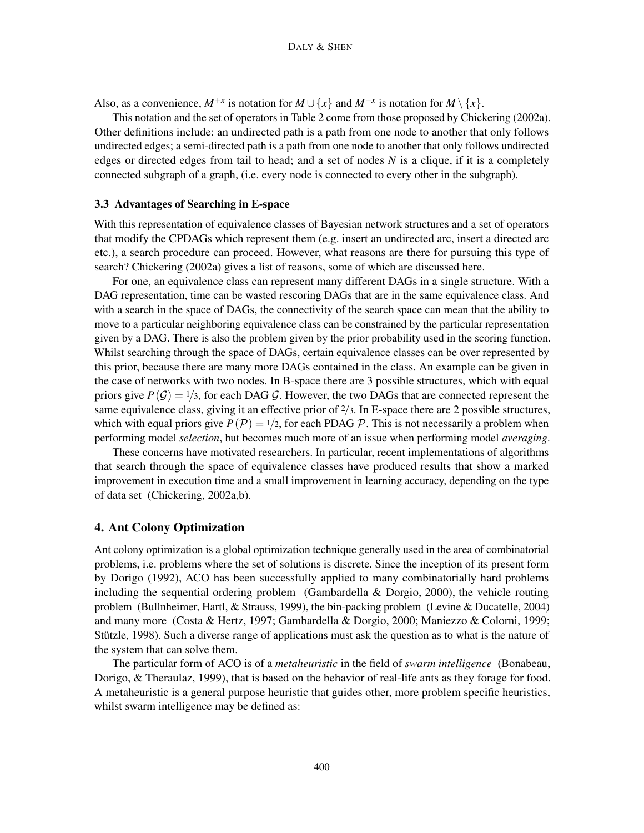Also, as a convenience,  $M^{+x}$  is notation for  $M \cup \{x\}$  and  $M^{-x}$  is notation for  $M \setminus \{x\}$ .

This notation and the set of operators in Table [2](#page-8-0) come from those proposed by [Chickering](#page-52-2) [\(2002a\)](#page-52-2). Other definitions include: an undirected path is a path from one node to another that only follows undirected edges; a semi-directed path is a path from one node to another that only follows undirected edges or directed edges from tail to head; and a set of nodes *N* is a clique, if it is a completely connected subgraph of a graph, (i.e. every node is connected to every other in the subgraph).

#### 3.3 Advantages of Searching in E-space

With this representation of equivalence classes of Bayesian network structures and a set of operators that modify the CPDAGs which represent them (e.g. insert an undirected arc, insert a directed arc etc.), a search procedure can proceed. However, what reasons are there for pursuing this type of search? [Chickering](#page-52-2) [\(2002a\)](#page-52-2) gives a list of reasons, some of which are discussed here.

For one, an equivalence class can represent many different DAGs in a single structure. With a DAG representation, time can be wasted rescoring DAGs that are in the same equivalence class. And with a search in the space of DAGs, the connectivity of the search space can mean that the ability to move to a particular neighboring equivalence class can be constrained by the particular representation given by a DAG. There is also the problem given by the prior probability used in the scoring function. Whilst searching through the space of DAGs, certain equivalence classes can be over represented by this prior, because there are many more DAGs contained in the class. An example can be given in the case of networks with two nodes. In B-space there are 3 possible structures, which with equal priors give  $P(G) = 1/3$ , for each DAG G. However, the two DAGs that are connected represent the same equivalence class, giving it an effective prior of  $\frac{2}{3}$ . In E-space there are 2 possible structures, which with equal priors give  $P(\mathcal{P}) = 1/2$ , for each PDAG  $\mathcal{P}$ . This is not necessarily a problem when performing model *selection*, but becomes much more of an issue when performing model *averaging*.

These concerns have motivated researchers. In particular, recent implementations of algorithms that search through the space of equivalence classes have produced results that show a marked improvement in execution time and a small improvement in learning accuracy, depending on the type of data set [\(Chickering,](#page-52-2) [2002a](#page-52-2)[,b\)](#page-52-8).

#### 4. Ant Colony Optimization

Ant colony optimization is a global optimization technique generally used in the area of combinatorial problems, i.e. problems where the set of solutions is discrete. Since the inception of its present form by [Dorigo](#page-53-4) [\(1992\)](#page-53-4), ACO has been successfully applied to many combinatorially hard problems including the sequential ordering problem [\(Gambardella & Dorgio,](#page-54-7) [2000\)](#page-54-7), the vehicle routing problem [\(Bullnheimer, Hartl, & Strauss,](#page-52-9) [1999\)](#page-52-9), the bin-packing problem [\(Levine & Ducatelle,](#page-55-4) [2004\)](#page-55-4) and many more [\(Costa & Hertz,](#page-52-10) [1997;](#page-52-10) [Gambardella & Dorgio,](#page-54-7) [2000;](#page-54-7) [Maniezzo & Colorni,](#page-55-5) [1999;](#page-55-5) [Stützle,](#page-56-7) [1998\)](#page-56-7). Such a diverse range of applications must ask the question as to what is the nature of the system that can solve them.

The particular form of ACO is of a *metaheuristic* in the field of *swarm intelligence* [\(Bonabeau,](#page-52-11) [Dorigo, & Theraulaz,](#page-52-11) [1999\)](#page-52-11), that is based on the behavior of real-life ants as they forage for food. A metaheuristic is a general purpose heuristic that guides other, more problem specific heuristics, whilst swarm intelligence may be defined as: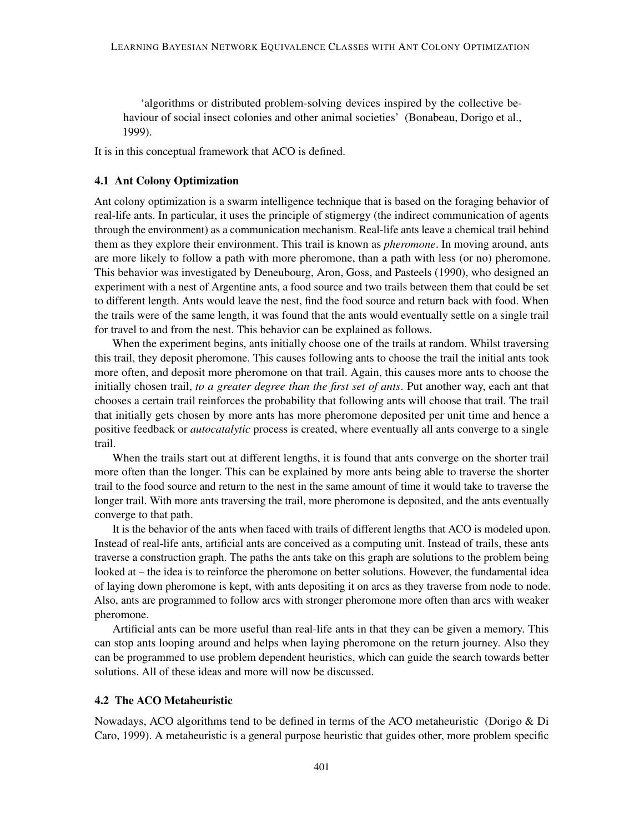'algorithms or distributed problem-solving devices inspired by the collective behaviour of social insect colonies and other animal societies' [\(Bonabeau, Dorigo et al.,](#page-52-11) [1999\)](#page-52-11).

It is in this conceptual framework that ACO is defined.

#### 4.1 Ant Colony Optimization

Ant colony optimization is a swarm intelligence technique that is based on the foraging behavior of real-life ants. In particular, it uses the principle of stigmergy (the indirect communication of agents through the environment) as a communication mechanism. Real-life ants leave a chemical trail behind them as they explore their environment. This trail is known as *pheromone*. In moving around, ants are more likely to follow a path with more pheromone, than a path with less (or no) pheromone. This behavior was investigated by [Deneubourg, Aron, Goss, and Pasteels](#page-53-5) [\(1990\)](#page-53-5), who designed an experiment with a nest of Argentine ants, a food source and two trails between them that could be set to different length. Ants would leave the nest, find the food source and return back with food. When the trails were of the same length, it was found that the ants would eventually settle on a single trail for travel to and from the nest. This behavior can be explained as follows.

When the experiment begins, ants initially choose one of the trails at random. Whilst traversing this trail, they deposit pheromone. This causes following ants to choose the trail the initial ants took more often, and deposit more pheromone on that trail. Again, this causes more ants to choose the initially chosen trail, *to a greater degree than the first set of ants*. Put another way, each ant that chooses a certain trail reinforces the probability that following ants will choose that trail. The trail that initially gets chosen by more ants has more pheromone deposited per unit time and hence a positive feedback or *autocatalytic* process is created, where eventually all ants converge to a single trail.

When the trails start out at different lengths, it is found that ants converge on the shorter trail more often than the longer. This can be explained by more ants being able to traverse the shorter trail to the food source and return to the nest in the same amount of time it would take to traverse the longer trail. With more ants traversing the trail, more pheromone is deposited, and the ants eventually converge to that path.

It is the behavior of the ants when faced with trails of different lengths that ACO is modeled upon. Instead of real-life ants, artificial ants are conceived as a computing unit. Instead of trails, these ants traverse a construction graph. The paths the ants take on this graph are solutions to the problem being looked at – the idea is to reinforce the pheromone on better solutions. However, the fundamental idea of laying down pheromone is kept, with ants depositing it on arcs as they traverse from node to node. Also, ants are programmed to follow arcs with stronger pheromone more often than arcs with weaker pheromone.

Artificial ants can be more useful than real-life ants in that they can be given a memory. This can stop ants looping around and helps when laying pheromone on the return journey. Also they can be programmed to use problem dependent heuristics, which can guide the search towards better solutions. All of these ideas and more will now be discussed.

# <span id="page-10-0"></span>4.2 The ACO Metaheuristic

Nowadays, ACO algorithms tend to be defined in terms of the ACO metaheuristic [\(Dorigo & Di](#page-54-8) [Caro,](#page-54-8) [1999\)](#page-54-8). A metaheuristic is a general purpose heuristic that guides other, more problem specific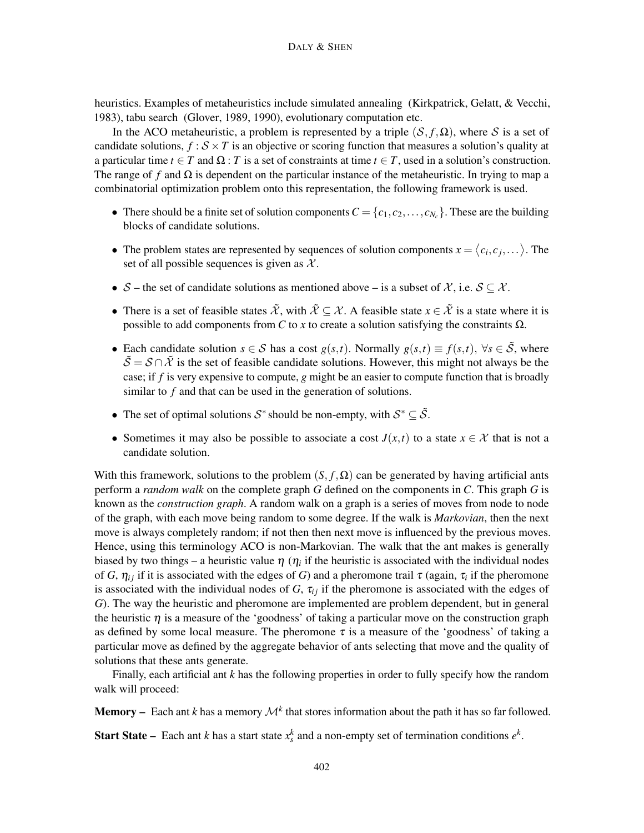heuristics. Examples of metaheuristics include simulated annealing [\(Kirkpatrick, Gelatt, & Vecchi,](#page-55-6) [1983\)](#page-55-6), tabu search [\(Glover,](#page-54-2) [1989,](#page-54-2) [1990\)](#page-54-3), evolutionary computation etc.

In the ACO metaheuristic, a problem is represented by a triple  $(S, f, \Omega)$ , where S is a set of candidate solutions,  $f : S \times T$  is an objective or scoring function that measures a solution's quality at a particular time  $t \in T$  and  $\Omega$  : *T* is a set of constraints at time  $t \in T$ , used in a solution's construction. The range of f and  $\Omega$  is dependent on the particular instance of the metaheuristic. In trying to map a combinatorial optimization problem onto this representation, the following framework is used.

- There should be a finite set of solution components  $C = \{c_1, c_2, \ldots, c_{N_c}\}\.$  These are the building blocks of candidate solutions.
- The problem states are represented by sequences of solution components  $x = \langle c_i, c_j, \dots \rangle$ . The set of all possible sequences is given as  $X$ .
- S the set of candidate solutions as mentioned above is a subset of X, i.e.  $S \subseteq \mathcal{X}$ .
- There is a set of feasible states  $\tilde{\mathcal{X}}$ , with  $\tilde{\mathcal{X}} \subseteq \mathcal{X}$ . A feasible state  $x \in \tilde{\mathcal{X}}$  is a state where it is possible to add components from *C* to *x* to create a solution satisfying the constraints  $\Omega$ .
- Each candidate solution  $s \in S$  has a cost  $g(s,t)$ . Normally  $g(s,t) \equiv f(s,t)$ ,  $\forall s \in \tilde{S}$ , where  $\tilde{\mathcal{S}} = \mathcal{S} \cap \tilde{\mathcal{X}}$  is the set of feasible candidate solutions. However, this might not always be the case; if *f* is very expensive to compute, *g* might be an easier to compute function that is broadly similar to *f* and that can be used in the generation of solutions.
- The set of optimal solutions  $S^*$  should be non-empty, with  $S^* \subseteq \tilde{S}$ .
- Sometimes it may also be possible to associate a cost  $J(x,t)$  to a state  $x \in \mathcal{X}$  that is not a candidate solution.

With this framework, solutions to the problem  $(S, f, \Omega)$  can be generated by having artificial ants perform a *random walk* on the complete graph *G* defined on the components in *C*. This graph *G* is known as the *construction graph*. A random walk on a graph is a series of moves from node to node of the graph, with each move being random to some degree. If the walk is *Markovian*, then the next move is always completely random; if not then then next move is influenced by the previous moves. Hence, using this terminology ACO is non-Markovian. The walk that the ant makes is generally biased by two things – a heuristic value  $\eta$  ( $\eta_i$  if the heuristic is associated with the individual nodes of *G*,  $\eta_{ij}$  if it is associated with the edges of *G*) and a pheromone trail  $\tau$  (again,  $\tau_i$  if the pheromone is associated with the individual nodes of  $G$ ,  $\tau_{ij}$  if the pheromone is associated with the edges of *G*). The way the heuristic and pheromone are implemented are problem dependent, but in general the heuristic  $\eta$  is a measure of the 'goodness' of taking a particular move on the construction graph as defined by some local measure. The pheromone  $\tau$  is a measure of the 'goodness' of taking a particular move as defined by the aggregate behavior of ants selecting that move and the quality of solutions that these ants generate.

Finally, each artificial ant *k* has the following properties in order to fully specify how the random walk will proceed:

**Memory** – Each ant *k* has a memory  $\mathcal{M}^k$  that stores information about the path it has so far followed.

**Start State** – Each ant *k* has a start state  $x_s^k$  and a non-empty set of termination conditions  $e^k$ .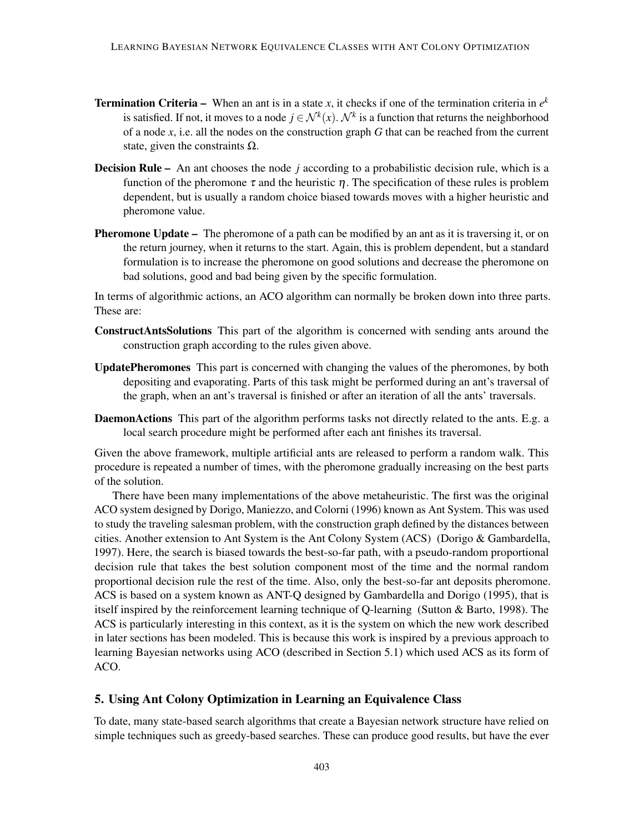- Termination Criteria When an ant is in a state *x*, it checks if one of the termination criteria in *e k* is satisfied. If not, it moves to a node  $j \in \mathcal{N}^k(x)$ .  $\mathcal{N}^k$  is a function that returns the neighborhood of a node *x*, i.e. all the nodes on the construction graph *G* that can be reached from the current state, given the constraints  $\Omega$ .
- Decision Rule An ant chooses the node *j* according to a probabilistic decision rule, which is a function of the pheromone  $\tau$  and the heuristic  $\eta$ . The specification of these rules is problem dependent, but is usually a random choice biased towards moves with a higher heuristic and pheromone value.
- **Pheromone Update** The pheromone of a path can be modified by an ant as it is traversing it, or on the return journey, when it returns to the start. Again, this is problem dependent, but a standard formulation is to increase the pheromone on good solutions and decrease the pheromone on bad solutions, good and bad being given by the specific formulation.

In terms of algorithmic actions, an ACO algorithm can normally be broken down into three parts. These are:

- ConstructAntsSolutions This part of the algorithm is concerned with sending ants around the construction graph according to the rules given above.
- UpdatePheromones This part is concerned with changing the values of the pheromones, by both depositing and evaporating. Parts of this task might be performed during an ant's traversal of the graph, when an ant's traversal is finished or after an iteration of all the ants' traversals.
- DaemonActions This part of the algorithm performs tasks not directly related to the ants. E.g. a local search procedure might be performed after each ant finishes its traversal.

Given the above framework, multiple artificial ants are released to perform a random walk. This procedure is repeated a number of times, with the pheromone gradually increasing on the best parts of the solution.

There have been many implementations of the above metaheuristic. The first was the original ACO system designed by [Dorigo, Maniezzo, and Colorni](#page-54-9) [\(1996\)](#page-54-9) known as Ant System. This was used to study the traveling salesman problem, with the construction graph defined by the distances between cities. Another extension to Ant System is the Ant Colony System (ACS) [\(Dorigo & Gambardella,](#page-54-10) [1997\)](#page-54-10). Here, the search is biased towards the best-so-far path, with a pseudo-random proportional decision rule that takes the best solution component most of the time and the normal random proportional decision rule the rest of the time. Also, only the best-so-far ant deposits pheromone. ACS is based on a system known as ANT-Q designed by [Gambardella and Dorigo](#page-54-11) [\(1995\)](#page-54-11), that is itself inspired by the reinforcement learning technique of Q-learning [\(Sutton & Barto,](#page-56-8) [1998\)](#page-56-8). The ACS is particularly interesting in this context, as it is the system on which the new work described in later sections has been modeled. This is because this work is inspired by a previous approach to learning Bayesian networks using ACO (described in Section [5.1\)](#page-13-0) which used ACS as its form of ACO.

#### <span id="page-12-0"></span>5. Using Ant Colony Optimization in Learning an Equivalence Class

To date, many state-based search algorithms that create a Bayesian network structure have relied on simple techniques such as greedy-based searches. These can produce good results, but have the ever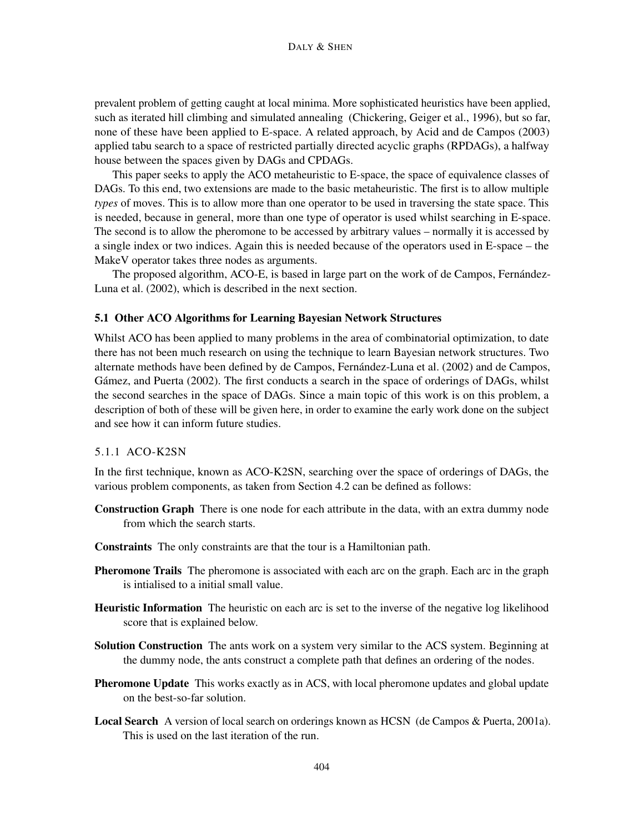prevalent problem of getting caught at local minima. More sophisticated heuristics have been applied, such as iterated hill climbing and simulated annealing [\(Chickering, Geiger et al.,](#page-52-1) [1996\)](#page-52-1), but so far, none of these have been applied to E-space. A related approach, by [Acid and de Campos](#page-51-3) [\(2003\)](#page-51-3) applied tabu search to a space of restricted partially directed acyclic graphs (RPDAGs), a halfway house between the spaces given by DAGs and CPDAGs.

This paper seeks to apply the ACO metaheuristic to E-space, the space of equivalence classes of DAGs. To this end, two extensions are made to the basic metaheuristic. The first is to allow multiple *types* of moves. This is to allow more than one operator to be used in traversing the state space. This is needed, because in general, more than one type of operator is used whilst searching in E-space. The second is to allow the pheromone to be accessed by arbitrary values – normally it is accessed by a single index or two indices. Again this is needed because of the operators used in E-space – the MakeV operator takes three nodes as arguments.

The proposed algorithm, ACO-E, is based in large part on the work of [de Campos, Fernández-](#page-53-2)[Luna et al.](#page-53-2) [\(2002\)](#page-53-2), which is described in the next section.

### <span id="page-13-0"></span>5.1 Other ACO Algorithms for Learning Bayesian Network Structures

Whilst ACO has been applied to many problems in the area of combinatorial optimization, to date there has not been much research on using the technique to learn Bayesian network structures. Two alternate methods have been defined by [de Campos, Fernández-Luna et al.](#page-53-2) [\(2002\)](#page-53-2) and [de Campos,](#page-53-6) [Gámez, and Puerta](#page-53-6) [\(2002\)](#page-53-6). The first conducts a search in the space of orderings of DAGs, whilst the second searches in the space of DAGs. Since a main topic of this work is on this problem, a description of both of these will be given here, in order to examine the early work done on the subject and see how it can inform future studies.

# <span id="page-13-1"></span>5.1.1 ACO-K2SN

In the first technique, known as ACO-K2SN, searching over the space of orderings of DAGs, the various problem components, as taken from Section [4.2](#page-10-0) can be defined as follows:

- Construction Graph There is one node for each attribute in the data, with an extra dummy node from which the search starts.
- Constraints The only constraints are that the tour is a Hamiltonian path.
- **Pheromone Trails** The pheromone is associated with each arc on the graph. Each arc in the graph is intialised to a initial small value.
- **Heuristic Information** The heuristic on each arc is set to the inverse of the negative log likelihood score that is explained below.
- **Solution Construction** The ants work on a system very similar to the ACS system. Beginning at the dummy node, the ants construct a complete path that defines an ordering of the nodes.
- **Pheromone Update** This works exactly as in ACS, with local pheromone updates and global update on the best-so-far solution.
- Local Search A version of local search on orderings known as HCSN [\(de Campos & Puerta,](#page-53-7) [2001a\)](#page-53-7). This is used on the last iteration of the run.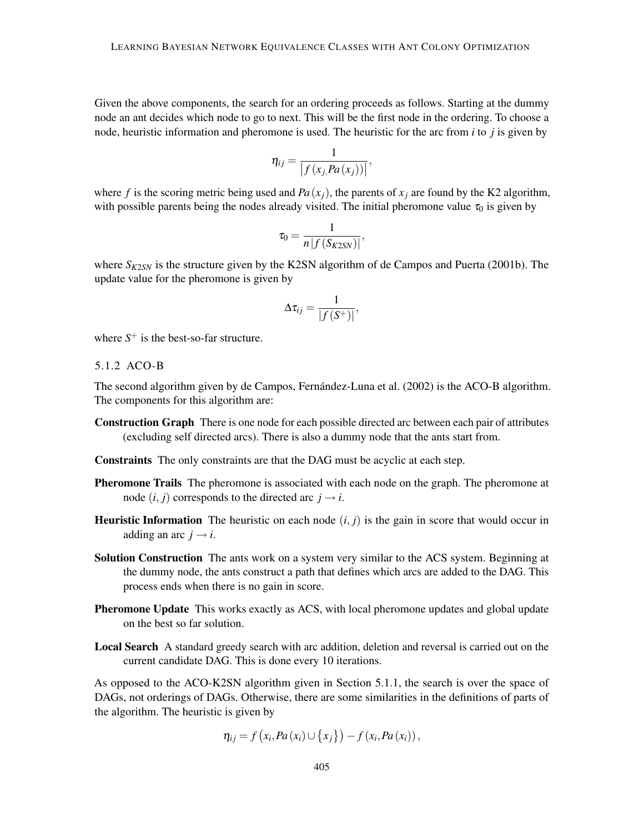Given the above components, the search for an ordering proceeds as follows. Starting at the dummy node an ant decides which node to go to next. This will be the first node in the ordering. To choose a node, heuristic information and pheromone is used. The heuristic for the arc from *i* to *j* is given by

$$
\eta_{ij} = \frac{1}{\left|f\left(x_j, Pa\left(x_j\right)\right)\right|},\,
$$

where f is the scoring metric being used and  $Pa(x_i)$ , the parents of  $x_i$  are found by the K2 algorithm, with possible parents being the nodes already visited. The initial pheromone value  $\tau_0$  is given by

$$
\tau_0 = \frac{1}{n\left|f\left(S_{K2SN}\right)\right|},
$$

where  $S_{K2SN}$  is the structure given by the K2SN algorithm of [de Campos and Puerta](#page-53-8) [\(2001b\)](#page-53-8). The update value for the pheromone is given by

$$
\Delta \tau_{ij} = \frac{1}{|f(S^+)|},
$$

where  $S^+$  is the best-so-far structure.

<span id="page-14-0"></span>5.1.2 ACO-B

The second algorithm given by [de Campos, Fernández-Luna et al.](#page-53-2) [\(2002\)](#page-53-2) is the ACO-B algorithm. The components for this algorithm are:

Construction Graph There is one node for each possible directed arc between each pair of attributes (excluding self directed arcs). There is also a dummy node that the ants start from.

Constraints The only constraints are that the DAG must be acyclic at each step.

- Pheromone Trails The pheromone is associated with each node on the graph. The pheromone at node  $(i, j)$  corresponds to the directed arc  $j \rightarrow i$ .
- **Heuristic Information** The heuristic on each node  $(i, j)$  is the gain in score that would occur in adding an arc  $j \rightarrow i$ .
- Solution Construction The ants work on a system very similar to the ACS system. Beginning at the dummy node, the ants construct a path that defines which arcs are added to the DAG. This process ends when there is no gain in score.
- **Pheromone Update** This works exactly as ACS, with local pheromone updates and global update on the best so far solution.
- Local Search A standard greedy search with arc addition, deletion and reversal is carried out on the current candidate DAG. This is done every 10 iterations.

As opposed to the ACO-K2SN algorithm given in Section [5.1.1,](#page-13-1) the search is over the space of DAGs, not orderings of DAGs. Otherwise, there are some similarities in the definitions of parts of the algorithm. The heuristic is given by

$$
\eta_{ij} = f\left(x_i, Pa\left(x_i\right) \cup \left\{x_j\right\}\right) - f\left(x_i, Pa\left(x_i\right)\right),\,
$$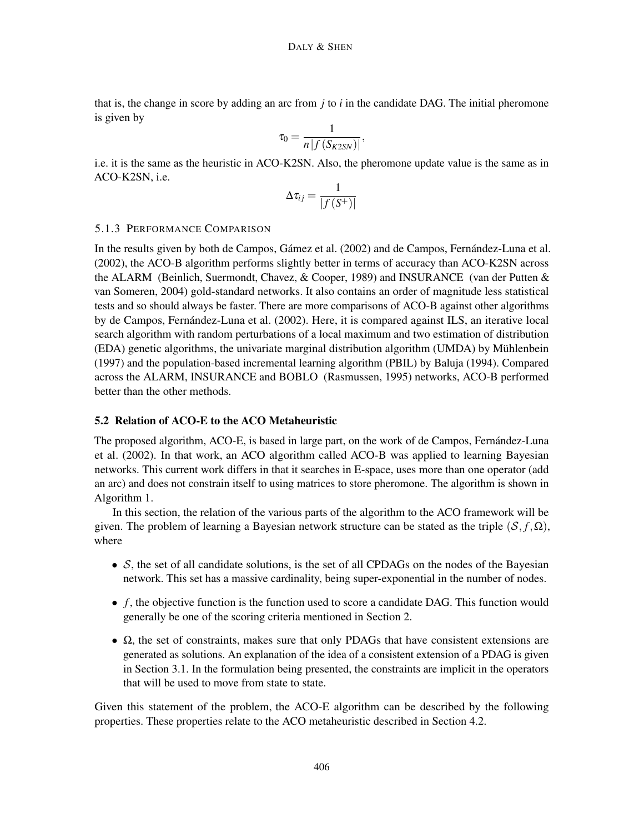that is, the change in score by adding an arc from *j* to *i* in the candidate DAG. The initial pheromone is given by

$$
\tau_0 = \frac{1}{n\left|f\left(S_{K2SN}\right)\right|},
$$

i.e. it is the same as the heuristic in ACO-K2SN. Also, the pheromone update value is the same as in ACO-K2SN, i.e.

$$
\Delta \tau_{ij} = \frac{1}{|f(S^+)|}
$$

# 5.1.3 PERFORMANCE COMPARISON

In the results given by both [de Campos, Gámez et al.](#page-53-6) [\(2002\)](#page-53-6) and [de Campos, Fernández-Luna et al.](#page-53-2) [\(2002\)](#page-53-2), the ACO-B algorithm performs slightly better in terms of accuracy than ACO-K2SN across the ALARM [\(Beinlich, Suermondt, Chavez, & Cooper,](#page-51-5) [1989\)](#page-51-5) and INSURANCE [\(van der Putten &](#page-56-9) [van Someren,](#page-56-9) [2004\)](#page-56-9) gold-standard networks. It also contains an order of magnitude less statistical tests and so should always be faster. There are more comparisons of ACO-B against other algorithms by [de Campos, Fernández-Luna et al.](#page-53-2) [\(2002\)](#page-53-2). Here, it is compared against ILS, an iterative local search algorithm with random perturbations of a local maximum and two estimation of distribution (EDA) genetic algorithms, the univariate marginal distribution algorithm (UMDA) by [Mühlenbein](#page-55-7) [\(1997\)](#page-55-7) and the population-based incremental learning algorithm (PBIL) by [Baluja](#page-51-6) [\(1994\)](#page-51-6). Compared across the ALARM, INSURANCE and BOBLO [\(Rasmussen,](#page-56-10) [1995\)](#page-56-10) networks, ACO-B performed better than the other methods.

# <span id="page-15-0"></span>5.2 Relation of ACO-E to the ACO Metaheuristic

The proposed algorithm, ACO-E, is based in large part, on the work of [de Campos, Fernández-Luna](#page-53-2) [et al.](#page-53-2) [\(2002\)](#page-53-2). In that work, an ACO algorithm called ACO-B was applied to learning Bayesian networks. This current work differs in that it searches in E-space, uses more than one operator (add an arc) and does not constrain itself to using matrices to store pheromone. The algorithm is shown in Algorithm [1.](#page-16-0)

In this section, the relation of the various parts of the algorithm to the ACO framework will be given. The problem of learning a Bayesian network structure can be stated as the triple  $(S, f, \Omega)$ , where

- $S$ , the set of all candidate solutions, is the set of all CPDAGs on the nodes of the Bayesian network. This set has a massive cardinality, being super-exponential in the number of nodes.
- *f*, the objective function is the function used to score a candidate DAG. This function would generally be one of the scoring criteria mentioned in Section [2.](#page-2-0)
- $\Omega$ , the set of constraints, makes sure that only PDAGs that have consistent extensions are generated as solutions. An explanation of the idea of a consistent extension of a PDAG is given in Section [3.1.](#page-5-1) In the formulation being presented, the constraints are implicit in the operators that will be used to move from state to state.

Given this statement of the problem, the ACO-E algorithm can be described by the following properties. These properties relate to the ACO metaheuristic described in Section [4.2.](#page-10-0)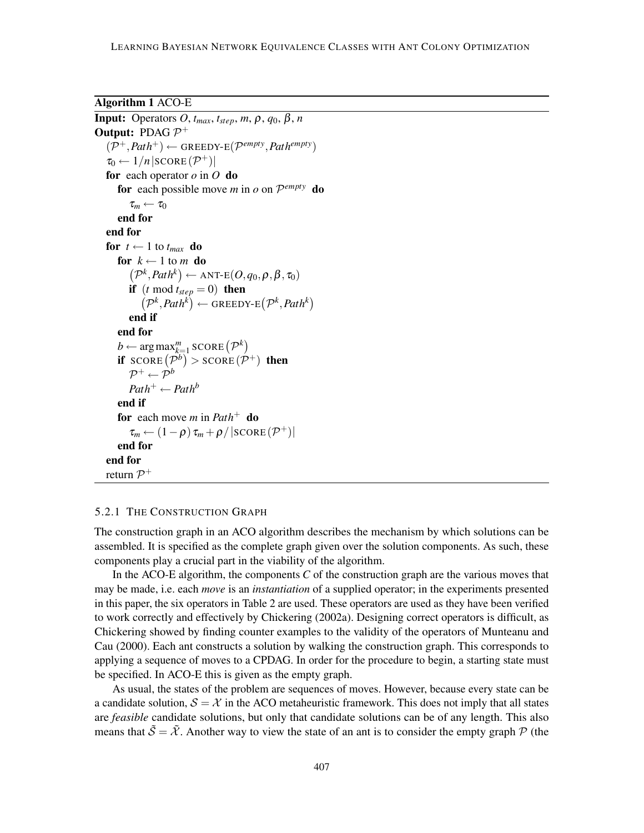<span id="page-16-0"></span>Algorithm 1 ACO-E

```
Input: Operators O, tmax, tstep, m, ρ, q0, β, n
Output: PDAG \mathcal{P}^+(\mathcal{P}^+, \mathit{Path}^+) \leftarrow GREEDY-E(\mathcal{P}^{empty}, \mathit{Path}^{empty})
    \tau_0 \leftarrow 1/n |\text{score}(\mathcal{P}^+)|for each operator o in O do
        for each possible move m in o on \mathcal{P}^{empty} do
            \tau_m \leftarrow \tau_0end for
   end for
   for t \leftarrow 1 to t_{max} do
       for k \leftarrow 1 to m do
            (\mathcal{P}^k, \text{Path}^k) \leftarrow \text{ANT-E}(O, q_0, \rho, \beta, \tau_0)if (t \mod t_{step} = 0) then
                (\mathcal{P}^k, \text{Path}^k) \leftarrow \text{GREEDY-E}(\mathcal{P}^k, \text{Path}^k)end if
        end for
        b \leftarrow \arg \max_{k=1}^{m} \text{SCORE} (\mathcal{P}^k)if score(\mathcal{P}^b) > score(\mathcal{P}^+) then
            \mathcal{P}^+ \leftarrow \mathcal{P}^bPath<sup>+</sup> \leftarrow Path<sup>b</sup>end if
       for each move m in Path+ do
            \tau_m \leftarrow (1-\rho) \tau_m + \rho / |\text{SCORE}(\mathcal{P}^+)|end for
   end for
    return \mathcal{P}^+
```
#### 5.2.1 THE CONSTRUCTION GRAPH

The construction graph in an ACO algorithm describes the mechanism by which solutions can be assembled. It is specified as the complete graph given over the solution components. As such, these components play a crucial part in the viability of the algorithm.

In the ACO-E algorithm, the components *C* of the construction graph are the various moves that may be made, i.e. each *move* is an *instantiation* of a supplied operator; in the experiments presented in this paper, the six operators in Table [2](#page-8-0) are used. These operators are used as they have been verified to work correctly and effectively by [Chickering](#page-52-2) [\(2002a\)](#page-52-2). Designing correct operators is difficult, as [Chickering](#page-52-2) showed by finding counter examples to the validity of the operators of [Munteanu and](#page-55-8) [Cau](#page-55-8) [\(2000\)](#page-55-8). Each ant constructs a solution by walking the construction graph. This corresponds to applying a sequence of moves to a CPDAG. In order for the procedure to begin, a starting state must be specified. In ACO-E this is given as the empty graph.

As usual, the states of the problem are sequences of moves. However, because every state can be a candidate solution,  $S = \mathcal{X}$  in the ACO metaheuristic framework. This does not imply that all states are *feasible* candidate solutions, but only that candidate solutions can be of any length. This also means that  $\tilde{S} = \tilde{X}$ . Another way to view the state of an ant is to consider the empty graph  $P$  (the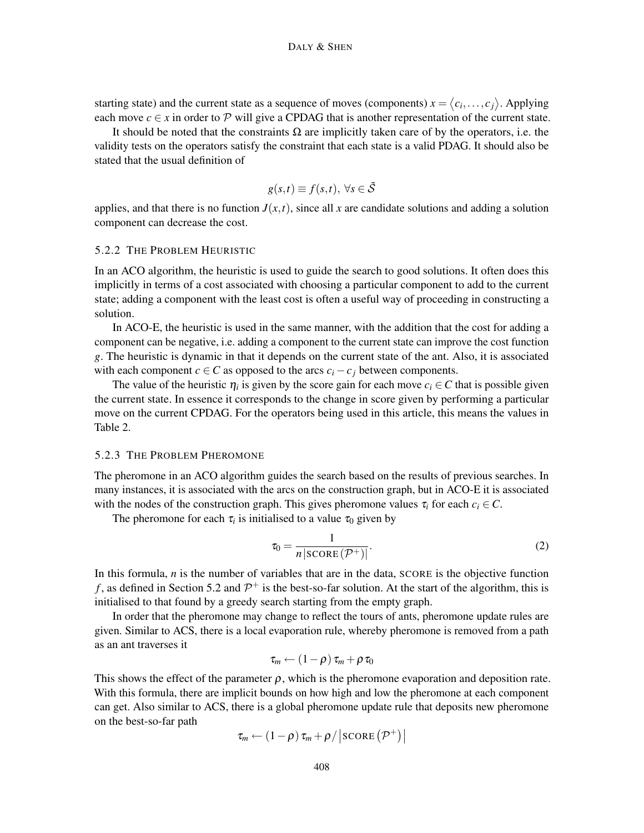starting state) and the current state as a sequence of moves (components)  $x = \langle c_i, \ldots, c_j \rangle$ . Applying each move  $c \in x$  in order to P will give a CPDAG that is another representation of the current state.

It should be noted that the constraints  $\Omega$  are implicitly taken care of by the operators, i.e. the validity tests on the operators satisfy the constraint that each state is a valid PDAG. It should also be stated that the usual definition of

$$
g(s,t) \equiv f(s,t), \,\forall s \in \tilde{\mathcal{S}}
$$

applies, and that there is no function  $J(x,t)$ , since all x are candidate solutions and adding a solution component can decrease the cost.

#### 5.2.2 THE PROBLEM HEURISTIC

In an ACO algorithm, the heuristic is used to guide the search to good solutions. It often does this implicitly in terms of a cost associated with choosing a particular component to add to the current state; adding a component with the least cost is often a useful way of proceeding in constructing a solution.

In ACO-E, the heuristic is used in the same manner, with the addition that the cost for adding a component can be negative, i.e. adding a component to the current state can improve the cost function *g*. The heuristic is dynamic in that it depends on the current state of the ant. Also, it is associated with each component  $c \in C$  as opposed to the arcs  $c_i - c_j$  between components.

The value of the heuristic  $\eta_i$  is given by the score gain for each move  $c_i \in C$  that is possible given the current state. In essence it corresponds to the change in score given by performing a particular move on the current CPDAG. For the operators being used in this article, this means the values in Table [2.](#page-8-0)

#### <span id="page-17-1"></span>5.2.3 THE PROBLEM PHEROMONE

The pheromone in an ACO algorithm guides the search based on the results of previous searches. In many instances, it is associated with the arcs on the construction graph, but in ACO-E it is associated with the nodes of the construction graph. This gives pheromone values  $\tau_i$  for each  $c_i \in C$ .

The pheromone for each  $\tau_i$  is initialised to a value  $\tau_0$  given by

<span id="page-17-0"></span>
$$
\tau_0 = \frac{1}{n \left| \text{SCORE}(\mathcal{P}^+) \right|}.\tag{2}
$$

In this formula, *n* is the number of variables that are in the data, SCORE is the objective function f, as defined in Section [5.2](#page-15-0) and  $\mathcal{P}^+$  is the best-so-far solution. At the start of the algorithm, this is initialised to that found by a greedy search starting from the empty graph.

In order that the pheromone may change to reflect the tours of ants, pheromone update rules are given. Similar to ACS, there is a local evaporation rule, whereby pheromone is removed from a path as an ant traverses it

$$
\tau_m \leftarrow (1-\rho) \tau_m + \rho \tau_0
$$

This shows the effect of the parameter  $\rho$ , which is the pheromone evaporation and deposition rate. With this formula, there are implicit bounds on how high and low the pheromone at each component can get. Also similar to ACS, there is a global pheromone update rule that deposits new pheromone on the best-so-far path  $+2$  +  $+2$  +  $+2$ 

$$
\tau_m \leftarrow (1-\rho) \tau_m + \rho / |\text{SCORE}(\mathcal{P}^+)|
$$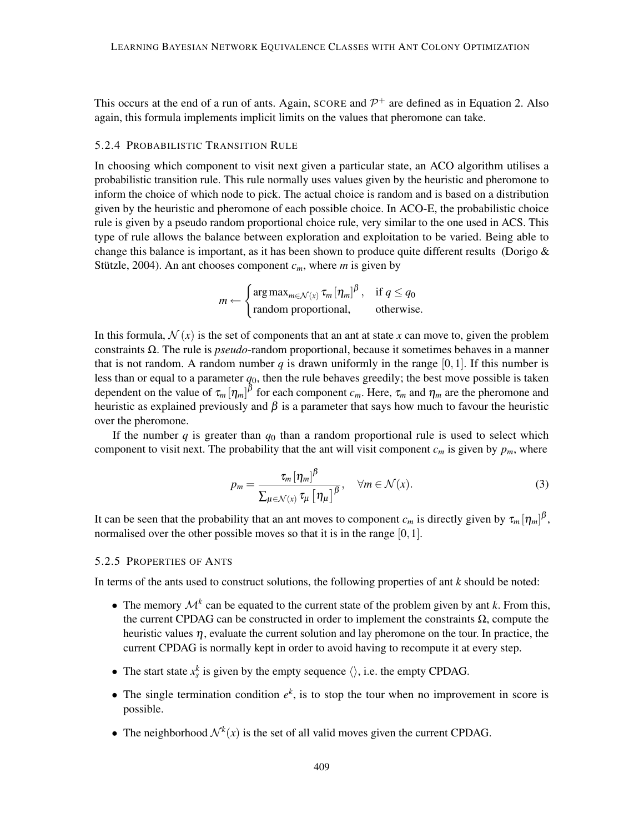This occurs at the end of a run of ants. Again, SCORE and  $\mathcal{P}^+$  are defined as in Equation [2.](#page-17-0) Also again, this formula implements implicit limits on the values that pheromone can take.

#### <span id="page-18-0"></span>5.2.4 PROBABILISTIC TRANSITION RULE

In choosing which component to visit next given a particular state, an ACO algorithm utilises a probabilistic transition rule. This rule normally uses values given by the heuristic and pheromone to inform the choice of which node to pick. The actual choice is random and is based on a distribution given by the heuristic and pheromone of each possible choice. In ACO-E, the probabilistic choice rule is given by a pseudo random proportional choice rule, very similar to the one used in ACS. This type of rule allows the balance between exploration and exploitation to be varied. Being able to change this balance is important, as it has been shown to produce quite different results (Dorigo  $\&$ [Stützle,](#page-54-4) [2004\)](#page-54-4). An ant chooses component  $c_m$ , where *m* is given by

$$
m \leftarrow \begin{cases} \arg \max_{m \in \mathcal{N}(x)} \tau_m [\eta_m]^{\beta}, & \text{if } q \le q_0 \\ \text{random proportional}, & \text{otherwise.} \end{cases}
$$

In this formula,  $\mathcal{N}(x)$  is the set of components that an ant at state *x* can move to, given the problem constraints Ω. The rule is *pseudo*-random proportional, because it sometimes behaves in a manner that is not random. A random number *q* is drawn uniformly in the range [0, 1]. If this number is less than or equal to a parameter  $q_0$ , then the rule behaves greedily; the best move possible is taken dependent on the value of  $\tau_m[\eta_m]^{\beta}$  for each component  $c_m$ . Here,  $\tau_m$  and  $\eta_m$  are the pheromone and heuristic as explained previously and  $\beta$  is a parameter that says how much to favour the heuristic over the pheromone.

If the number *q* is greater than  $q_0$  than a random proportional rule is used to select which component to visit next. The probability that the ant will visit component  $c_m$  is given by  $p_m$ , where

<span id="page-18-1"></span>
$$
p_m = \frac{\tau_m \left[\eta_m\right]^{\beta}}{\sum_{\mu \in \mathcal{N}(x)} \tau_{\mu} \left[\eta_{\mu}\right]^{\beta}}, \quad \forall m \in \mathcal{N}(x). \tag{3}
$$

It can be seen that the probability that an ant moves to component  $c_m$  is directly given by  $\tau_m[\eta_m]^{\beta}$ , normalised over the other possible moves so that it is in the range [0,1].

## 5.2.5 PROPERTIES OF ANTS

In terms of the ants used to construct solutions, the following properties of ant *k* should be noted:

- The memory  $\mathcal{M}^k$  can be equated to the current state of the problem given by ant *k*. From this, the current CPDAG can be constructed in order to implement the constraints  $\Omega$ , compute the heuristic values  $\eta$ , evaluate the current solution and lay pheromone on the tour. In practice, the current CPDAG is normally kept in order to avoid having to recompute it at every step.
- The start state  $x_s^k$  is given by the empty sequence  $\langle \rangle$ , i.e. the empty CPDAG.
- The single termination condition  $e^k$ , is to stop the tour when no improvement in score is possible.
- The neighborhood  $\mathcal{N}^k(x)$  is the set of all valid moves given the current CPDAG.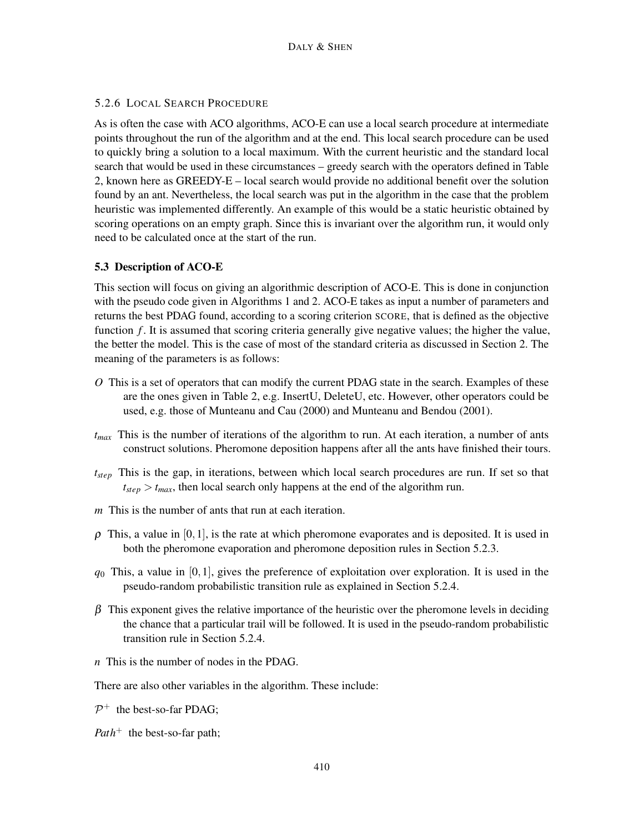# 5.2.6 LOCAL SEARCH PROCEDURE

As is often the case with ACO algorithms, ACO-E can use a local search procedure at intermediate points throughout the run of the algorithm and at the end. This local search procedure can be used to quickly bring a solution to a local maximum. With the current heuristic and the standard local search that would be used in these circumstances – greedy search with the operators defined in Table [2,](#page-8-0) known here as GREEDY-E – local search would provide no additional benefit over the solution found by an ant. Nevertheless, the local search was put in the algorithm in the case that the problem heuristic was implemented differently. An example of this would be a static heuristic obtained by scoring operations on an empty graph. Since this is invariant over the algorithm run, it would only need to be calculated once at the start of the run.

# 5.3 Description of ACO-E

This section will focus on giving an algorithmic description of ACO-E. This is done in conjunction with the pseudo code given in Algorithms [1](#page-16-0) and [2.](#page-20-0) ACO-E takes as input a number of parameters and returns the best PDAG found, according to a scoring criterion SCORE, that is defined as the objective function *f*. It is assumed that scoring criteria generally give negative values; the higher the value, the better the model. This is the case of most of the standard criteria as discussed in Section [2.](#page-2-0) The meaning of the parameters is as follows:

- *O* This is a set of operators that can modify the current PDAG state in the search. Examples of these are the ones given in Table [2,](#page-8-0) e.g. InsertU, DeleteU, etc. However, other operators could be used, e.g. those of [Munteanu and Cau](#page-55-8) [\(2000\)](#page-55-8) and [Munteanu and Bendou](#page-55-3) [\(2001\)](#page-55-3).
- *tmax* This is the number of iterations of the algorithm to run. At each iteration, a number of ants construct solutions. Pheromone deposition happens after all the ants have finished their tours.
- *tstep* This is the gap, in iterations, between which local search procedures are run. If set so that  $t_{step} > t_{max}$ , then local search only happens at the end of the algorithm run.
- *m* This is the number of ants that run at each iteration.
- $\rho$  This, a value in [0,1], is the rate at which pheromone evaporates and is deposited. It is used in both the pheromone evaporation and pheromone deposition rules in Section [5.2.3.](#page-17-1)
- $q_0$  This, a value in [0,1], gives the preference of exploitation over exploration. It is used in the pseudo-random probabilistic transition rule as explained in Section [5.2.4.](#page-18-0)
- $\beta$  This exponent gives the relative importance of the heuristic over the pheromone levels in deciding the chance that a particular trail will be followed. It is used in the pseudo-random probabilistic transition rule in Section [5.2.4.](#page-18-0)
- *n* This is the number of nodes in the PDAG.

There are also other variables in the algorithm. These include:

 $\mathcal{P}^+$  the best-so-far PDAG;

*Path*<sup>+</sup> the best-so-far path;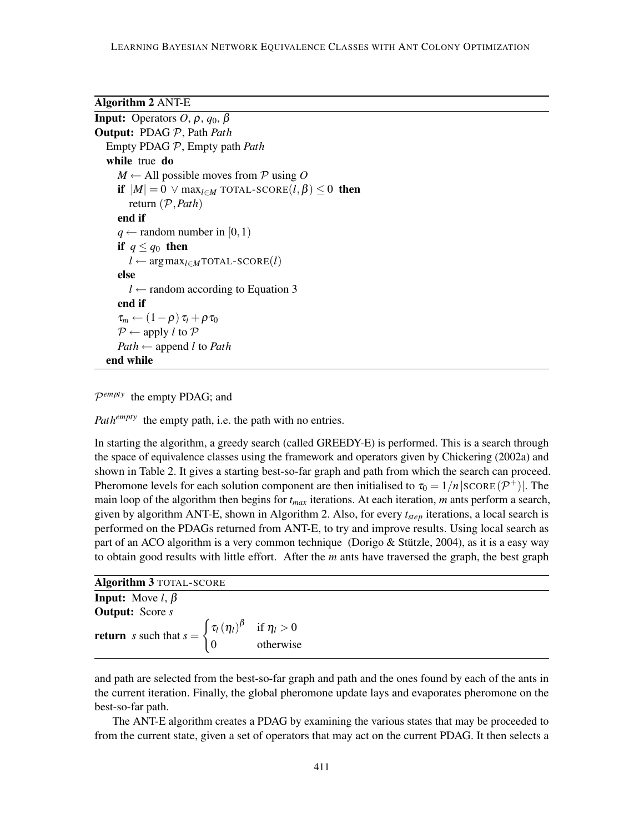<span id="page-20-0"></span>Algorithm 2 ANT-E

```
Input: Operators O, ρ, q_0, βOutput: PDAG P, Path Path
  Empty PDAG P, Empty path Path
  while true do
     M \leftarrow All possible moves from P using O
     if |M| = 0 \vee max<sub>l∈M</sub> TOTAL-SCORE(l, \beta) \leq 0 then
        return (P,Path)
     end if
     q \leftarrow random number in [0, 1]
     if q \leq q_0 then
        l \leftarrow \arg \max_{l \in M} \text{TOTAL-SCORE}(l)else
        l \leftarrow3
     end if
     \tau_m \leftarrow (1-\rho) \tau_l + \rho \tau_0P \leftarrow apply l to PPath \leftarrow append l to Path
  end while
```
P *empty* the empty PDAG; and

*Path<sup>empty</sup>* the empty path, i.e. the path with no entries.

In starting the algorithm, a greedy search (called GREEDY-E) is performed. This is a search through the space of equivalence classes using the framework and operators given by [Chickering](#page-52-2) [\(2002a\)](#page-52-2) and shown in Table [2.](#page-8-0) It gives a starting best-so-far graph and path from which the search can proceed. Pheromone levels for each solution component are then initialised to  $\tau_0 = 1/n |\text{score}(\mathcal{P}^+)|$ . The main loop of the algorithm then begins for *tmax* iterations. At each iteration, *m* ants perform a search, given by algorithm ANT-E, shown in Algorithm [2.](#page-20-0) Also, for every *tstep* iterations, a local search is performed on the PDAGs returned from ANT-E, to try and improve results. Using local search as part of an ACO algorithm is a very common technique [\(Dorigo & Stützle,](#page-54-4) [2004\)](#page-54-4), as it is a easy way to obtain good results with little effort. After the *m* ants have traversed the graph, the best graph

<span id="page-20-1"></span>

| <b>return</b> s such that $s = \begin{cases} \tau_l(\eta_l)^\beta & \text{if } \eta_l > 0 \\ 0 & \text{otherwise} \end{cases}$ |
|--------------------------------------------------------------------------------------------------------------------------------|
|                                                                                                                                |

and path are selected from the best-so-far graph and path and the ones found by each of the ants in the current iteration. Finally, the global pheromone update lays and evaporates pheromone on the best-so-far path.

The ANT-E algorithm creates a PDAG by examining the various states that may be proceeded to from the current state, given a set of operators that may act on the current PDAG. It then selects a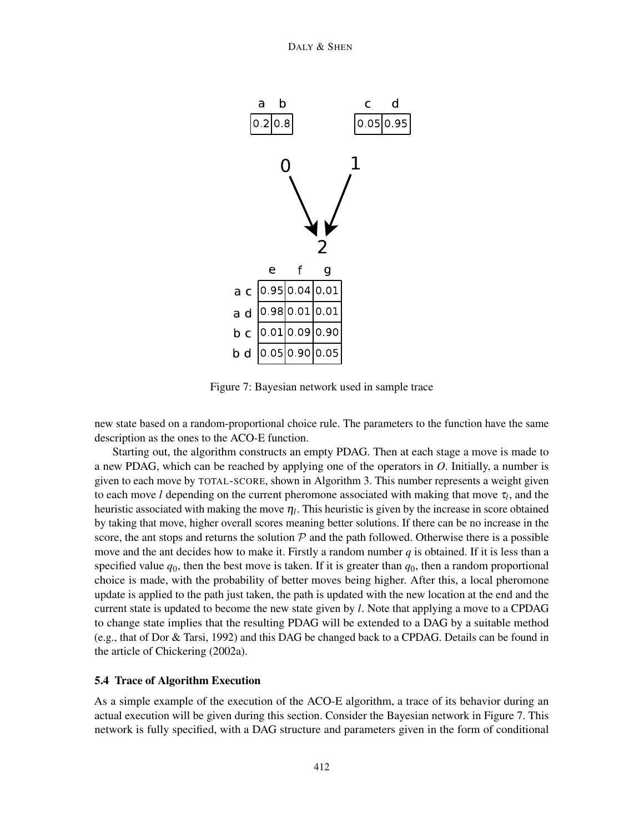

<span id="page-21-0"></span>Figure 7: Bayesian network used in sample trace

new state based on a random-proportional choice rule. The parameters to the function have the same description as the ones to the ACO-E function.

Starting out, the algorithm constructs an empty PDAG. Then at each stage a move is made to a new PDAG, which can be reached by applying one of the operators in *O*. Initially, a number is given to each move by TOTAL-SCORE, shown in Algorithm [3.](#page-20-1) This number represents a weight given to each move *l* depending on the current pheromone associated with making that move  $\tau_l$ , and the heuristic associated with making the move  $\eta_l$ . This heuristic is given by the increase in score obtained by taking that move, higher overall scores meaning better solutions. If there can be no increase in the score, the ant stops and returns the solution  $P$  and the path followed. Otherwise there is a possible move and the ant decides how to make it. Firstly a random number *q* is obtained. If it is less than a specified value  $q_0$ , then the best move is taken. If it is greater than  $q_0$ , then a random proportional choice is made, with the probability of better moves being higher. After this, a local pheromone update is applied to the path just taken, the path is updated with the new location at the end and the current state is updated to become the new state given by *l*. Note that applying a move to a CPDAG to change state implies that the resulting PDAG will be extended to a DAG by a suitable method (e.g., that of [Dor & Tarsi,](#page-53-9) [1992\)](#page-53-9) and this DAG be changed back to a CPDAG. Details can be found in the article of [Chickering](#page-52-2) [\(2002a\)](#page-52-2).

# 5.4 Trace of Algorithm Execution

As a simple example of the execution of the ACO-E algorithm, a trace of its behavior during an actual execution will be given during this section. Consider the Bayesian network in Figure [7.](#page-21-0) This network is fully specified, with a DAG structure and parameters given in the form of conditional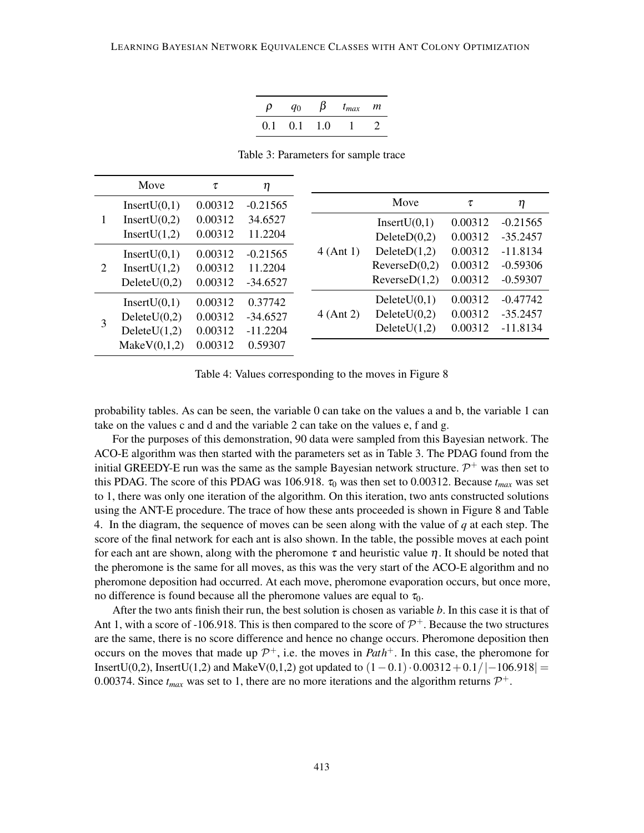|     | 'n |    | $t_{max}$ | m |
|-----|----|----|-----------|---|
| 0.1 | 01 | 10 |           |   |

<span id="page-22-0"></span>Table 3: Parameters for sample trace

|   | Move            | $\tau$  | η          |             |               |         |            |
|---|-----------------|---------|------------|-------------|---------------|---------|------------|
|   | InsertU(0,1)    | 0.00312 | $-0.21565$ |             | Move          | τ       | η          |
| 1 | Insert $U(0,2)$ | 0.00312 | 34.6527    |             | InsertU(0,1)  | 0.00312 | $-0.21565$ |
|   | Insert $U(1,2)$ | 0.00312 | 11.2204    |             | DeleteD(0,2)  | 0.00312 | $-35.2457$ |
|   | InsertU(0,1)    | 0.00312 | $-0.21565$ | 4 (Ant 1)   | DeleteD(1,2)  | 0.00312 | $-11.8134$ |
| 2 | Insert $U(1,2)$ | 0.00312 | 11.2204    |             | ReverseD(0,2) | 0.00312 | $-0.59306$ |
|   | DeleteU(0,2)    | 0.00312 | $-34.6527$ |             | ReverseD(1,2) | 0.00312 | $-0.59307$ |
|   | InsertU(0,1)    | 0.00312 | 0.37742    |             | DeleteU(0,1)  | 0.00312 | $-0.47742$ |
|   | DeleteU(0,2)    | 0.00312 | $-34.6527$ | $4$ (Ant 2) | DeleteU(0,2)  | 0.00312 | $-35.2457$ |
| 3 | DeleteU(1,2)    | 0.00312 | $-11.2204$ |             | DeleteU(1,2)  | 0.00312 | $-11.8134$ |
|   | MakeV(0,1,2)    | 0.00312 | 0.59307    |             |               |         |            |

<span id="page-22-1"></span>Table 4: Values corresponding to the moves in Figure [8](#page-23-0)

probability tables. As can be seen, the variable 0 can take on the values a and b, the variable 1 can take on the values c and d and the variable 2 can take on the values e, f and g.

For the purposes of this demonstration, 90 data were sampled from this Bayesian network. The ACO-E algorithm was then started with the parameters set as in Table [3.](#page-22-0) The PDAG found from the initial GREEDY-E run was the same as the sample Bayesian network structure.  $\mathcal{P}^+$  was then set to this PDAG. The score of this PDAG was 106.918.  $\tau_0$  was then set to 0.00312. Because  $t_{max}$  was set to 1, there was only one iteration of the algorithm. On this iteration, two ants constructed solutions using the ANT-E procedure. The trace of how these ants proceeded is shown in Figure [8](#page-23-0) and Table [4.](#page-22-1) In the diagram, the sequence of moves can be seen along with the value of *q* at each step. The score of the final network for each ant is also shown. In the table, the possible moves at each point for each ant are shown, along with the pheromone  $\tau$  and heuristic value  $\eta$ . It should be noted that the pheromone is the same for all moves, as this was the very start of the ACO-E algorithm and no pheromone deposition had occurred. At each move, pheromone evaporation occurs, but once more, no difference is found because all the pheromone values are equal to  $\tau_0$ .

After the two ants finish their run, the best solution is chosen as variable *b*. In this case it is that of Ant 1, with a score of -106.918. This is then compared to the score of  $\mathcal{P}^+$ . Because the two structures are the same, there is no score difference and hence no change occurs. Pheromone deposition then occurs on the moves that made up  $\mathcal{P}^+$ , i.e. the moves in *Path*<sup>+</sup>. In this case, the pheromone for InsertU(0,2), InsertU(1,2) and MakeV(0,1,2) got updated to  $(1-0.1) \cdot 0.00312 + 0.1/|-106.918| =$ 0.00374. Since  $t_{max}$  was set to 1, there are no more iterations and the algorithm returns  $\mathcal{P}^+$ .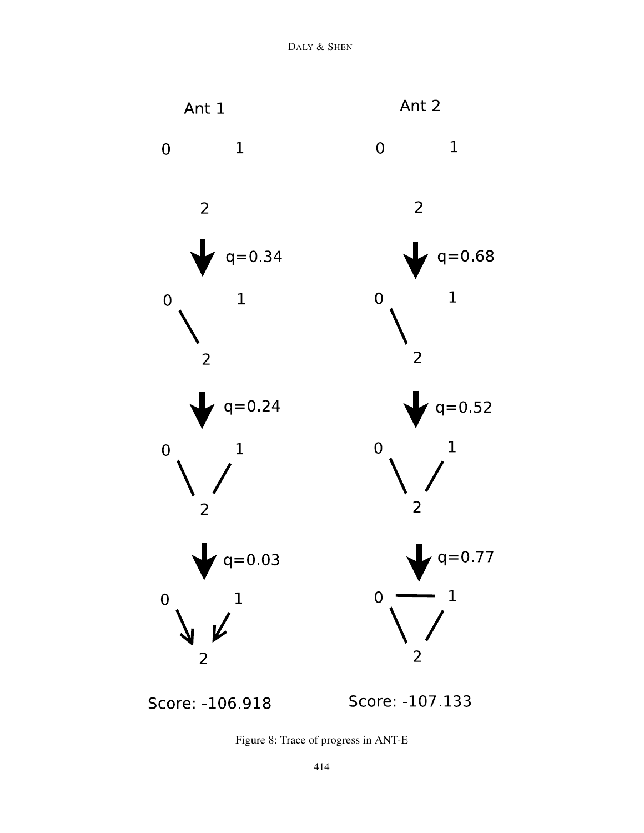

Score: -106.918

Score: -107 133

<span id="page-23-0"></span>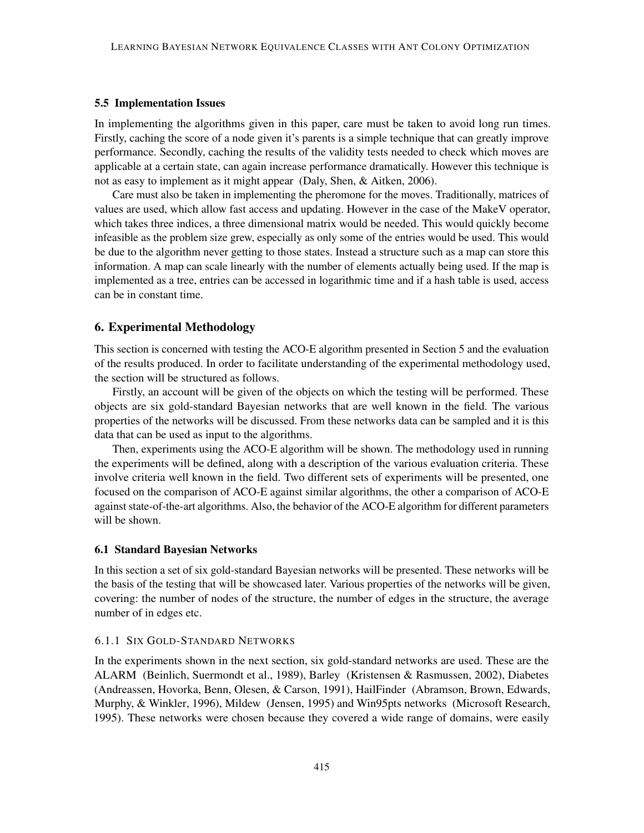#### 5.5 Implementation Issues

In implementing the algorithms given in this paper, care must be taken to avoid long run times. Firstly, caching the score of a node given it's parents is a simple technique that can greatly improve performance. Secondly, caching the results of the validity tests needed to check which moves are applicable at a certain state, can again increase performance dramatically. However this technique is not as easy to implement as it might appear [\(Daly, Shen, & Aitken,](#page-53-10) [2006\)](#page-53-10).

Care must also be taken in implementing the pheromone for the moves. Traditionally, matrices of values are used, which allow fast access and updating. However in the case of the MakeV operator, which takes three indices, a three dimensional matrix would be needed. This would quickly become infeasible as the problem size grew, especially as only some of the entries would be used. This would be due to the algorithm never getting to those states. Instead a structure such as a map can store this information. A map can scale linearly with the number of elements actually being used. If the map is implemented as a tree, entries can be accessed in logarithmic time and if a hash table is used, access can be in constant time.

# 6. Experimental Methodology

This section is concerned with testing the ACO-E algorithm presented in Section [5](#page-12-0) and the evaluation of the results produced. In order to facilitate understanding of the experimental methodology used, the section will be structured as follows.

Firstly, an account will be given of the objects on which the testing will be performed. These objects are six gold-standard Bayesian networks that are well known in the field. The various properties of the networks will be discussed. From these networks data can be sampled and it is this data that can be used as input to the algorithms.

Then, experiments using the ACO-E algorithm will be shown. The methodology used in running the experiments will be defined, along with a description of the various evaluation criteria. These involve criteria well known in the field. Two different sets of experiments will be presented, one focused on the comparison of ACO-E against similar algorithms, the other a comparison of ACO-E against state-of-the-art algorithms. Also, the behavior of the ACO-E algorithm for different parameters will be shown.

#### 6.1 Standard Bayesian Networks

In this section a set of six gold-standard Bayesian networks will be presented. These networks will be the basis of the testing that will be showcased later. Various properties of the networks will be given, covering: the number of nodes of the structure, the number of edges in the structure, the average number of in edges etc.

#### <span id="page-24-0"></span>6.1.1 SIX GOLD-STANDARD NETWORKS

In the experiments shown in the next section, six gold-standard networks are used. These are the ALARM [\(Beinlich, Suermondt et al.,](#page-51-5) [1989\)](#page-51-5), Barley [\(Kristensen & Rasmussen,](#page-55-9) [2002\)](#page-55-9), Diabetes [\(Andreassen, Hovorka, Benn, Olesen, & Carson,](#page-51-7) [1991\)](#page-51-7), HailFinder [\(Abramson, Brown, Edwards,](#page-51-8) [Murphy, & Winkler,](#page-51-8) [1996\)](#page-51-8), Mildew [\(Jensen,](#page-54-12) [1995\)](#page-54-12) and Win95pts networks [\(Microsoft Research,](#page-55-10) [1995\)](#page-55-10). These networks were chosen because they covered a wide range of domains, were easily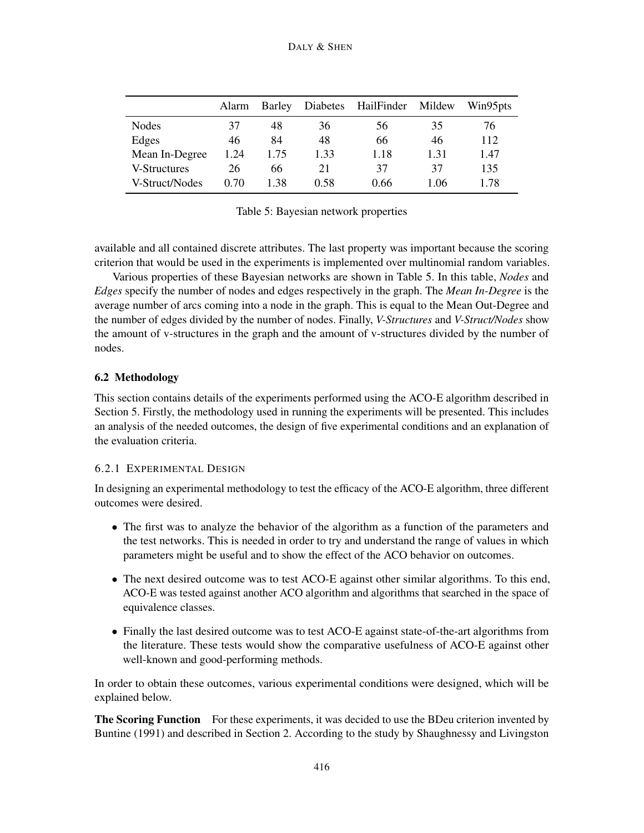|                | Alarm | Barley |      | Diabetes HailFinder Mildew |      | Win95pts |
|----------------|-------|--------|------|----------------------------|------|----------|
| <b>Nodes</b>   | 37    | 48     | 36   | 56                         | 35   | 76       |
| Edges          | 46    | 84     | 48   | 66                         | 46   | 112      |
| Mean In-Degree | 1.24  | 1.75   | 1.33 | 1.18                       | 1.31 | 1.47     |
| V-Structures   | 26    | 66     | 21   | 37                         | 37   | 135      |
| V-Struct/Nodes | 0.70  | 1.38   | 0.58 | 0.66                       | 1.06 | 1.78     |

<span id="page-25-0"></span>Table 5: Bayesian network properties

available and all contained discrete attributes. The last property was important because the scoring criterion that would be used in the experiments is implemented over multinomial random variables.

Various properties of these Bayesian networks are shown in Table [5.](#page-25-0) In this table, *Nodes* and *Edges* specify the number of nodes and edges respectively in the graph. The *Mean In-Degree* is the average number of arcs coming into a node in the graph. This is equal to the Mean Out-Degree and the number of edges divided by the number of nodes. Finally, *V-Structures* and *V-Struct/Nodes* show the amount of v-structures in the graph and the amount of v-structures divided by the number of nodes.

# <span id="page-25-1"></span>6.2 Methodology

This section contains details of the experiments performed using the ACO-E algorithm described in Section [5.](#page-12-0) Firstly, the methodology used in running the experiments will be presented. This includes an analysis of the needed outcomes, the design of five experimental conditions and an explanation of the evaluation criteria.

# <span id="page-25-2"></span>6.2.1 EXPERIMENTAL DESIGN

In designing an experimental methodology to test the efficacy of the ACO-E algorithm, three different outcomes were desired.

- The first was to analyze the behavior of the algorithm as a function of the parameters and the test networks. This is needed in order to try and understand the range of values in which parameters might be useful and to show the effect of the ACO behavior on outcomes.
- The next desired outcome was to test ACO-E against other similar algorithms. To this end, ACO-E was tested against another ACO algorithm and algorithms that searched in the space of equivalence classes.
- Finally the last desired outcome was to test ACO-E against state-of-the-art algorithms from the literature. These tests would show the comparative usefulness of ACO-E against other well-known and good-performing methods.

In order to obtain these outcomes, various experimental conditions were designed, which will be explained below.

**The Scoring Function** For these experiments, it was decided to use the BDeu criterion invented by [Buntine](#page-52-5) [\(1991\)](#page-52-5) and described in Section [2.](#page-2-0) According to the study by [Shaughnessy and Livingston](#page-56-11)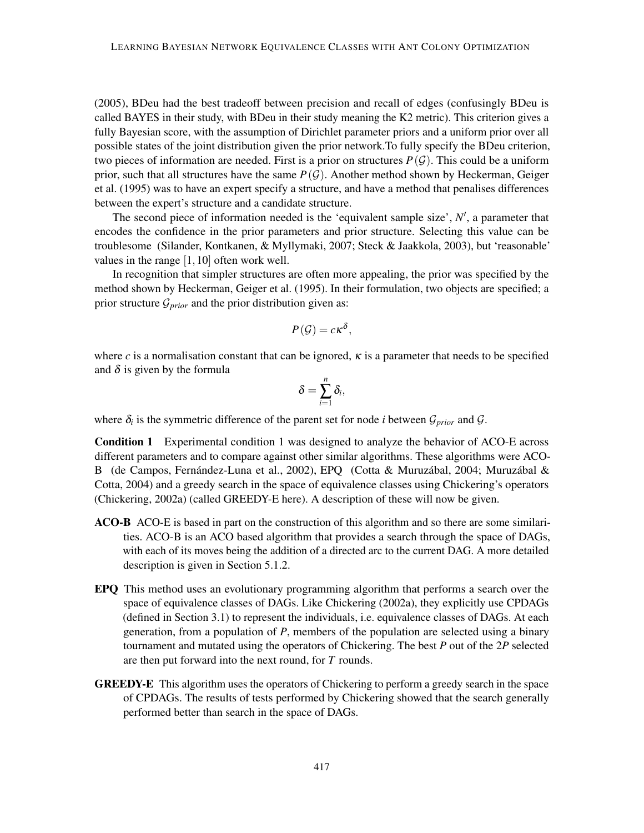[\(2005\)](#page-56-11), BDeu had the best tradeoff between precision and recall of edges (confusingly BDeu is called BAYES in their study, with BDeu in their study meaning the K2 metric). This criterion gives a fully Bayesian score, with the assumption of Dirichlet parameter priors and a uniform prior over all possible states of the joint distribution given the prior network.To fully specify the BDeu criterion, two pieces of information are needed. First is a prior on structures  $P(G)$ . This could be a uniform prior, such that all structures have the same  $P(G)$ . Another method shown by [Heckerman, Geiger](#page-54-6) [et al.](#page-54-6) [\(1995\)](#page-54-6) was to have an expert specify a structure, and have a method that penalises differences between the expert's structure and a candidate structure.

The second piece of information needed is the 'equivalent sample size',  $N'$ , a parameter that encodes the confidence in the prior parameters and prior structure. Selecting this value can be troublesome [\(Silander, Kontkanen, & Myllymaki,](#page-56-12) [2007;](#page-56-12) [Steck & Jaakkola,](#page-56-13) [2003\)](#page-56-13), but 'reasonable' values in the range [1,10] often work well.

In recognition that simpler structures are often more appealing, the prior was specified by the method shown by [Heckerman, Geiger et al.](#page-54-6) [\(1995\)](#page-54-6). In their formulation, two objects are specified; a prior structure  $\mathcal{G}_{prior}$  and the prior distribution given as:

$$
P(\mathcal{G})=c\kappa^{\delta},
$$

where *c* is a normalisation constant that can be ignored,  $\kappa$  is a parameter that needs to be specified and  $\delta$  is given by the formula

$$
\delta=\sum_{i=1}^n\delta_i,
$$

where  $\delta_i$  is the symmetric difference of the parent set for node *i* between  $\mathcal{G}_{prior}$  and  $\mathcal{G}$ .

Condition 1 Experimental condition 1 was designed to analyze the behavior of ACO-E across different parameters and to compare against other similar algorithms. These algorithms were ACO-B [\(de Campos, Fernández-Luna et al.,](#page-53-2) [2002\)](#page-53-2), EPQ [\(Cotta & Muruzábal,](#page-53-11) [2004;](#page-53-11) [Muruzábal &](#page-55-11) [Cotta,](#page-55-11) [2004\)](#page-55-11) and a greedy search in the space of equivalence classes using Chickering's operators [\(Chickering,](#page-52-2) [2002a\)](#page-52-2) (called GREEDY-E here). A description of these will now be given.

- ACO-B ACO-E is based in part on the construction of this algorithm and so there are some similarities. ACO-B is an ACO based algorithm that provides a search through the space of DAGs, with each of its moves being the addition of a directed arc to the current DAG. A more detailed description is given in Section [5.1.2.](#page-14-0)
- EPQ This method uses an evolutionary programming algorithm that performs a search over the space of equivalence classes of DAGs. Like [Chickering](#page-52-2) [\(2002a\)](#page-52-2), they explicitly use CPDAGs (defined in Section [3.1\)](#page-5-1) to represent the individuals, i.e. equivalence classes of DAGs. At each generation, from a population of *P*, members of the population are selected using a binary tournament and mutated using the operators of [Chickering.](#page-52-2) The best *P* out of the 2*P* selected are then put forward into the next round, for *T* rounds.
- GREEDY-E This algorithm uses the operators of Chickering to perform a greedy search in the space of CPDAGs. The results of tests performed by Chickering showed that the search generally performed better than search in the space of DAGs.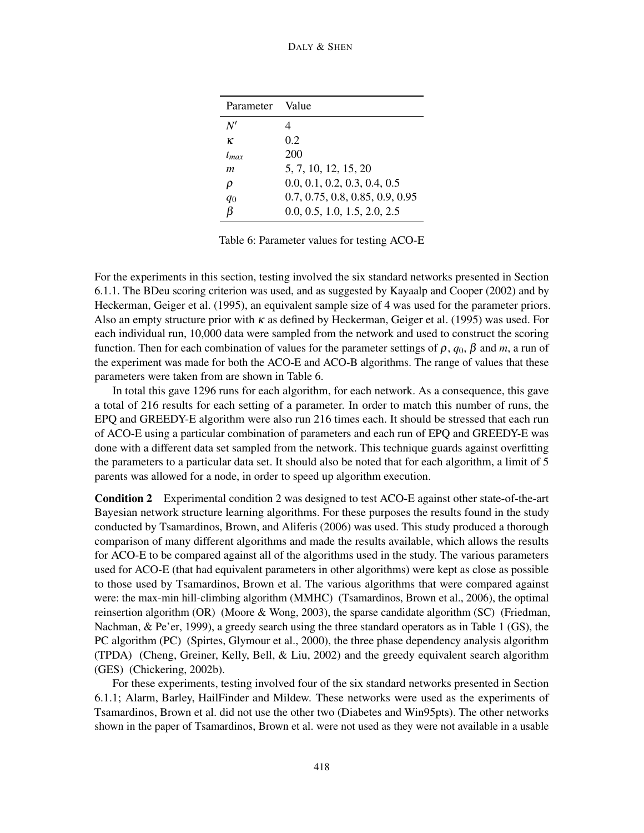| Parameter Value  |                                 |
|------------------|---------------------------------|
| N'               |                                 |
| к                | 0.2                             |
| $t_{\text{max}}$ | 200                             |
| m                | 5, 7, 10, 12, 15, 20            |
| ρ                | 0.0, 0.1, 0.2, 0.3, 0.4, 0.5    |
| $q_0$            | 0.7, 0.75, 0.8, 0.85, 0.9, 0.95 |
| ß                | 0.0, 0.5, 1.0, 1.5, 2.0, 2.5    |

<span id="page-27-0"></span>Table 6: Parameter values for testing ACO-E

For the experiments in this section, testing involved the six standard networks presented in Section [6.1.1.](#page-24-0) The BDeu scoring criterion was used, and as suggested by [Kayaalp and Cooper](#page-54-13) [\(2002\)](#page-54-13) and by [Heckerman, Geiger et al.](#page-54-6) [\(1995\)](#page-54-6), an equivalent sample size of 4 was used for the parameter priors. Also an empty structure prior with  $\kappa$  as defined by [Heckerman, Geiger et al.](#page-54-6) [\(1995\)](#page-54-6) was used. For each individual run, 10,000 data were sampled from the network and used to construct the scoring function. Then for each combination of values for the parameter settings of ρ, *q*0, β and *m*, a run of the experiment was made for both the ACO-E and ACO-B algorithms. The range of values that these parameters were taken from are shown in Table [6.](#page-27-0)

In total this gave 1296 runs for each algorithm, for each network. As a consequence, this gave a total of 216 results for each setting of a parameter. In order to match this number of runs, the EPQ and GREEDY-E algorithm were also run 216 times each. It should be stressed that each run of ACO-E using a particular combination of parameters and each run of EPQ and GREEDY-E was done with a different data set sampled from the network. This technique guards against overfitting the parameters to a particular data set. It should also be noted that for each algorithm, a limit of 5 parents was allowed for a node, in order to speed up algorithm execution.

Condition 2 Experimental condition 2 was designed to test ACO-E against other state-of-the-art Bayesian network structure learning algorithms. For these purposes the results found in the study conducted by [Tsamardinos, Brown, and Aliferis](#page-56-14) [\(2006\)](#page-56-14) was used. This study produced a thorough comparison of many different algorithms and made the results available, which allows the results for ACO-E to be compared against all of the algorithms used in the study. The various parameters used for ACO-E (that had equivalent parameters in other algorithms) were kept as close as possible to those used by [Tsamardinos, Brown et al.](#page-56-14) The various algorithms that were compared against were: the max-min hill-climbing algorithm (MMHC) [\(Tsamardinos, Brown et al.,](#page-56-14) [2006\)](#page-56-14), the optimal reinsertion algorithm (OR) [\(Moore & Wong,](#page-55-12) [2003\)](#page-55-12), the sparse candidate algorithm (SC) [\(Friedman,](#page-54-14) [Nachman, & Pe'er,](#page-54-14) [1999\)](#page-54-14), a greedy search using the three standard operators as in Table [1](#page-5-0) (GS), the PC algorithm (PC) [\(Spirtes, Glymour et al.,](#page-56-1) [2000\)](#page-56-1), the three phase dependency analysis algorithm (TPDA) [\(Cheng, Greiner, Kelly, Bell, & Liu,](#page-52-12) [2002\)](#page-52-12) and the greedy equivalent search algorithm (GES) [\(Chickering,](#page-52-8) [2002b\)](#page-52-8).

For these experiments, testing involved four of the six standard networks presented in Section [6.1.1;](#page-24-0) Alarm, Barley, HailFinder and Mildew. These networks were used as the experiments of [Tsamardinos, Brown et al.](#page-56-14) did not use the other two (Diabetes and Win95pts). The other networks shown in the paper of [Tsamardinos, Brown et al.](#page-56-14) were not used as they were not available in a usable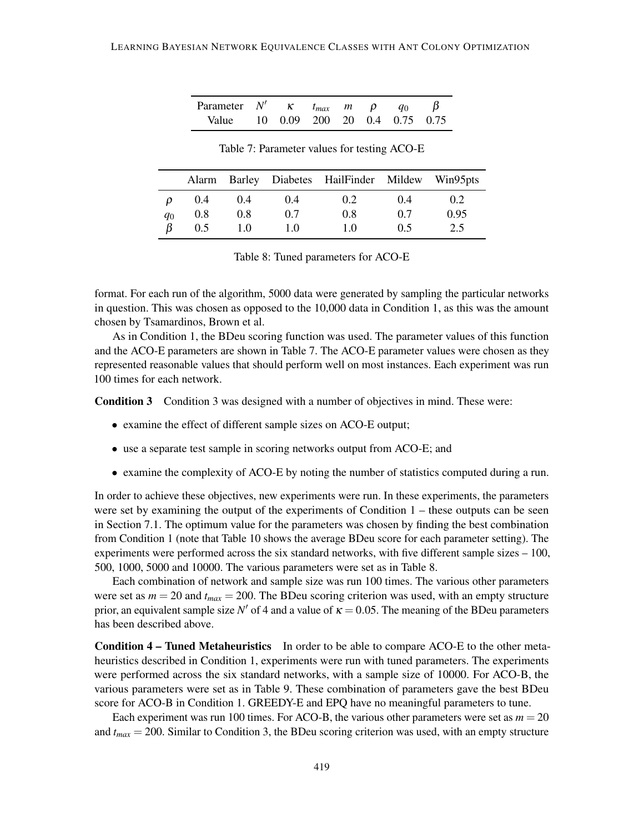| Parameter N' $\kappa$ $t_{max}$ $m \rho q_0 \beta$ |  |  |  |  |
|----------------------------------------------------|--|--|--|--|
| Value 10 0.09 200 20 0.4 0.75 0.75                 |  |  |  |  |

<span id="page-28-0"></span>Table 7: Parameter values for testing ACO-E

|       |     |     |     | Alarm Barley Diabetes HailFinder Mildew Win95pts |     |      |
|-------|-----|-----|-----|--------------------------------------------------|-----|------|
| ρ     | 0.4 | 0.4 | 0.4 | 0.2                                              | 0.4 | 0.2  |
| $q_0$ | 0.8 | 0.8 | 0.7 | 0.8                                              | 0.7 | 0.95 |
| ß     | 0.5 | 1.0 | 10  | 1.0                                              | 0.5 | 2.5  |

<span id="page-28-1"></span>Table 8: Tuned parameters for ACO-E

format. For each run of the algorithm, 5000 data were generated by sampling the particular networks in question. This was chosen as opposed to the 10,000 data in Condition 1, as this was the amount chosen by [Tsamardinos, Brown et al.](#page-56-14)

As in Condition 1, the BDeu scoring function was used. The parameter values of this function and the ACO-E parameters are shown in Table [7.](#page-28-0) The ACO-E parameter values were chosen as they represented reasonable values that should perform well on most instances. Each experiment was run 100 times for each network.

Condition 3 Condition 3 was designed with a number of objectives in mind. These were:

- examine the effect of different sample sizes on ACO-E output;
- use a separate test sample in scoring networks output from ACO-E; and
- examine the complexity of ACO-E by noting the number of statistics computed during a run.

In order to achieve these objectives, new experiments were run. In these experiments, the parameters were set by examining the output of the experiments of Condition 1 – these outputs can be seen in Section [7.1.](#page-30-0) The optimum value for the parameters was chosen by finding the best combination from Condition 1 (note that Table [10](#page-32-0) shows the average BDeu score for each parameter setting). The experiments were performed across the six standard networks, with five different sample sizes – 100, 500, 1000, 5000 and 10000. The various parameters were set as in Table [8.](#page-28-1)

Each combination of network and sample size was run 100 times. The various other parameters were set as  $m = 20$  and  $t_{max} = 200$ . The BDeu scoring criterion was used, with an empty structure prior, an equivalent sample size  $N'$  of 4 and a value of  $\kappa = 0.05$ . The meaning of the BDeu parameters has been described above.

Condition 4 – Tuned Metaheuristics In order to be able to compare ACO-E to the other metaheuristics described in Condition 1, experiments were run with tuned parameters. The experiments were performed across the six standard networks, with a sample size of 10000. For ACO-B, the various parameters were set as in Table [9.](#page-29-0) These combination of parameters gave the best BDeu score for ACO-B in Condition 1. GREEDY-E and EPQ have no meaningful parameters to tune.

Each experiment was run 100 times. For ACO-B, the various other parameters were set as  $m = 20$ and *tmax* = 200. Similar to Condition 3, the BDeu scoring criterion was used, with an empty structure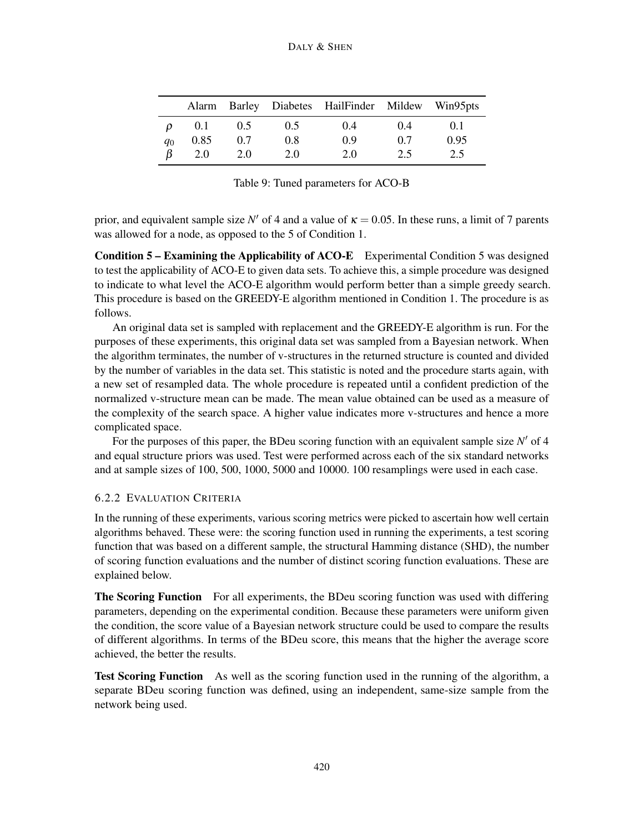|                |      |     |     | Alarm Barley Diabetes HailFinder Mildew Win95pts |       |      |
|----------------|------|-----|-----|--------------------------------------------------|-------|------|
| $\mathcal{D}$  | 0.1  | 0.5 | 0.5 | 0.4                                              | (0.4) | 0.1  |
| q <sub>0</sub> | 0.85 | 0.7 | 0.8 | 0.9                                              | 0.7   | 0.95 |
|                | 2.0  | 2.0 | 2.0 | 2.0                                              | 2.5   | 2.5  |

<span id="page-29-0"></span>Table 9: Tuned parameters for ACO-B

prior, and equivalent sample size  $N'$  of 4 and a value of  $\kappa = 0.05$ . In these runs, a limit of 7 parents was allowed for a node, as opposed to the 5 of Condition 1.

Condition 5 – Examining the Applicability of ACO-E Experimental Condition 5 was designed to test the applicability of ACO-E to given data sets. To achieve this, a simple procedure was designed to indicate to what level the ACO-E algorithm would perform better than a simple greedy search. This procedure is based on the GREEDY-E algorithm mentioned in Condition 1. The procedure is as follows.

An original data set is sampled with replacement and the GREEDY-E algorithm is run. For the purposes of these experiments, this original data set was sampled from a Bayesian network. When the algorithm terminates, the number of v-structures in the returned structure is counted and divided by the number of variables in the data set. This statistic is noted and the procedure starts again, with a new set of resampled data. The whole procedure is repeated until a confident prediction of the normalized v-structure mean can be made. The mean value obtained can be used as a measure of the complexity of the search space. A higher value indicates more v-structures and hence a more complicated space.

For the purposes of this paper, the BDeu scoring function with an equivalent sample size  $N'$  of 4 and equal structure priors was used. Test were performed across each of the six standard networks and at sample sizes of 100, 500, 1000, 5000 and 10000. 100 resamplings were used in each case.

# <span id="page-29-1"></span>6.2.2 EVALUATION CRITERIA

In the running of these experiments, various scoring metrics were picked to ascertain how well certain algorithms behaved. These were: the scoring function used in running the experiments, a test scoring function that was based on a different sample, the structural Hamming distance (SHD), the number of scoring function evaluations and the number of distinct scoring function evaluations. These are explained below.

The Scoring Function For all experiments, the BDeu scoring function was used with differing parameters, depending on the experimental condition. Because these parameters were uniform given the condition, the score value of a Bayesian network structure could be used to compare the results of different algorithms. In terms of the BDeu score, this means that the higher the average score achieved, the better the results.

Test Scoring Function As well as the scoring function used in the running of the algorithm, a separate BDeu scoring function was defined, using an independent, same-size sample from the network being used.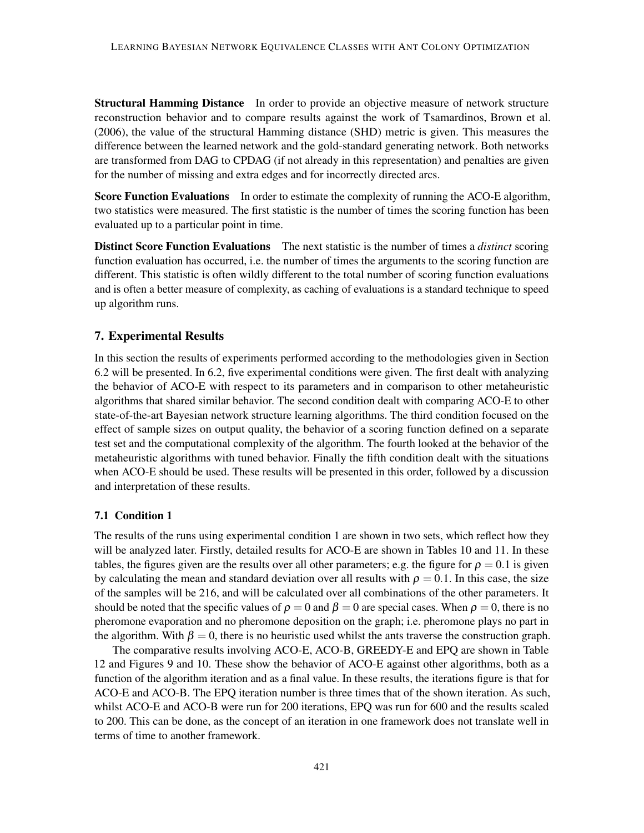**Structural Hamming Distance** In order to provide an objective measure of network structure reconstruction behavior and to compare results against the work of [Tsamardinos, Brown et al.](#page-56-14) [\(2006\)](#page-56-14), the value of the structural Hamming distance (SHD) metric is given. This measures the difference between the learned network and the gold-standard generating network. Both networks are transformed from DAG to CPDAG (if not already in this representation) and penalties are given for the number of missing and extra edges and for incorrectly directed arcs.

Score Function Evaluations In order to estimate the complexity of running the ACO-E algorithm, two statistics were measured. The first statistic is the number of times the scoring function has been evaluated up to a particular point in time.

Distinct Score Function Evaluations The next statistic is the number of times a *distinct* scoring function evaluation has occurred, i.e. the number of times the arguments to the scoring function are different. This statistic is often wildly different to the total number of scoring function evaluations and is often a better measure of complexity, as caching of evaluations is a standard technique to speed up algorithm runs.

# 7. Experimental Results

In this section the results of experiments performed according to the methodologies given in Section [6.2](#page-25-1) will be presented. In [6.2,](#page-25-1) five experimental conditions were given. The first dealt with analyzing the behavior of ACO-E with respect to its parameters and in comparison to other metaheuristic algorithms that shared similar behavior. The second condition dealt with comparing ACO-E to other state-of-the-art Bayesian network structure learning algorithms. The third condition focused on the effect of sample sizes on output quality, the behavior of a scoring function defined on a separate test set and the computational complexity of the algorithm. The fourth looked at the behavior of the metaheuristic algorithms with tuned behavior. Finally the fifth condition dealt with the situations when ACO-E should be used. These results will be presented in this order, followed by a discussion and interpretation of these results.

#### <span id="page-30-0"></span>7.1 Condition 1

The results of the runs using experimental condition 1 are shown in two sets, which reflect how they will be analyzed later. Firstly, detailed results for ACO-E are shown in Tables [10](#page-32-0) and [11.](#page-33-0) In these tables, the figures given are the results over all other parameters; e.g. the figure for  $\rho = 0.1$  is given by calculating the mean and standard deviation over all results with  $\rho = 0.1$ . In this case, the size of the samples will be 216, and will be calculated over all combinations of the other parameters. It should be noted that the specific values of  $\rho = 0$  and  $\beta = 0$  are special cases. When  $\rho = 0$ , there is no pheromone evaporation and no pheromone deposition on the graph; i.e. pheromone plays no part in the algorithm. With  $\beta = 0$ , there is no heuristic used whilst the ants traverse the construction graph.

The comparative results involving ACO-E, ACO-B, GREEDY-E and EPQ are shown in Table [12](#page-34-0) and Figures [9](#page-35-0) and [10.](#page-36-0) These show the behavior of ACO-E against other algorithms, both as a function of the algorithm iteration and as a final value. In these results, the iterations figure is that for ACO-E and ACO-B. The EPQ iteration number is three times that of the shown iteration. As such, whilst ACO-E and ACO-B were run for 200 iterations, EPQ was run for 600 and the results scaled to 200. This can be done, as the concept of an iteration in one framework does not translate well in terms of time to another framework.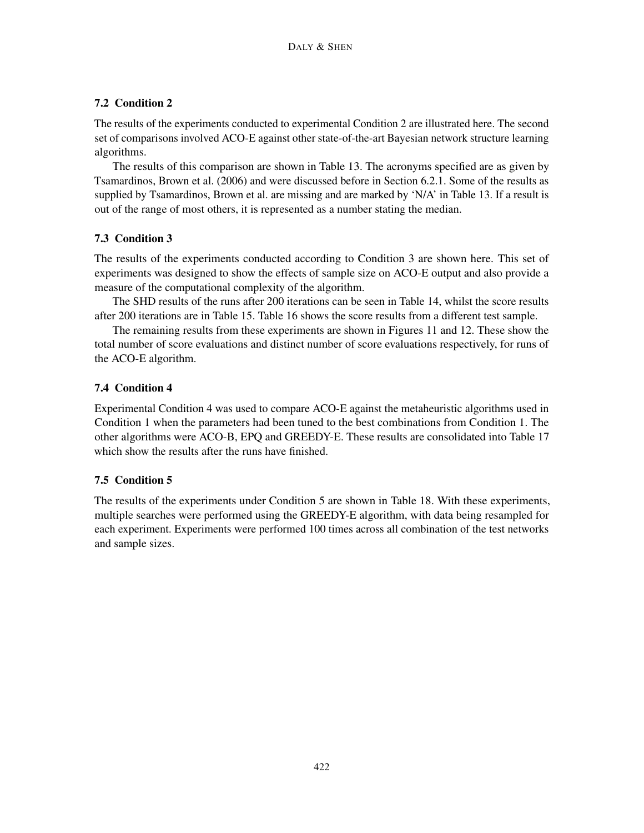# 7.2 Condition 2

The results of the experiments conducted to experimental Condition 2 are illustrated here. The second set of comparisons involved ACO-E against other state-of-the-art Bayesian network structure learning algorithms.

The results of this comparison are shown in Table [13.](#page-34-1) The acronyms specified are as given by [Tsamardinos, Brown et al.](#page-56-14) [\(2006\)](#page-56-14) and were discussed before in Section [6.2.1.](#page-25-2) Some of the results as supplied by [Tsamardinos, Brown et al.](#page-56-14) are missing and are marked by 'N/A' in Table [13.](#page-34-1) If a result is out of the range of most others, it is represented as a number stating the median.

# 7.3 Condition 3

The results of the experiments conducted according to Condition 3 are shown here. This set of experiments was designed to show the effects of sample size on ACO-E output and also provide a measure of the computational complexity of the algorithm.

The SHD results of the runs after 200 iterations can be seen in Table [14,](#page-37-0) whilst the score results after 200 iterations are in Table [15.](#page-37-1) Table [16](#page-37-2) shows the score results from a different test sample.

The remaining results from these experiments are shown in Figures [11](#page-38-0) and [12.](#page-39-0) These show the total number of score evaluations and distinct number of score evaluations respectively, for runs of the ACO-E algorithm.

# <span id="page-31-0"></span>7.4 Condition 4

Experimental Condition 4 was used to compare ACO-E against the metaheuristic algorithms used in Condition 1 when the parameters had been tuned to the best combinations from Condition 1. The other algorithms were ACO-B, EPQ and GREEDY-E. These results are consolidated into Table [17](#page-40-0) which show the results after the runs have finished.

# 7.5 Condition 5

The results of the experiments under Condition 5 are shown in Table [18.](#page-40-1) With these experiments, multiple searches were performed using the GREEDY-E algorithm, with data being resampled for each experiment. Experiments were performed 100 times across all combination of the test networks and sample sizes.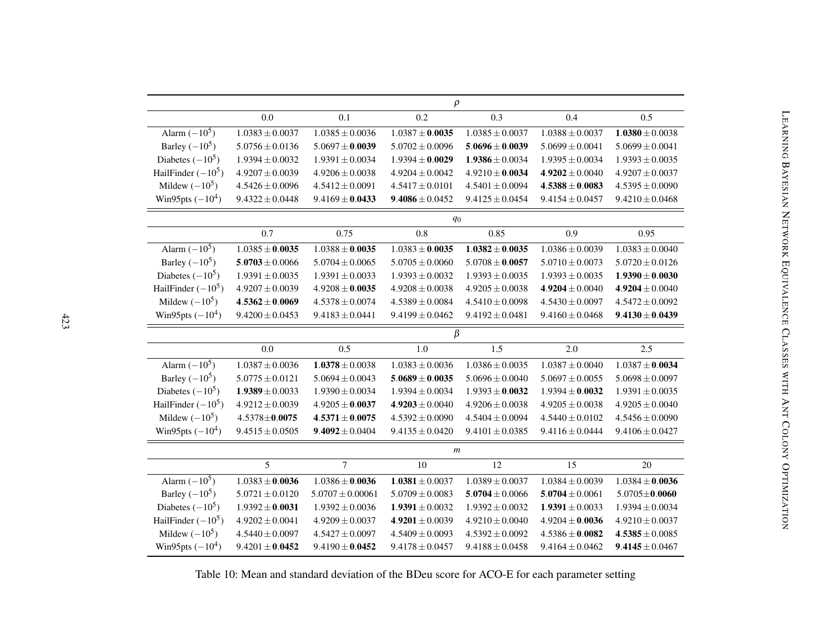<span id="page-32-0"></span>

|                      | $\rho$              |                      |                     |                     |                     |                     |
|----------------------|---------------------|----------------------|---------------------|---------------------|---------------------|---------------------|
|                      | 0.0                 | 0.1                  | 0.2                 | 0.3                 | 0.4                 | 0.5                 |
| Alarm $(-10^5)$      | $1.0383 \pm 0.0037$ | $1.0385 \pm 0.0036$  | $1.0387 \pm 0.0035$ | $1.0385 \pm 0.0037$ | $1.0388 \pm 0.0037$ | $1.0380 \pm 0.0038$ |
| Barley $(-10^5)$     | $5.0756 \pm 0.0136$ | $5.0697 \pm 0.0039$  | $5.0702 \pm 0.0096$ | $5.0696 \pm 0.0039$ | $5.0699 \pm 0.0041$ | $5.0699 \pm 0.0041$ |
| Diabetes $(-10^5)$   | $1.9394 \pm 0.0032$ | $1.9391 \pm 0.0034$  | $1.9394 \pm 0.0029$ | $1.9386 \pm 0.0034$ | $1.9395 \pm 0.0034$ | $1.9393 \pm 0.0035$ |
| HailFinder $(-10^5)$ | $4.9207 \pm 0.0039$ | $4.9206 \pm 0.0038$  | $4.9204 \pm 0.0042$ | $4.9210 \pm 0.0034$ | $4.9202 \pm 0.0040$ | $4.9207 \pm 0.0037$ |
| Mildew $(-10^5)$     | $4.5426 \pm 0.0096$ | $4.5412 \pm 0.0091$  | $4.5417 \pm 0.0101$ | $4.5401 \pm 0.0094$ | $4.5388 \pm 0.0083$ | $4.5395 \pm 0.0090$ |
| Win95pts $(-10^4)$   | $9.4322 \pm 0.0448$ | $9.4169 \pm 0.0433$  | $9.4086 \pm 0.0452$ | $9.4125 \pm 0.0454$ | $9.4154 \pm 0.0457$ | $9.4210 \pm 0.0468$ |
|                      |                     |                      | $q_0$               |                     |                     |                     |
|                      | 0.7                 | 0.75                 | 0.8                 | 0.85                | 0.9                 | 0.95                |
| Alarm $(-10^5)$      | $1.0385 \pm 0.0035$ | $1.0388 \pm 0.0035$  | $1.0383 \pm 0.0035$ | $1.0382 \pm 0.0035$ | $1.0386 \pm 0.0039$ | $1.0383 \pm 0.0040$ |
| Barley $(-10^5)$     | $5.0703 \pm 0.0066$ | $5.0704 \pm 0.0065$  | $5.0705 \pm 0.0060$ | $5.0708 \pm 0.0057$ | $5.0710 \pm 0.0073$ | $5.0720 \pm 0.0126$ |
| Diabetes $(-10^5)$   | $1.9391 \pm 0.0035$ | $1.9391 \pm 0.0033$  | $1.9393 \pm 0.0032$ | $1.9393 \pm 0.0035$ | $1.9393 \pm 0.0035$ | $1.9390 \pm 0.0030$ |
| HailFinder $(-10^5)$ | $4.9207 \pm 0.0039$ | $4.9208 \pm 0.0035$  | $4.9208 \pm 0.0038$ | $4.9205 \pm 0.0038$ | $4.9204 \pm 0.0040$ | $4.9204 \pm 0.0040$ |
| Mildew $(-10^5)$     | $4.5362 \pm 0.0069$ | $4.5378 \pm 0.0074$  | $4.5389 \pm 0.0084$ | $4.5410 \pm 0.0098$ | $4.5430 \pm 0.0097$ | $4.5472 \pm 0.0092$ |
| Win95pts $(-10^4)$   | $9.4200 \pm 0.0453$ | $9.4183 \pm 0.0441$  | $9.4199 \pm 0.0462$ | $9.4192 \pm 0.0481$ | $9.4160 \pm 0.0468$ | $9.4130 \pm 0.0439$ |
|                      |                     |                      | $\beta$             |                     |                     |                     |
|                      | 0.0                 | 0.5                  | 1.0                 | 1.5                 | 2.0                 | 2.5                 |
| Alarm $(-10^5)$      | $1.0387 \pm 0.0036$ | $1.0378 \pm 0.0038$  | $1.0383 \pm 0.0036$ | $1.0386 \pm 0.0035$ | $1.0387 \pm 0.0040$ | $1.0387 \pm 0.0034$ |
| Barley $(-10^5)$     | $5.0775 \pm 0.0121$ | $5.0694 \pm 0.0043$  | $5.0689 \pm 0.0035$ | $5.0696 \pm 0.0040$ | $5.0697 \pm 0.0055$ | $5.0698 \pm 0.0097$ |
| Diabetes $(-10^5)$   | $1.9389 \pm 0.0033$ | $1.9390 \pm 0.0034$  | $1.9394 \pm 0.0034$ | $1.9393 \pm 0.0032$ | $1.9394 \pm 0.0032$ | $1.9391 \pm 0.0035$ |
| HailFinder $(-10^5)$ | $4.9212 \pm 0.0039$ | $4.9205 \pm 0.0037$  | $4.9203 \pm 0.0040$ | $4.9206 \pm 0.0038$ | $4.9205 \pm 0.0038$ | $4.9205 \pm 0.0040$ |
| Mildew $(-10^5)$     | $4.5378 \pm 0.0075$ | $4.5371 \pm 0.0075$  | $4.5392 \pm 0.0090$ | $4.5404 \pm 0.0094$ | $4.5440 \pm 0.0102$ | $4.5456 \pm 0.0090$ |
| Win95pts $(-10^4)$   | $9.4515 \pm 0.0505$ | $9.4092 \pm 0.0404$  | $9.4135 \pm 0.0420$ | $9.4101 \pm 0.0385$ | $9.4116 \pm 0.0444$ | $9.4106 \pm 0.0427$ |
|                      |                     |                      | $\boldsymbol{m}$    |                     |                     |                     |
|                      | 5                   | $\overline{7}$       | 10                  | 12                  | 15                  | 20                  |
| Alarm $(-10^5)$      | $1.0383 \pm 0.0036$ | $1.0386 \pm 0.0036$  | $1.0381 \pm 0.0037$ | $1.0389 \pm 0.0037$ | $1.0384 \pm 0.0039$ | $1.0384 \pm 0.0036$ |
| Barley $(-10^5)$     | $5.0721 \pm 0.0120$ | $5.0707 \pm 0.00061$ | $5.0709 \pm 0.0083$ | $5.0704 \pm 0.0066$ | $5.0704 \pm 0.0061$ | $5.0705 \pm 0.0060$ |
| Diabetes $(-10^5)$   | $1.9392 \pm 0.0031$ | $1.9392 \pm 0.0036$  | $1.9391 \pm 0.0032$ | $1.9392 \pm 0.0032$ | $1.9391 \pm 0.0033$ | $1.9394 \pm 0.0034$ |
| HailFinder $(-10^5)$ | $4.9202 \pm 0.0041$ | $4.9209 \pm 0.0037$  | $4.9201 \pm 0.0039$ | $4.9210 \pm 0.0040$ | $4.9204 \pm 0.0036$ | $4.9210 \pm 0.0037$ |
| Mildew $(-10^5)$     | $4.5440 \pm 0.0097$ | $4.5427 \pm 0.0097$  | $4.5409 \pm 0.0093$ | $4.5392 \pm 0.0092$ | $4.5386 \pm 0.0082$ | $4.5385 \pm 0.0085$ |
| Win95pts $(-10^4)$   | $9.4201 \pm 0.0452$ | $9.4190 \pm 0.0452$  | $9.4178 \pm 0.0457$ | $9.4188 \pm 0.0458$ | $9.4164 \pm 0.0462$ | $9.4145 \pm 0.0467$ |

Table 10: Mean and standard deviation of the BDeu score for ACO-E for each parameter setting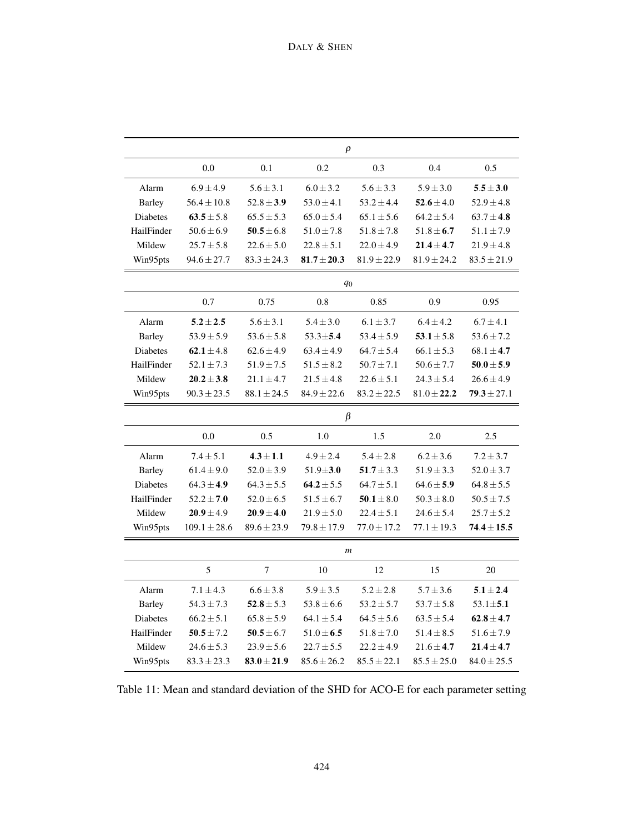|                 | $\rho$           |                         |                  |                 |                 |                 |  |
|-----------------|------------------|-------------------------|------------------|-----------------|-----------------|-----------------|--|
|                 | 0.0              | 0.1                     | 0.2              | 0.3             | 0.4             | 0.5             |  |
| Alarm           | $6.9 \pm 4.9$    | $5.6 \pm 3.1$           | $6.0 \pm 3.2$    | $5.6 \pm 3.3$   | $5.9 \pm 3.0$   | $5.5 \pm 3.0$   |  |
| <b>Barley</b>   | $56.4 \pm 10.8$  | $52.8 \pm 3.9$          | $53.0 \pm 4.1$   | $53.2 \pm 4.4$  | $52.6 \pm 4.0$  | $52.9 \pm 4.8$  |  |
| Diabetes        | $63.5 \pm 5.8$   | $65.5 \pm 5.3$          | $65.0 \pm 5.4$   | $65.1 \pm 5.6$  | $64.2 \pm 5.4$  | $63.7 \pm 4.8$  |  |
| HailFinder      | $50.6 \pm 6.9$   | $\textbf{50.5} \pm 6.8$ | $51.0 \pm 7.8$   | $51.8 \pm 7.8$  | $51.8 \pm 6.7$  | $51.1 \pm 7.9$  |  |
| Mildew          | $25.7 \pm 5.8$   | $22.6 \pm 5.0$          | $22.8 \pm 5.1$   | $22.0 \pm 4.9$  | $21.4 \pm 4.7$  | $21.9 \pm 4.8$  |  |
| Win95pts        | $94.6 \pm 27.7$  | $83.3 \pm 24.3$         | $81.7 \pm 20.3$  | $81.9 \pm 22.9$ | $81.9 \pm 24.2$ | $83.5 \pm 21.9$ |  |
|                 |                  |                         | $q_0$            |                 |                 |                 |  |
|                 | 0.7              | 0.75                    | 0.8              | 0.85            | 0.9             | 0.95            |  |
| Alarm           | $5.2 \pm 2.5$    | $5.6 \pm 3.1$           | $5.4 \pm 3.0$    | $6.1 \pm 3.7$   | $6.4 \pm 4.2$   | $6.7 \pm 4.1$   |  |
| <b>Barley</b>   | $53.9 \pm 5.9$   | $53.6 \pm 5.8$          | $53.3 \pm 5.4$   | $53.4 \pm 5.9$  | $53.1 \pm 5.8$  | $53.6 \pm 7.2$  |  |
| <b>Diabetes</b> | $62.1 \pm 4.8$   | $62.6 \pm 4.9$          | $63.4 \pm 4.9$   | $64.7 \pm 5.4$  | $66.1 \pm 5.3$  | $68.1 \pm 4.7$  |  |
| HailFinder      | $52.1 \pm 7.3$   | $51.9 \pm 7.5$          | $51.5 \pm 8.2$   | $50.7 \pm 7.1$  | $50.6 \pm 7.7$  | $50.0 \pm 5.9$  |  |
| Mildew          | $20.2\pm3.8$     | $21.1 \pm 4.7$          | $21.5 \pm 4.8$   | $22.6 \pm 5.1$  | $24.3 \pm 5.4$  | $26.6 \pm 4.9$  |  |
| Win95pts        | $90.3 \pm 23.5$  | $88.1 \pm 24.5$         | $84.9 \pm 22.6$  | $83.2 \pm 22.5$ | $81.0 \pm 22.2$ | $79.3 \pm 27.1$ |  |
|                 |                  |                         | β                |                 |                 |                 |  |
|                 | 0.0              | 0.5                     | 1.0              | 1.5             | 2.0             | 2.5             |  |
| Alarm           | $7.4 \pm 5.1$    | $4.3 \pm 1.1$           | $4.9 \pm 2.4$    | $5.4 \pm 2.8$   | $6.2 \pm 3.6$   | $7.2 \pm 3.7$   |  |
| <b>Barley</b>   | $61.4 \pm 9.0$   | $52.0 \pm 3.9$          | $51.9 \pm 3.0$   | $51.7 \pm 3.3$  | $51.9 \pm 3.3$  | $52.0 \pm 3.7$  |  |
| <b>Diabetes</b> | $64.3 \pm 4.9$   | $64.3 \pm 5.5$          | 64.2 $\pm$ 5.5   | $64.7 \pm 5.1$  | $64.6 \pm 5.9$  | $64.8 \pm 5.5$  |  |
| HailFinder      | $52.2 \pm 7.0$   | $52.0 \pm 6.5$          | $51.5 \pm 6.7$   | $50.1 \pm 8.0$  | $50.3 \pm 8.0$  | $50.5 \pm 7.5$  |  |
| Mildew          | $20.9 \pm 4.9$   | $20.9 \pm 4.0$          | $21.9 \pm 5.0$   | $22.4 \pm 5.1$  | $24.6 \pm 5.4$  | $25.7 \pm 5.2$  |  |
| Win95pts        | $109.1 \pm 28.6$ | $89.6 \pm 23.9$         | $79.8 \pm 17.9$  | $77.0 \pm 17.2$ | $77.1 \pm 19.3$ | $74.4 \pm 15.5$ |  |
|                 |                  |                         | $\boldsymbol{m}$ |                 |                 |                 |  |
|                 | 5                | 7                       | 10               | 12              | 15              | 20              |  |
| Alarm           | $7.1 \pm 4.3$    | $6.6 \pm 3.8$           | $5.9 \pm 3.5$    | $5.2 \pm 2.8$   | $5.7 \pm 3.6$   | $5.1 \pm 2.4$   |  |
| <b>Barley</b>   | $54.3 \pm 7.3$   | $52.8 \pm 5.3$          | $53.8 \pm 6.6$   | $53.2 \pm 5.7$  | $53.7 \pm 5.8$  | $53.1 \pm 5.1$  |  |
| Diabetes        | $66.2 \pm 5.1$   | $65.8 \pm 5.9$          | $64.1 \pm 5.4$   | $64.5 \pm 5.6$  | $63.5 \pm 5.4$  | $62.8 \pm 4.7$  |  |
| HailFinder      | $50.5 \pm 7.2$   | $50.5 \pm 6.7$          | $51.0 \pm 6.5$   | $51.8 \pm 7.0$  | $51.4 \pm 8.5$  | $51.6 \pm 7.9$  |  |
| Mildew          | $24.6 \pm 5.3$   | $23.9 \pm 5.6$          | $22.7 \pm 5.5$   | $22.2 \pm 4.9$  | $21.6 \pm 4.7$  | $21.4 \pm 4.7$  |  |
| Win95pts        | $83.3 \pm 23.3$  | $83.0 \pm 21.9$         | $85.6 \pm 26.2$  | $85.5 \pm 22.1$ | $85.5 \pm 25.0$ | $84.0 \pm 25.5$ |  |

<span id="page-33-0"></span>Table 11: Mean and standard deviation of the SHD for ACO-E for each parameter setting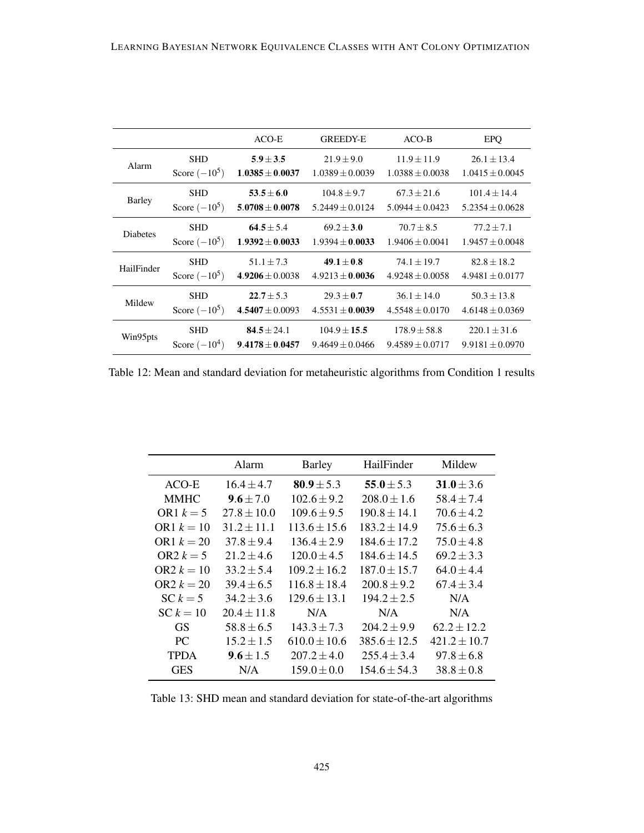|                 |                 | ACO-E               | <b>GREEDY-E</b>     | $ACO-B$             | <b>EPQ</b>          |
|-----------------|-----------------|---------------------|---------------------|---------------------|---------------------|
| Alarm           | <b>SHD</b>      | $5.9 \pm 3.5$       | $21.9 \pm 9.0$      | $11.9 \pm 11.9$     | $26.1 \pm 13.4$     |
|                 | Score $(-10^5)$ | $1.0385 \pm 0.0037$ | $1.0389 \pm 0.0039$ | $1.0388 \pm 0.0038$ | $1.0415 \pm 0.0045$ |
| Barley          | <b>SHD</b>      | $53.5 + 6.0$        | $104.8 \pm 9.7$     | $67.3 + 21.6$       | $101.4 + 14.4$      |
|                 | Score $(-10^5)$ | $5.0708 \pm 0.0078$ | $5.2449 \pm 0.0124$ | $5.0944 + 0.0423$   | $5.2354 \pm 0.0628$ |
| <b>Diabetes</b> | <b>SHD</b>      | $64.5 + 5.4$        | $69.2 \pm 3.0$      | $70.7 + 8.5$        | $77.2 + 7.1$        |
|                 | Score $(-10^5)$ | $1.9392 \pm 0.0033$ | $1.9394 \pm 0.0033$ | $1.9406 \pm 0.0041$ | $1.9457 \pm 0.0048$ |
| HailFinder      | <b>SHD</b>      | $51.1 \pm 7.3$      | $49.1 \pm 0.8$      | $74.1 \pm 19.7$     | $82.8 \pm 18.2$     |
|                 | Score $(-10^5)$ | $4.9206 \pm 0.0038$ | $4.9213 \pm 0.0036$ | $4.9248 \pm 0.0058$ | $4.9481 \pm 0.0177$ |
| Mildew          | <b>SHD</b>      | $22.7 \pm 5.3$      | $29.3 \pm 0.7$      | $36.1 \pm 14.0$     | $50.3 \pm 13.8$     |
|                 | Score $(-10^5)$ | $4.5407 \pm 0.0093$ | $4.5531 \pm 0.0039$ | $4.5548 \pm 0.0170$ | $4.6148 \pm 0.0369$ |
| Win95pts        | <b>SHD</b>      | $84.5 + 24.1$       | $104.9 + 15.5$      | $178.9 \pm 58.8$    | $220.1 \pm 31.6$    |
|                 | Score $(-10^4)$ | $9.4178 \pm 0.0457$ | $9.4649 \pm 0.0466$ | $9.4589 \pm 0.0717$ | $9.9181 \pm 0.0970$ |

<span id="page-34-0"></span>Table 12: Mean and standard deviation for metaheuristic algorithms from Condition 1 results

|              | Alarm           | <b>Barley</b>    | HailFinder       | Mildew           |
|--------------|-----------------|------------------|------------------|------------------|
| ACO-E        | $16.4 \pm 4.7$  | $80.9 \pm 5.3$   | 55.0 $\pm$ 5.3   | $31.0 \pm 3.6$   |
| <b>MMHC</b>  | $9.6 \pm 7.0$   | $102.6 \pm 9.2$  | $208.0 \pm 1.6$  | $58.4 \pm 7.4$   |
| OR1 $k=5$    | $27.8 \pm 10.0$ | $109.6 \pm 9.5$  | $190.8 \pm 14.1$ | $70.6 \pm 4.2$   |
| OR1 $k = 10$ | $31.2 \pm 11.1$ | $113.6 \pm 15.6$ | $183.2 \pm 14.9$ | $75.6 \pm 6.3$   |
| OR1 $k = 20$ | $37.8 \pm 9.4$  | $136.4 \pm 2.9$  | $184.6 \pm 17.2$ | $75.0 \pm 4.8$   |
| OR2 $k = 5$  | $21.2 \pm 4.6$  | $120.0 \pm 4.5$  | $184.6 \pm 14.5$ | $69.2 \pm 3.3$   |
| $OR2 k = 10$ | $33.2 + 5.4$    | $109.2 \pm 16.2$ | $187.0 \pm 15.7$ | $64.0 \pm 4.4$   |
| $OR2 k = 20$ | $39.4 \pm 6.5$  | $116.8 \pm 18.4$ | $200.8 \pm 9.2$  | $67.4 \pm 3.4$   |
| $SC k = 5$   | $34.2 \pm 3.6$  | $129.6 \pm 13.1$ | $194.2 \pm 2.5$  | N/A              |
| $SC k = 10$  | $20.4 \pm 11.8$ | N/A              | N/A              | N/A              |
| GS           | $58.8 \pm 6.5$  | $143.3 \pm 7.3$  | $204.2 \pm 9.9$  | $62.2 \pm 12.2$  |
| PC.          | $15.2 \pm 1.5$  | $610.0 \pm 10.6$ | $385.6 \pm 12.5$ | $421.2 \pm 10.7$ |
| <b>TPDA</b>  | $9.6 \pm 1.5$   | $207.2 \pm 4.0$  | $255.4 \pm 3.4$  | $97.8 \pm 6.8$   |
| <b>GES</b>   | N/A             | $159.0 \pm 0.0$  | $154.6 \pm 54.3$ | $38.8 \pm 0.8$   |

<span id="page-34-1"></span>Table 13: SHD mean and standard deviation for state-of-the-art algorithms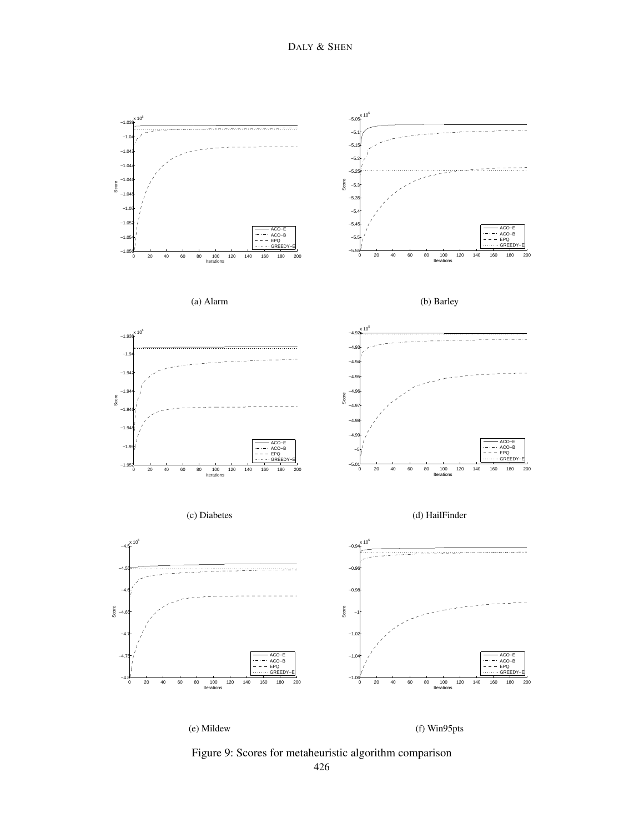

<span id="page-35-0"></span>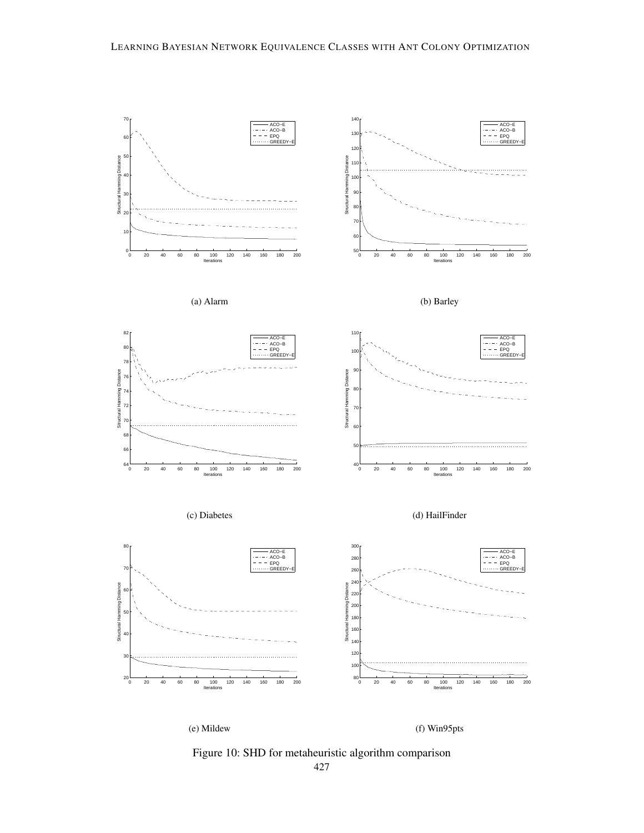

<span id="page-36-0"></span>Figure 10: SHD for metaheuristic algorithm comparison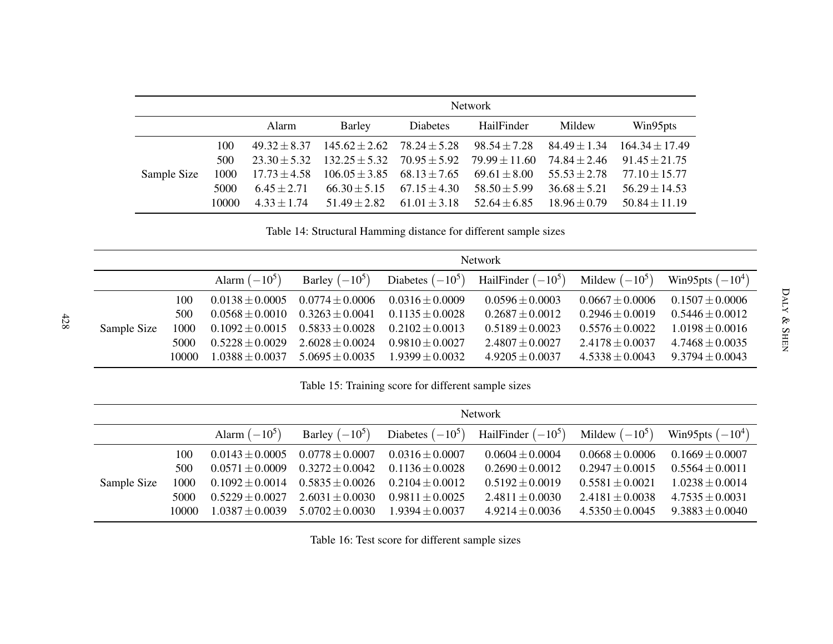<span id="page-37-2"></span><span id="page-37-1"></span><span id="page-37-0"></span>

|             |       | <b>Network</b>   |                   |                  |                   |                  |                    |
|-------------|-------|------------------|-------------------|------------------|-------------------|------------------|--------------------|
|             |       | Alarm            | <b>Barley</b>     | <b>Diabetes</b>  | HailFinder        | Mildew           | Win95pts           |
|             | 100   | $49.32 \pm 8.37$ | $145.62 \pm 2.62$ | $78.24 \pm 5.28$ | $98.54 \pm 7.28$  | $84.49 \pm 1.34$ | $164.34 \pm 17.49$ |
|             | 500   | $23.30 + 5.32$   | $132.25 \pm 5.32$ | $70.95 \pm 5.92$ | $79.99 \pm 11.60$ | $74.84 \pm 2.46$ | $91.45 \pm 21.75$  |
| Sample Size | 1000  | $17.73 \pm 4.58$ | $106.05 \pm 3.85$ | $68.13 \pm 7.65$ | $69.61 \pm 8.00$  | $55.53 \pm 2.78$ | $77.10 \pm 15.77$  |
|             | 5000  | $6.45 + 2.71$    | $66.30 \pm 5.15$  | $67.15 \pm 4.30$ | $58.50 \pm 5.99$  | $36.68 \pm 5.21$ | $56.29 \pm 14.53$  |
|             | 10000 | $4.33 + 1.74$    | $51.49 + 2.82$    | $61.01 + 3.18$   | $52.64 \pm 6.85$  | $18.96 + 0.79$   | $50.84 \pm 11.19$  |

Table 14: Structural Hamming distance for different sample sizes

|             |               | <b>Network</b>                         |                                            |                                            |                                                                           |                                            |                                            |
|-------------|---------------|----------------------------------------|--------------------------------------------|--------------------------------------------|---------------------------------------------------------------------------|--------------------------------------------|--------------------------------------------|
|             |               | Alarm $(-10^5)$                        |                                            |                                            | Barley $(-10^5)$ Diabetes $(-10^5)$ HailFinder $(-10^5)$ Mildew $(-10^5)$ |                                            | Win95pts $(-10^4)$                         |
|             | 100<br>500    | $0.0138 + 0.0005$<br>$0.0568 + 0.0010$ | $0.0774 \pm 0.0006$<br>$0.3263 \pm 0.0041$ | $0.0316 \pm 0.0009$<br>$0.1135 \pm 0.0028$ | $0.0596 \pm 0.0003$<br>$0.2687 \pm 0.0012$                                | $0.0667 \pm 0.0006$<br>$0.2946 \pm 0.0019$ | $0.1507 \pm 0.0006$<br>$0.5446 \pm 0.0012$ |
| Sample Size | 1000          | $0.1092 \pm 0.0015$                    | $0.5833 \pm 0.0028$                        | $0.2102 \pm 0.0013$                        | $0.5189 \pm 0.0023$                                                       | $0.5576 \pm 0.0022$                        | $1.0198 \pm 0.0016$                        |
|             | 5000<br>10000 | $0.5228 + 0.0029$<br>$1.0388 + 0.0037$ | $2.6028 \pm 0.0024$<br>$5.0695 + 0.0035$   | $0.9810 \pm 0.0027$<br>$1.9399 \pm 0.0032$ | $2.4807 \pm 0.0027$<br>$4.9205 \pm 0.0037$                                | $2.4178 \pm 0.0037$<br>$4.5338 + 0.0043$   | $4.7468 \pm 0.0035$<br>$9.3794 \pm 0.0043$ |

Table 15: Training score for different sample sizes

|             |       | Network             |                     |                     |                                                          |                     |                     |  |
|-------------|-------|---------------------|---------------------|---------------------|----------------------------------------------------------|---------------------|---------------------|--|
|             |       | Alarm $(-10^5)$     | Barley $(-10^5)$    |                     | Diabetes $(-10^5)$ HailFinder $(-10^5)$ Mildew $(-10^5)$ |                     | Win95pts $(-10^4)$  |  |
|             | 100   | $0.0143 \pm 0.0005$ | $0.0778 \pm 0.0007$ | $0.0316 \pm 0.0007$ | $0.0604 \pm 0.0004$                                      | $0.0668 \pm 0.0006$ | $0.1669 \pm 0.0007$ |  |
|             | 500   | $0.0571 + 0.0009$   | $0.3272 \pm 0.0042$ | $0.1136 \pm 0.0028$ | $0.2690 \pm 0.0012$                                      | $0.2947 \pm 0.0015$ | $0.5564 \pm 0.0011$ |  |
| Sample Size | 1000  | $0.1092 \pm 0.0014$ | $0.5835 \pm 0.0026$ | $0.2104 \pm 0.0012$ | $0.5192 + 0.0019$                                        | $0.5581 + 0.0021$   | $1.0238 \pm 0.0014$ |  |
|             | 5000  | $0.5229 + 0.0027$   | $2.6031 \pm 0.0030$ | $0.9811 + 0.0025$   | $2.4811 \pm 0.0030$                                      | $2.4181 \pm 0.0038$ | $4.7535 \pm 0.0031$ |  |
|             | 10000 | $1.0387 + 0.0039$   | $5.0702 \pm 0.0030$ | $1.9394 \pm 0.0037$ | $4.9214 \pm 0.0036$                                      | $4.5350 \pm 0.0045$ | $9.3883 \pm 0.0040$ |  |

Table 16: Test score for different sample sizes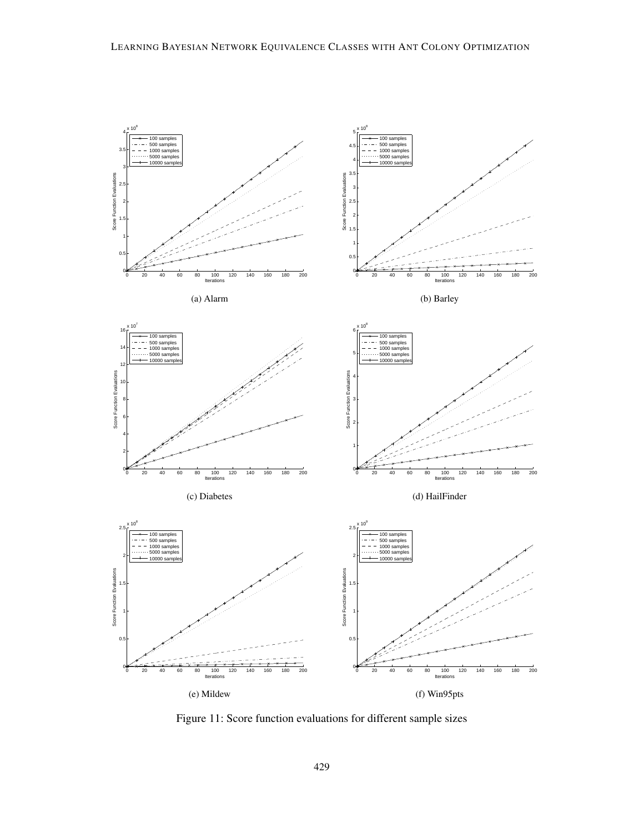

<span id="page-38-0"></span>Figure 11: Score function evaluations for different sample sizes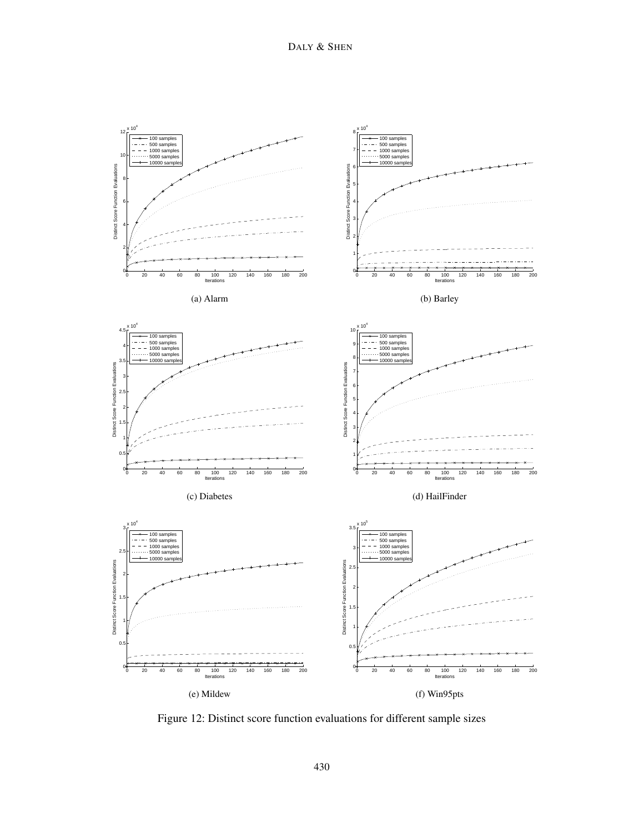

<span id="page-39-0"></span>Figure 12: Distinct score function evaluations for different sample sizes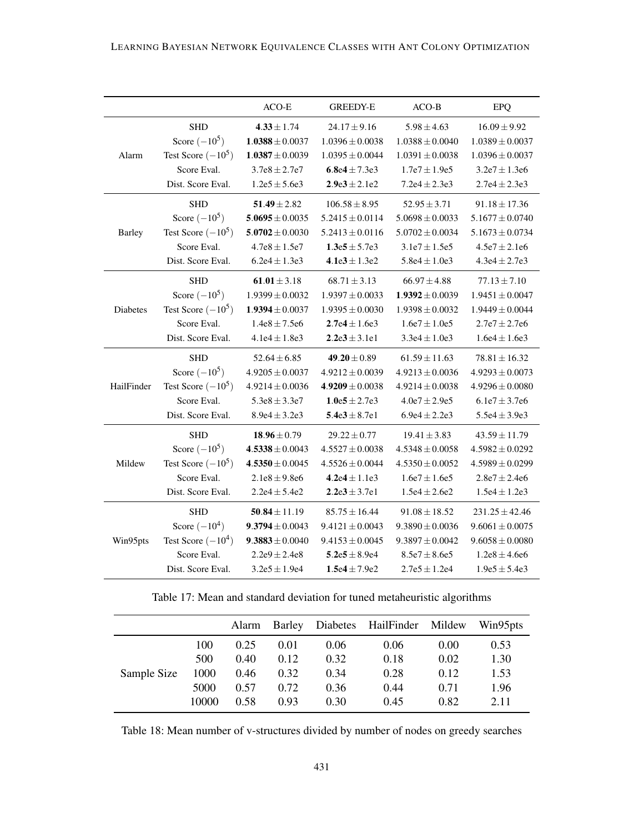|               |                      | ACO-E               | <b>GREEDY-E</b>     | $ACO-B$             | EPQ                 |
|---------------|----------------------|---------------------|---------------------|---------------------|---------------------|
|               | <b>SHD</b>           | $4.33 \pm 1.74$     | $24.17 \pm 9.16$    | $5.98 \pm 4.63$     | $16.09 \pm 9.92$    |
|               | Score $(-10^5)$      | $1.0388 \pm 0.0037$ | $1.0396 \pm 0.0038$ | $1.0388 \pm 0.0040$ | $1.0389 \pm 0.0037$ |
| Alarm         | Test Score $(-10^5)$ | $1.0387 \pm 0.0039$ | $1.0395 \pm 0.0044$ | $1.0391 \pm 0.0038$ | $1.0396 \pm 0.0037$ |
|               | Score Eval.          | $3.7e8 \pm 2.7e7$   | 6.8e4 $\pm$ 7.3e3   | $1.7e7 \pm 1.9e5$   | $3.2e7 \pm 1.3e6$   |
|               | Dist. Score Eval.    | $1.2e5 \pm 5.6e3$   | $2.9e3 \pm 2.1e2$   | $7.2e4 \pm 2.3e3$   | $2.7e4 \pm 2.3e3$   |
|               | <b>SHD</b>           | $51.49 \pm 2.82$    | $106.58 \pm 8.95$   | $52.95 \pm 3.71$    | $91.18 \pm 17.36$   |
|               | Score $(-10^5)$      | $5.0695 \pm 0.0035$ | $5.2415 \pm 0.0114$ | $5.0698 \pm 0.0033$ | $5.1677 \pm 0.0740$ |
| <b>Barley</b> | Test Score $(-10^5)$ | $5.0702 \pm 0.0030$ | $5.2413 \pm 0.0116$ | $5.0702 \pm 0.0034$ | $5.1673 \pm 0.0734$ |
|               | Score Eval.          | $4.7e8 \pm 1.5e7$   | $1.3e5 \pm 5.7e3$   | $3.1e7 \pm 1.5e5$   | $4.5e7 \pm 2.1e6$   |
|               | Dist. Score Eval.    | $6.2e4 \pm 1.3e3$   | $4.1e3 \pm 1.3e2$   | $5.8e4 \pm 1.0e3$   | $4.3e4 \pm 2.7e3$   |
|               | <b>SHD</b>           | $61.01 \pm 3.18$    | $68.71 \pm 3.13$    | $66.97 \pm 4.88$    | $77.13 \pm 7.10$    |
|               | Score $(-10^5)$      | $1.9399 \pm 0.0032$ | $1.9397 \pm 0.0033$ | $1.9392 \pm 0.0039$ | $1.9451 \pm 0.0047$ |
| Diabetes      | Test Score $(-10^5)$ | $1.9394 \pm 0.0037$ | $1.9395 \pm 0.0030$ | $1.9398 \pm 0.0032$ | $1.9449 \pm 0.0044$ |
|               | Score Eval.          | $1.4e8 \pm 7.5e6$   | $2.7e4 \pm 1.6e3$   | $1.6e7 \pm 1.0e5$   | $2.7e7 \pm 2.7e6$   |
|               | Dist. Score Eval.    | $4.1e4 \pm 1.8e3$   | $2.2e3 \pm 3.1e1$   | $3.3e4 \pm 1.0e3$   | $1.6e4 \pm 1.6e3$   |
|               | <b>SHD</b>           | $52.64 \pm 6.85$    | $49.20 \pm 0.89$    | $61.59 \pm 11.63$   | $78.81 \pm 16.32$   |
|               | Score $(-10^5)$      | $4.9205 \pm 0.0037$ | $4.9212 \pm 0.0039$ | $4.9213 \pm 0.0036$ | $4.9293 \pm 0.0073$ |
| HailFinder    | Test Score $(-10^5)$ | $4.9214 \pm 0.0036$ | $4.9209 \pm 0.0038$ | $4.9214 \pm 0.0038$ | $4.9296 \pm 0.0080$ |
|               | Score Eval.          | $5.3e8 \pm 3.3e7$   | $1.0e5 \pm 2.7e3$   | $4.0e7 \pm 2.9e5$   | $6.1e7 \pm 3.7e6$   |
|               | Dist. Score Eval.    | $8.9e4 \pm 3.2e3$   | $5.4e3 \pm 8.7e1$   | $6.9e4 \pm 2.2e3$   | $5.5e4 \pm 3.9e3$   |
|               | <b>SHD</b>           | $18.96 \pm 0.79$    | $29.22 \pm 0.77$    | $19.41 \pm 3.83$    | $43.59 \pm 11.79$   |
|               | Score $(-10^5)$      | $4.5338 \pm 0.0043$ | $4.5527 \pm 0.0038$ | $4.5348 \pm 0.0058$ | $4.5982 \pm 0.0292$ |
| Mildew        | Test Score $(-10^5)$ | $4.5350 \pm 0.0045$ | $4.5526 \pm 0.0044$ | $4.5350 \pm 0.0052$ | $4.5989 \pm 0.0299$ |
|               | Score Eval.          | $2.1e8 \pm 9.8e6$   | $4.2e4 \pm 1.1e3$   | $1.6e7 \pm 1.6e5$   | $2.8e7 \pm 2.4e6$   |
|               | Dist. Score Eval.    | $2.2e4 \pm 5.4e2$   | $2.2e3 \pm 3.7e1$   | $1.5e4 \pm 2.6e2$   | $1.5e4 \pm 1.2e3$   |
|               | <b>SHD</b>           | $50.84 \pm 11.19$   | $85.75 \pm 16.44$   | $91.08 \pm 18.52$   | $231.25 \pm 42.46$  |
|               | Score $(-10^4)$      | $9.3794 \pm 0.0043$ | $9.4121 \pm 0.0043$ | $9.3890 \pm 0.0036$ | $9.6061 \pm 0.0075$ |
| Win95pts      | Test Score $(-10^4)$ | $9.3883 \pm 0.0040$ | $9.4153 \pm 0.0045$ | $9.3897 \pm 0.0042$ | $9.6058 \pm 0.0080$ |
|               | Score Eval.          | $2.2e9 \pm 2.4e8$   | $5.2e5 \pm 8.9e4$   | $8.5e7 \pm 8.6e5$   | $1.2e8 \pm 4.6e6$   |
|               | Dist. Score Eval.    | $3.2e5 \pm 1.9e4$   | $1.5e4 \pm 7.9e2$   | $2.7e5 \pm 1.2e4$   | $1.9e5 \pm 5.4e3$   |

<span id="page-40-0"></span>Table 17: Mean and standard deviation for tuned metaheuristic algorithms

|             |       | Alarm | Barley |      | Diabetes HailFinder Mildew |      | Win95pts |
|-------------|-------|-------|--------|------|----------------------------|------|----------|
|             | 100   | 0.25  | 0.01   | 0.06 | 0.06                       | 0.00 | 0.53     |
|             | 500   | 0.40  | 0.12   | 0.32 | 0.18                       | 0.02 | 1.30     |
| Sample Size | 1000  | 0.46  | 0.32   | 0.34 | 0.28                       | 0.12 | 1.53     |
|             | 5000  | 0.57  | 0.72   | 0.36 | 0.44                       | 0.71 | 1.96     |
|             | 10000 | 0.58  | 0.93   | 0.30 | 0.45                       | 0.82 | 2.11     |

<span id="page-40-1"></span>Table 18: Mean number of v-structures divided by number of nodes on greedy searches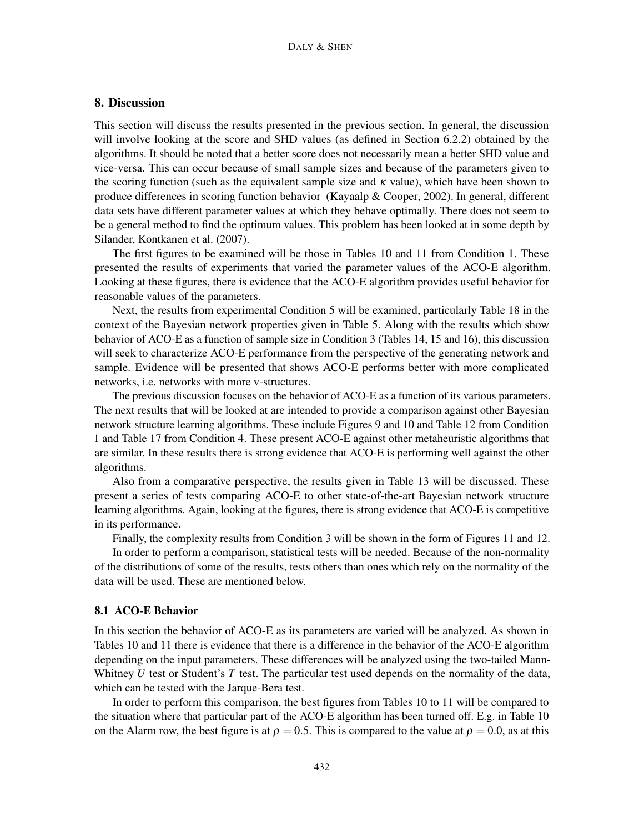# 8. Discussion

This section will discuss the results presented in the previous section. In general, the discussion will involve looking at the score and SHD values (as defined in Section [6.2.2\)](#page-29-1) obtained by the algorithms. It should be noted that a better score does not necessarily mean a better SHD value and vice-versa. This can occur because of small sample sizes and because of the parameters given to the scoring function (such as the equivalent sample size and  $\kappa$  value), which have been shown to produce differences in scoring function behavior [\(Kayaalp & Cooper,](#page-54-13) [2002\)](#page-54-13). In general, different data sets have different parameter values at which they behave optimally. There does not seem to be a general method to find the optimum values. This problem has been looked at in some depth by [Silander, Kontkanen et al.](#page-56-12) [\(2007\)](#page-56-12).

The first figures to be examined will be those in Tables [10](#page-32-0) and [11](#page-33-0) from Condition 1. These presented the results of experiments that varied the parameter values of the ACO-E algorithm. Looking at these figures, there is evidence that the ACO-E algorithm provides useful behavior for reasonable values of the parameters.

Next, the results from experimental Condition 5 will be examined, particularly Table [18](#page-40-1) in the context of the Bayesian network properties given in Table [5.](#page-25-0) Along with the results which show behavior of ACO-E as a function of sample size in Condition 3 (Tables [14,](#page-37-0) [15](#page-37-1) and [16\)](#page-37-2), this discussion will seek to characterize ACO-E performance from the perspective of the generating network and sample. Evidence will be presented that shows ACO-E performs better with more complicated networks, i.e. networks with more v-structures.

The previous discussion focuses on the behavior of ACO-E as a function of its various parameters. The next results that will be looked at are intended to provide a comparison against other Bayesian network structure learning algorithms. These include Figures [9](#page-35-0) and [10](#page-36-0) and Table [12](#page-34-0) from Condition 1 and Table [17](#page-40-0) from Condition 4. These present ACO-E against other metaheuristic algorithms that are similar. In these results there is strong evidence that ACO-E is performing well against the other algorithms.

Also from a comparative perspective, the results given in Table [13](#page-34-1) will be discussed. These present a series of tests comparing ACO-E to other state-of-the-art Bayesian network structure learning algorithms. Again, looking at the figures, there is strong evidence that ACO-E is competitive in its performance.

Finally, the complexity results from Condition 3 will be shown in the form of Figures [11](#page-38-0) and [12.](#page-39-0)

In order to perform a comparison, statistical tests will be needed. Because of the non-normality of the distributions of some of the results, tests others than ones which rely on the normality of the data will be used. These are mentioned below.

#### <span id="page-41-0"></span>8.1 ACO-E Behavior

In this section the behavior of ACO-E as its parameters are varied will be analyzed. As shown in Tables [10](#page-32-0) and [11](#page-33-0) there is evidence that there is a difference in the behavior of the ACO-E algorithm depending on the input parameters. These differences will be analyzed using the two-tailed Mann-Whitney *U* test or Student's *T* test. The particular test used depends on the normality of the data, which can be tested with the Jarque-Bera test.

In order to perform this comparison, the best figures from Tables [10](#page-32-0) to [11](#page-33-0) will be compared to the situation where that particular part of the ACO-E algorithm has been turned off. E.g. in Table [10](#page-32-0) on the Alarm row, the best figure is at  $\rho = 0.5$ . This is compared to the value at  $\rho = 0.0$ , as at this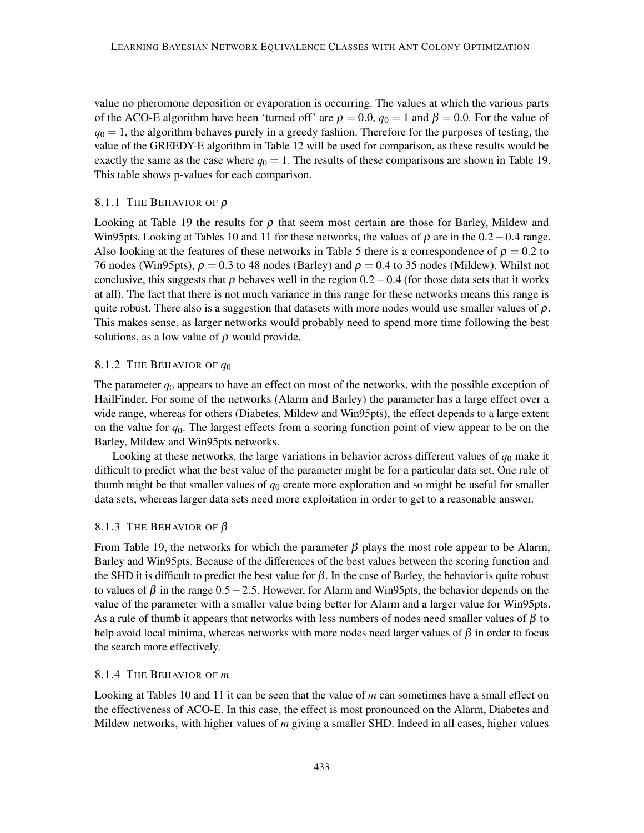value no pheromone deposition or evaporation is occurring. The values at which the various parts of the ACO-E algorithm have been 'turned off' are  $\rho = 0.0$ ,  $q_0 = 1$  and  $\beta = 0.0$ . For the value of  $q_0 = 1$ , the algorithm behaves purely in a greedy fashion. Therefore for the purposes of testing, the value of the GREEDY-E algorithm in Table [12](#page-34-0) will be used for comparison, as these results would be exactly the same as the case where  $q_0 = 1$ . The results of these comparisons are shown in Table [19.](#page-45-0) This table shows p-values for each comparison.

### 8.1.1 THE BEHAVIOR OF  $\rho$

Looking at Table [19](#page-45-0) the results for  $\rho$  that seem most certain are those for Barley, Mildew and Win95pts. Looking at Tables [10](#page-32-0) and [11](#page-33-0) for these networks, the values of  $\rho$  are in the 0.2 – 0.4 range. Also looking at the features of these networks in Table [5](#page-25-0) there is a correspondence of  $\rho = 0.2$  to 76 nodes (Win95pts),  $\rho = 0.3$  to 48 nodes (Barley) and  $\rho = 0.4$  to 35 nodes (Mildew). Whilst not conclusive, this suggests that  $\rho$  behaves well in the region 0.2 – 0.4 (for those data sets that it works at all). The fact that there is not much variance in this range for these networks means this range is quite robust. There also is a suggestion that datasets with more nodes would use smaller values of  $\rho$ . This makes sense, as larger networks would probably need to spend more time following the best solutions, as a low value of  $\rho$  would provide.

# 8.1.2 THE BEHAVIOR OF *q*<sup>0</sup>

The parameter *q*<sup>0</sup> appears to have an effect on most of the networks, with the possible exception of HailFinder. For some of the networks (Alarm and Barley) the parameter has a large effect over a wide range, whereas for others (Diabetes, Mildew and Win95pts), the effect depends to a large extent on the value for *q*0. The largest effects from a scoring function point of view appear to be on the Barley, Mildew and Win95pts networks.

Looking at these networks, the large variations in behavior across different values of  $q_0$  make it difficult to predict what the best value of the parameter might be for a particular data set. One rule of thumb might be that smaller values of  $q_0$  create more exploration and so might be useful for smaller data sets, whereas larger data sets need more exploitation in order to get to a reasonable answer.

# 8.1.3 THE BEHAVIOR OF  $\beta$

From Table [19,](#page-45-0) the networks for which the parameter  $\beta$  plays the most role appear to be Alarm, Barley and Win95pts. Because of the differences of the best values between the scoring function and the SHD it is difficult to predict the best value for  $\beta$ . In the case of Barley, the behavior is quite robust to values of  $\beta$  in the range 0.5 − 2.5. However, for Alarm and Win95pts, the behavior depends on the value of the parameter with a smaller value being better for Alarm and a larger value for Win95pts. As a rule of thumb it appears that networks with less numbers of nodes need smaller values of  $\beta$  to help avoid local minima, whereas networks with more nodes need larger values of  $\beta$  in order to focus the search more effectively.

#### 8.1.4 THE BEHAVIOR OF *m*

Looking at Tables [10](#page-32-0) and [11](#page-33-0) it can be seen that the value of *m* can sometimes have a small effect on the effectiveness of ACO-E. In this case, the effect is most pronounced on the Alarm, Diabetes and Mildew networks, with higher values of *m* giving a smaller SHD. Indeed in all cases, higher values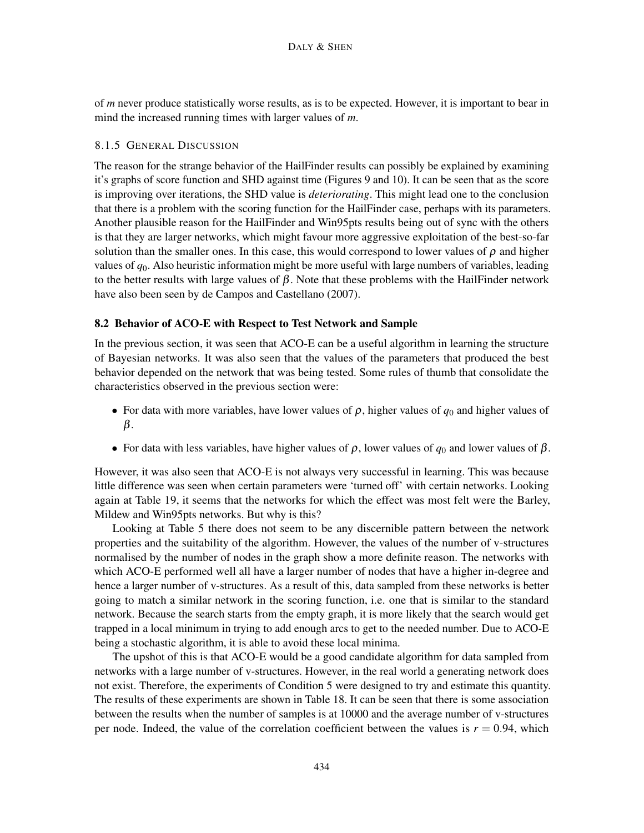of *m* never produce statistically worse results, as is to be expected. However, it is important to bear in mind the increased running times with larger values of *m*.

# 8.1.5 GENERAL DISCUSSION

The reason for the strange behavior of the HailFinder results can possibly be explained by examining it's graphs of score function and SHD against time (Figures [9](#page-35-0) and [10\)](#page-36-0). It can be seen that as the score is improving over iterations, the SHD value is *deteriorating*. This might lead one to the conclusion that there is a problem with the scoring function for the HailFinder case, perhaps with its parameters. Another plausible reason for the HailFinder and Win95pts results being out of sync with the others is that they are larger networks, which might favour more aggressive exploitation of the best-so-far solution than the smaller ones. In this case, this would correspond to lower values of  $\rho$  and higher values of *q*0. Also heuristic information might be more useful with large numbers of variables, leading to the better results with large values of  $\beta$ . Note that these problems with the HailFinder network have also been seen by [de Campos and Castellano](#page-53-12) [\(2007\)](#page-53-12).

### <span id="page-43-0"></span>8.2 Behavior of ACO-E with Respect to Test Network and Sample

In the previous section, it was seen that ACO-E can be a useful algorithm in learning the structure of Bayesian networks. It was also seen that the values of the parameters that produced the best behavior depended on the network that was being tested. Some rules of thumb that consolidate the characteristics observed in the previous section were:

- For data with more variables, have lower values of  $\rho$ , higher values of  $q_0$  and higher values of β.
- For data with less variables, have higher values of  $\rho$ , lower values of  $q_0$  and lower values of  $\beta$ .

However, it was also seen that ACO-E is not always very successful in learning. This was because little difference was seen when certain parameters were 'turned off' with certain networks. Looking again at Table [19,](#page-45-0) it seems that the networks for which the effect was most felt were the Barley, Mildew and Win95pts networks. But why is this?

Looking at Table [5](#page-25-0) there does not seem to be any discernible pattern between the network properties and the suitability of the algorithm. However, the values of the number of v-structures normalised by the number of nodes in the graph show a more definite reason. The networks with which ACO-E performed well all have a larger number of nodes that have a higher in-degree and hence a larger number of v-structures. As a result of this, data sampled from these networks is better going to match a similar network in the scoring function, i.e. one that is similar to the standard network. Because the search starts from the empty graph, it is more likely that the search would get trapped in a local minimum in trying to add enough arcs to get to the needed number. Due to ACO-E being a stochastic algorithm, it is able to avoid these local minima.

The upshot of this is that ACO-E would be a good candidate algorithm for data sampled from networks with a large number of v-structures. However, in the real world a generating network does not exist. Therefore, the experiments of Condition 5 were designed to try and estimate this quantity. The results of these experiments are shown in Table [18.](#page-40-1) It can be seen that there is some association between the results when the number of samples is at 10000 and the average number of v-structures per node. Indeed, the value of the correlation coefficient between the values is  $r = 0.94$ , which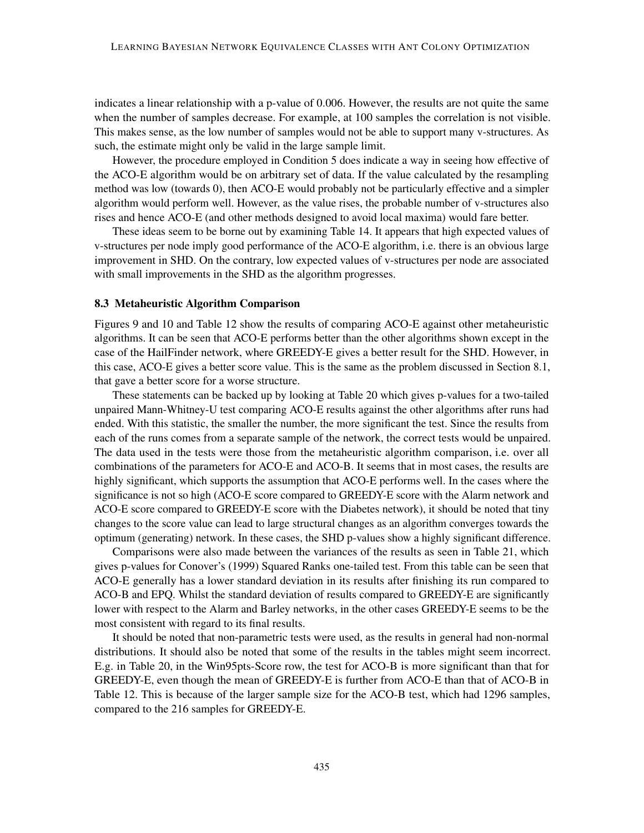indicates a linear relationship with a p-value of 0.006. However, the results are not quite the same when the number of samples decrease. For example, at 100 samples the correlation is not visible. This makes sense, as the low number of samples would not be able to support many v-structures. As such, the estimate might only be valid in the large sample limit.

However, the procedure employed in Condition 5 does indicate a way in seeing how effective of the ACO-E algorithm would be on arbitrary set of data. If the value calculated by the resampling method was low (towards 0), then ACO-E would probably not be particularly effective and a simpler algorithm would perform well. However, as the value rises, the probable number of v-structures also rises and hence ACO-E (and other methods designed to avoid local maxima) would fare better.

These ideas seem to be borne out by examining Table [14.](#page-37-0) It appears that high expected values of v-structures per node imply good performance of the ACO-E algorithm, i.e. there is an obvious large improvement in SHD. On the contrary, low expected values of v-structures per node are associated with small improvements in the SHD as the algorithm progresses.

#### 8.3 Metaheuristic Algorithm Comparison

Figures [9](#page-35-0) and [10](#page-36-0) and Table [12](#page-34-0) show the results of comparing ACO-E against other metaheuristic algorithms. It can be seen that ACO-E performs better than the other algorithms shown except in the case of the HailFinder network, where GREEDY-E gives a better result for the SHD. However, in this case, ACO-E gives a better score value. This is the same as the problem discussed in Section [8.1,](#page-41-0) that gave a better score for a worse structure.

These statements can be backed up by looking at Table [20](#page-45-1) which gives p-values for a two-tailed unpaired Mann-Whitney-U test comparing ACO-E results against the other algorithms after runs had ended. With this statistic, the smaller the number, the more significant the test. Since the results from each of the runs comes from a separate sample of the network, the correct tests would be unpaired. The data used in the tests were those from the metaheuristic algorithm comparison, i.e. over all combinations of the parameters for ACO-E and ACO-B. It seems that in most cases, the results are highly significant, which supports the assumption that ACO-E performs well. In the cases where the significance is not so high (ACO-E score compared to GREEDY-E score with the Alarm network and ACO-E score compared to GREEDY-E score with the Diabetes network), it should be noted that tiny changes to the score value can lead to large structural changes as an algorithm converges towards the optimum (generating) network. In these cases, the SHD p-values show a highly significant difference.

Comparisons were also made between the variances of the results as seen in Table [21,](#page-47-0) which gives p-values for [Conover'](#page-52-13)s [\(1999\)](#page-52-13) Squared Ranks one-tailed test. From this table can be seen that ACO-E generally has a lower standard deviation in its results after finishing its run compared to ACO-B and EPQ. Whilst the standard deviation of results compared to GREEDY-E are significantly lower with respect to the Alarm and Barley networks, in the other cases GREEDY-E seems to be the most consistent with regard to its final results.

It should be noted that non-parametric tests were used, as the results in general had non-normal distributions. It should also be noted that some of the results in the tables might seem incorrect. E.g. in Table [20,](#page-45-1) in the Win95pts-Score row, the test for ACO-B is more significant than that for GREEDY-E, even though the mean of GREEDY-E is further from ACO-E than that of ACO-B in Table [12.](#page-34-0) This is because of the larger sample size for the ACO-B test, which had 1296 samples, compared to the 216 samples for GREEDY-E.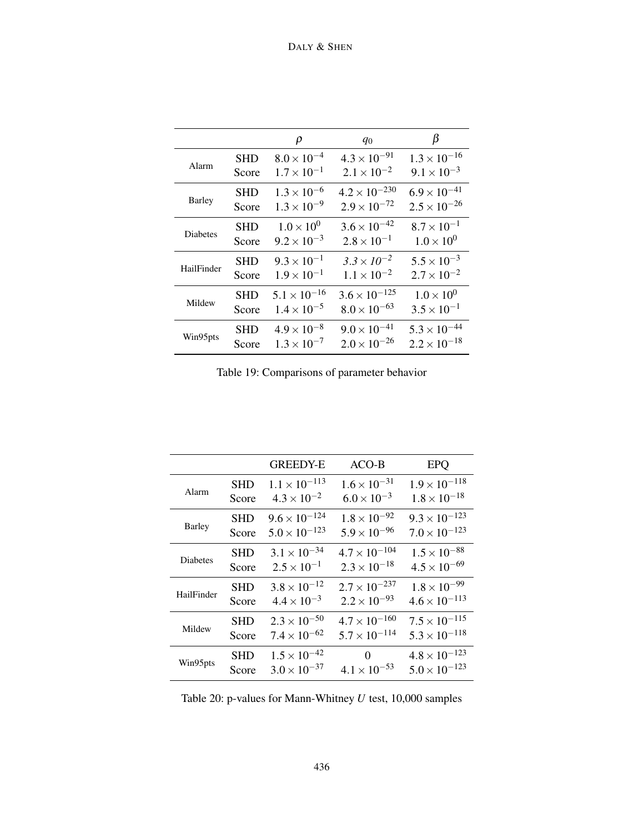|               |            | ρ                     | $q_0$                  | β                     |
|---------------|------------|-----------------------|------------------------|-----------------------|
| Alarm         | <b>SHD</b> | $8.0 \times 10^{-4}$  | $4.3 \times 10^{-91}$  | $1.3 \times 10^{-16}$ |
|               | Score      | $1.7 \times 10^{-1}$  | $2.1 \times 10^{-2}$   | $9.1 \times 10^{-3}$  |
|               | <b>SHD</b> | $1.3 \times 10^{-6}$  | $4.2 \times 10^{-230}$ | $6.9 \times 10^{-41}$ |
| <b>Barley</b> | Score      | $1.3 \times 10^{-9}$  | $2.9 \times 10^{-72}$  | $2.5 \times 10^{-26}$ |
|               | <b>SHD</b> | $1.0 \times 10^{0}$   | $3.6 \times 10^{-42}$  | $8.7 \times 10^{-1}$  |
| Diabetes      | Score      | $9.2 \times 10^{-3}$  | $2.8 \times 10^{-1}$   | $1.0 \times 10^{0}$   |
|               | <b>SHD</b> | $9.3 \times 10^{-1}$  | $3.3 \times 10^{-2}$   | $5.5 \times 10^{-3}$  |
| HailFinder    | Score      | $1.9 \times 10^{-1}$  | $1.1 \times 10^{-2}$   | $2.7 \times 10^{-2}$  |
|               | <b>SHD</b> | $5.1 \times 10^{-16}$ | $3.6 \times 10^{-125}$ | $1.0 \times 10^{0}$   |
| Mildew        | Score      | $1.4 \times 10^{-5}$  | $8.0 \times 10^{-63}$  | $3.5 \times 10^{-1}$  |
| Win95pts      | <b>SHD</b> | $4.9 \times 10^{-8}$  | $9.0 \times 10^{-41}$  | $5.3 \times 10^{-44}$ |
|               | Score      | $1.3 \times 10^{-7}$  | $2.0 \times 10^{-26}$  | $2.2 \times 10^{-18}$ |

<span id="page-45-0"></span>Table 19: Comparisons of parameter behavior

|                 |            | <b>GREEDY-E</b>        | $ACO-B$                | <b>EPQ</b>             |
|-----------------|------------|------------------------|------------------------|------------------------|
| Alarm           | <b>SHD</b> | $1.1 \times 10^{-113}$ | $1.6 \times 10^{-31}$  | $1.9 \times 10^{-118}$ |
|                 | Score      | $4.3 \times 10^{-2}$   | $6.0 \times 10^{-3}$   | $1.8 \times 10^{-18}$  |
| <b>Barley</b>   | SHD        | $9.6 \times 10^{-124}$ | $1.8 \times 10^{-92}$  | $9.3 \times 10^{-123}$ |
|                 | Score      | $5.0 \times 10^{-123}$ | $5.9 \times 10^{-96}$  | $7.0 \times 10^{-123}$ |
| <b>Diabetes</b> | SHD        | $3.1 \times 10^{-34}$  | $4.7 \times 10^{-104}$ | $1.5 \times 10^{-88}$  |
|                 | Score      | $2.5 \times 10^{-1}$   | $2.3 \times 10^{-18}$  | $4.5 \times 10^{-69}$  |
| HailFinder      | <b>SHD</b> | $3.8 \times 10^{-12}$  | $2.7 \times 10^{-237}$ | $1.8 \times 10^{-99}$  |
|                 | Score      | $4.4 \times 10^{-3}$   | $2.2 \times 10^{-93}$  | $4.6 \times 10^{-113}$ |
| Mildew          | SHD        | $2.3 \times 10^{-50}$  | $4.7 \times 10^{-160}$ | $7.5 \times 10^{-115}$ |
|                 | Score      | $7.4 \times 10^{-62}$  | $5.7 \times 10^{-114}$ | $5.3 \times 10^{-118}$ |
| Win95pts        | SHD        | $1.5 \times 10^{-42}$  | $\Omega$               | $4.8 \times 10^{-123}$ |
|                 | Score      | $3.0 \times 10^{-37}$  | $4.1 \times 10^{-53}$  | $5.0 \times 10^{-123}$ |

<span id="page-45-1"></span>Table 20: p-values for Mann-Whitney *U* test, 10,000 samples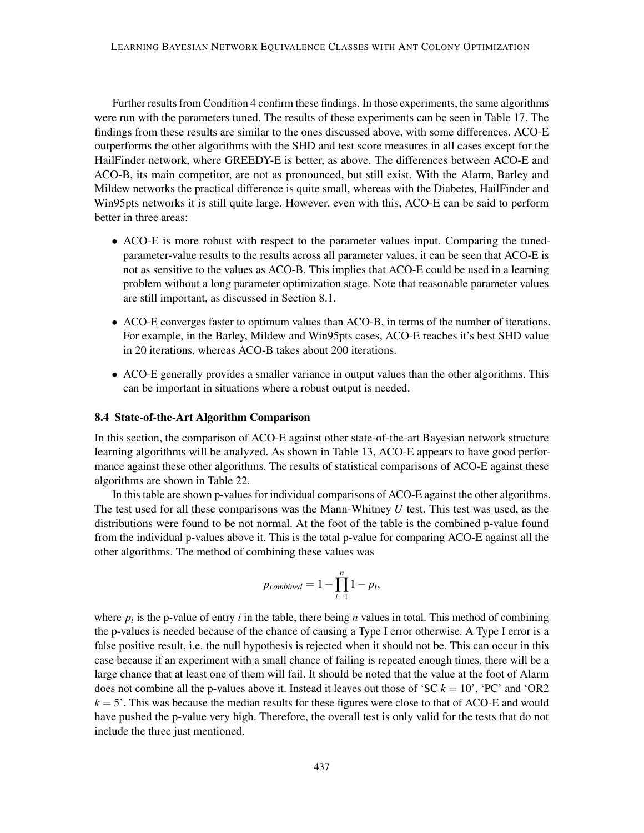Further results from Condition 4 confirm these findings. In those experiments, the same algorithms were run with the parameters tuned. The results of these experiments can be seen in Table [17.](#page-40-0) The findings from these results are similar to the ones discussed above, with some differences. ACO-E outperforms the other algorithms with the SHD and test score measures in all cases except for the HailFinder network, where GREEDY-E is better, as above. The differences between ACO-E and ACO-B, its main competitor, are not as pronounced, but still exist. With the Alarm, Barley and Mildew networks the practical difference is quite small, whereas with the Diabetes, HailFinder and Win95pts networks it is still quite large. However, even with this, ACO-E can be said to perform better in three areas:

- ACO-E is more robust with respect to the parameter values input. Comparing the tunedparameter-value results to the results across all parameter values, it can be seen that ACO-E is not as sensitive to the values as ACO-B. This implies that ACO-E could be used in a learning problem without a long parameter optimization stage. Note that reasonable parameter values are still important, as discussed in Section [8.1.](#page-41-0)
- ACO-E converges faster to optimum values than ACO-B, in terms of the number of iterations. For example, in the Barley, Mildew and Win95pts cases, ACO-E reaches it's best SHD value in 20 iterations, whereas ACO-B takes about 200 iterations.
- ACO-E generally provides a smaller variance in output values than the other algorithms. This can be important in situations where a robust output is needed.

#### 8.4 State-of-the-Art Algorithm Comparison

In this section, the comparison of ACO-E against other state-of-the-art Bayesian network structure learning algorithms will be analyzed. As shown in Table [13,](#page-34-1) ACO-E appears to have good performance against these other algorithms. The results of statistical comparisons of ACO-E against these algorithms are shown in Table [22.](#page-47-1)

In this table are shown p-values for individual comparisons of ACO-E against the other algorithms. The test used for all these comparisons was the Mann-Whitney *U* test. This test was used, as the distributions were found to be not normal. At the foot of the table is the combined p-value found from the individual p-values above it. This is the total p-value for comparing ACO-E against all the other algorithms. The method of combining these values was

$$
p_{combined} = 1 - \prod_{i=1}^{n} 1 - p_i,
$$

where  $p_i$  is the p-value of entry  $i$  in the table, there being  $n$  values in total. This method of combining the p-values is needed because of the chance of causing a Type I error otherwise. A Type I error is a false positive result, i.e. the null hypothesis is rejected when it should not be. This can occur in this case because if an experiment with a small chance of failing is repeated enough times, there will be a large chance that at least one of them will fail. It should be noted that the value at the foot of Alarm does not combine all the p-values above it. Instead it leaves out those of 'SC  $k = 10$ ', 'PC' and 'OR2  $k = 5'$ . This was because the median results for these figures were close to that of ACO-E and would have pushed the p-value very high. Therefore, the overall test is only valid for the tests that do not include the three just mentioned.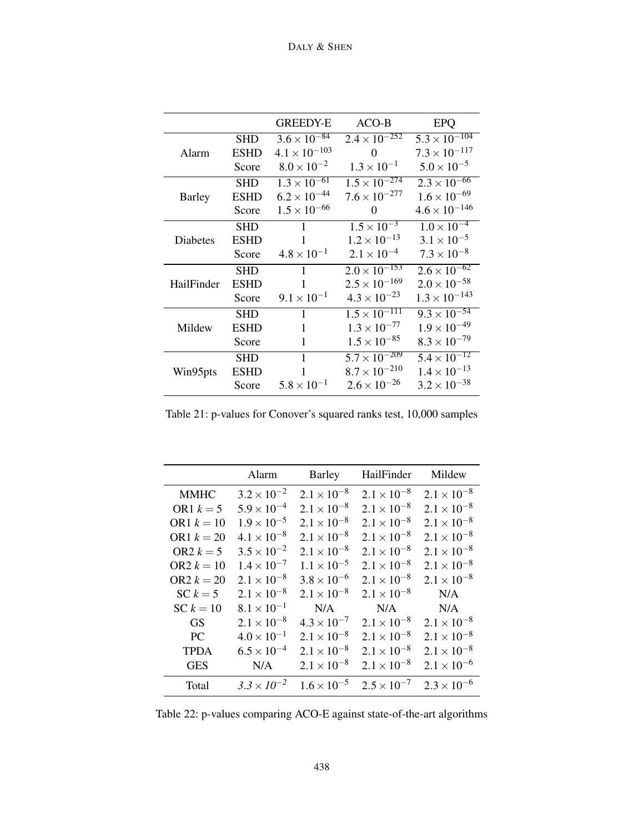|               |             | <b>GREEDY-E</b>        | $ACO-B$                                             | <b>EPQ</b>                       |
|---------------|-------------|------------------------|-----------------------------------------------------|----------------------------------|
|               | <b>SHD</b>  | $3.6 \times 10^{-84}$  | $2.4 \times 10^{-252}$                              | $\sqrt{5.3 \times 10^{-104}}$    |
| Alarm         | <b>ESHD</b> | $4.1 \times 10^{-103}$ | 0                                                   | $7.3 \times 10^{-117}$           |
|               | Score       | $8.0 \times 10^{-2}$   | $1.3 \times 10^{-1}$                                | $5.0 \times 10^{-5}$             |
|               | <b>SHD</b>  | $1.3 \times 10^{-61}$  | $1.5 \times 10^{-274}$                              | $2.3 \times 10^{-66}$            |
| <b>Barley</b> | <b>ESHD</b> | $6.2 \times 10^{-44}$  | $7.6 \times 10^{-277}$                              | $1.6 \times 10^{-69}$            |
|               | Score       | $1.5 \times 10^{-66}$  | 0                                                   | $4.6 \times 10^{-146}$           |
|               | <b>SHD</b>  | $\mathbf{1}$           | $1.5 \times 10^{-3}$                                | $1.0 \times 10^{-4}$             |
| Diabetes      | <b>ESHD</b> | 1                      | $1.2 \times 10^{-13}$                               | $3.1 \times 10^{-5}$             |
|               | Score       | $4.8 \times 10^{-1}$   | $2.1 \times 10^{-4}$                                | $7.3 \times 10^{-8}$             |
|               | <b>SHD</b>  | 1                      | $2.0 \times 10^{-153}$                              | $2.6 \times \overline{10^{-62}}$ |
| HailFinder    | <b>ESHD</b> | $\mathbf{1}$           | $2.5 \times 10^{-169}$                              | $2.0 \times 10^{-58}$            |
|               | Score       | $9.1 \times 10^{-1}$   | $4.3 \times 10^{-23}$                               | $1.3 \times 10^{-143}$           |
|               | <b>SHD</b>  | $\mathbf{1}$           | $\frac{1.5 \times 10^{-111}}{1.5 \times 10^{-111}}$ | $9.3 \times 10^{-54}$            |
| Mildew        | <b>ESHD</b> | 1                      | $1.3 \times 10^{-77}$                               | $1.9 \times 10^{-49}$            |
|               | Score       | 1                      | $1.5 \times 10^{-85}$                               | $8.3 \times 10^{-79}$            |
|               | <b>SHD</b>  | 1                      | $5.7 \times 10^{-209}$                              | $5.4 \times 10^{-12}$            |
| Win95pts      | <b>ESHD</b> | 1                      | $8.7 \times 10^{-210}$                              | $1.4 \times 10^{-13}$            |
|               | Score       | $5.8 \times 10^{-1}$   | $2.6 \times 10^{-26}$                               | $3.2 \times 10^{-38}$            |

<span id="page-47-0"></span>Table 21: p-values for Conover's squared ranks test, 10,000 samples

|              | Alarm                | Barley               | HailFinder           | Mildew               |
|--------------|----------------------|----------------------|----------------------|----------------------|
| <b>MMHC</b>  | $3.2 \times 10^{-2}$ | $2.1 \times 10^{-8}$ | $2.1 \times 10^{-8}$ | $2.1 \times 10^{-8}$ |
| OR1 $k = 5$  | $5.9 \times 10^{-4}$ | $2.1 \times 10^{-8}$ | $2.1 \times 10^{-8}$ | $2.1 \times 10^{-8}$ |
| OR1 $k = 10$ | $1.9 \times 10^{-5}$ | $2.1 \times 10^{-8}$ | $2.1 \times 10^{-8}$ | $2.1 \times 10^{-8}$ |
| OR1 $k = 20$ | $4.1 \times 10^{-8}$ | $2.1 \times 10^{-8}$ | $2.1 \times 10^{-8}$ | $2.1 \times 10^{-8}$ |
| OR2 $k = 5$  | $3.5 \times 10^{-2}$ | $2.1 \times 10^{-8}$ | $2.1 \times 10^{-8}$ | $2.1 \times 10^{-8}$ |
| OR2 $k = 10$ | $1.4 \times 10^{-7}$ | $1.1 \times 10^{-5}$ | $2.1 \times 10^{-8}$ | $2.1 \times 10^{-8}$ |
| OR2 $k = 20$ | $2.1 \times 10^{-8}$ | $3.8 \times 10^{-6}$ | $2.1 \times 10^{-8}$ | $2.1 \times 10^{-8}$ |
| $SC k = 5$   | $2.1 \times 10^{-8}$ | $2.1 \times 10^{-8}$ | $2.1 \times 10^{-8}$ | N/A                  |
| $SC k = 10$  | $8.1 \times 10^{-1}$ | N/A                  | N/A                  | N/A                  |
| <b>GS</b>    | $2.1 \times 10^{-8}$ | $4.3 \times 10^{-7}$ | $2.1 \times 10^{-8}$ | $2.1 \times 10^{-8}$ |
| PC.          | $4.0 \times 10^{-1}$ | $2.1 \times 10^{-8}$ | $2.1 \times 10^{-8}$ | $2.1 \times 10^{-8}$ |
| <b>TPDA</b>  | $6.5 \times 10^{-4}$ | $2.1 \times 10^{-8}$ | $2.1 \times 10^{-8}$ | $2.1 \times 10^{-8}$ |
| <b>GES</b>   | N/A                  | $2.1 \times 10^{-8}$ | $2.1 \times 10^{-8}$ | $2.1 \times 10^{-6}$ |
| Total        | $3.3 \times 10^{-2}$ | $1.6 \times 10^{-5}$ | $2.5 \times 10^{-7}$ | $2.3 \times 10^{-6}$ |

<span id="page-47-1"></span>Table 22: p-values comparing ACO-E against state-of-the-art algorithms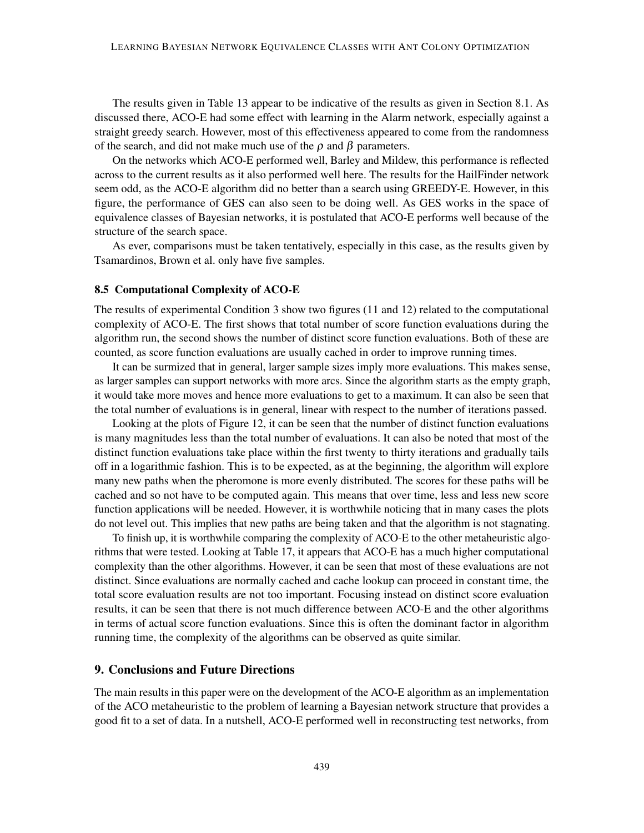The results given in Table [13](#page-34-1) appear to be indicative of the results as given in Section [8.1.](#page-41-0) As discussed there, ACO-E had some effect with learning in the Alarm network, especially against a straight greedy search. However, most of this effectiveness appeared to come from the randomness of the search, and did not make much use of the  $\rho$  and  $\beta$  parameters.

On the networks which ACO-E performed well, Barley and Mildew, this performance is reflected across to the current results as it also performed well here. The results for the HailFinder network seem odd, as the ACO-E algorithm did no better than a search using GREEDY-E. However, in this figure, the performance of GES can also seen to be doing well. As GES works in the space of equivalence classes of Bayesian networks, it is postulated that ACO-E performs well because of the structure of the search space.

As ever, comparisons must be taken tentatively, especially in this case, as the results given by [Tsamardinos, Brown et al.](#page-56-14) only have five samples.

#### 8.5 Computational Complexity of ACO-E

The results of experimental Condition 3 show two figures [\(11](#page-38-0) and [12\)](#page-39-0) related to the computational complexity of ACO-E. The first shows that total number of score function evaluations during the algorithm run, the second shows the number of distinct score function evaluations. Both of these are counted, as score function evaluations are usually cached in order to improve running times.

It can be surmized that in general, larger sample sizes imply more evaluations. This makes sense, as larger samples can support networks with more arcs. Since the algorithm starts as the empty graph, it would take more moves and hence more evaluations to get to a maximum. It can also be seen that the total number of evaluations is in general, linear with respect to the number of iterations passed.

Looking at the plots of Figure [12,](#page-39-0) it can be seen that the number of distinct function evaluations is many magnitudes less than the total number of evaluations. It can also be noted that most of the distinct function evaluations take place within the first twenty to thirty iterations and gradually tails off in a logarithmic fashion. This is to be expected, as at the beginning, the algorithm will explore many new paths when the pheromone is more evenly distributed. The scores for these paths will be cached and so not have to be computed again. This means that over time, less and less new score function applications will be needed. However, it is worthwhile noticing that in many cases the plots do not level out. This implies that new paths are being taken and that the algorithm is not stagnating.

To finish up, it is worthwhile comparing the complexity of ACO-E to the other metaheuristic algorithms that were tested. Looking at Table [17,](#page-40-0) it appears that ACO-E has a much higher computational complexity than the other algorithms. However, it can be seen that most of these evaluations are not distinct. Since evaluations are normally cached and cache lookup can proceed in constant time, the total score evaluation results are not too important. Focusing instead on distinct score evaluation results, it can be seen that there is not much difference between ACO-E and the other algorithms in terms of actual score function evaluations. Since this is often the dominant factor in algorithm running time, the complexity of the algorithms can be observed as quite similar.

# 9. Conclusions and Future Directions

The main results in this paper were on the development of the ACO-E algorithm as an implementation of the ACO metaheuristic to the problem of learning a Bayesian network structure that provides a good fit to a set of data. In a nutshell, ACO-E performed well in reconstructing test networks, from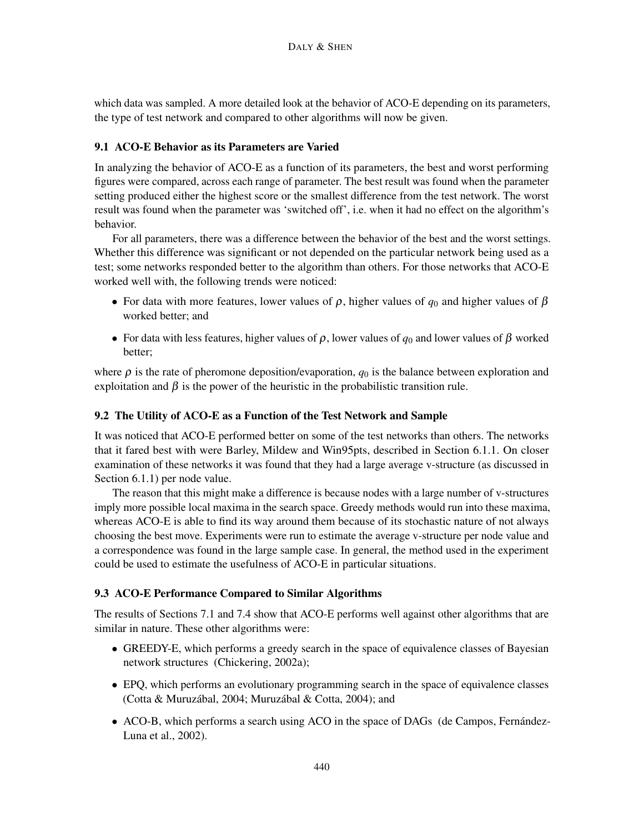which data was sampled. A more detailed look at the behavior of ACO-E depending on its parameters, the type of test network and compared to other algorithms will now be given.

# 9.1 ACO-E Behavior as its Parameters are Varied

In analyzing the behavior of ACO-E as a function of its parameters, the best and worst performing figures were compared, across each range of parameter. The best result was found when the parameter setting produced either the highest score or the smallest difference from the test network. The worst result was found when the parameter was 'switched off', i.e. when it had no effect on the algorithm's behavior.

For all parameters, there was a difference between the behavior of the best and the worst settings. Whether this difference was significant or not depended on the particular network being used as a test; some networks responded better to the algorithm than others. For those networks that ACO-E worked well with, the following trends were noticed:

- For data with more features, lower values of  $\rho$ , higher values of  $q_0$  and higher values of  $\beta$ worked better; and
- For data with less features, higher values of  $\rho$ , lower values of  $q_0$  and lower values of  $\beta$  worked better;

where  $\rho$  is the rate of pheromone deposition/evaporation,  $q_0$  is the balance between exploration and exploitation and  $\beta$  is the power of the heuristic in the probabilistic transition rule.

# <span id="page-49-0"></span>9.2 The Utility of ACO-E as a Function of the Test Network and Sample

It was noticed that ACO-E performed better on some of the test networks than others. The networks that it fared best with were Barley, Mildew and Win95pts, described in Section [6.1.1.](#page-24-0) On closer examination of these networks it was found that they had a large average v-structure (as discussed in Section [6.1.1\)](#page-24-0) per node value.

The reason that this might make a difference is because nodes with a large number of v-structures imply more possible local maxima in the search space. Greedy methods would run into these maxima, whereas ACO-E is able to find its way around them because of its stochastic nature of not always choosing the best move. Experiments were run to estimate the average v-structure per node value and a correspondence was found in the large sample case. In general, the method used in the experiment could be used to estimate the usefulness of ACO-E in particular situations.

# 9.3 ACO-E Performance Compared to Similar Algorithms

The results of Sections [7.1](#page-30-0) and [7.4](#page-31-0) show that ACO-E performs well against other algorithms that are similar in nature. These other algorithms were:

- GREEDY-E, which performs a greedy search in the space of equivalence classes of Bayesian network structures [\(Chickering,](#page-52-2) [2002a\)](#page-52-2);
- EPQ, which performs an evolutionary programming search in the space of equivalence classes [\(Cotta & Muruzábal,](#page-53-11) [2004;](#page-53-11) [Muruzábal & Cotta,](#page-55-11) [2004\)](#page-55-11); and
- ACO-B, which performs a search using ACO in the space of DAGs [\(de Campos, Fernández-](#page-53-2)[Luna et al.,](#page-53-2) [2002\)](#page-53-2).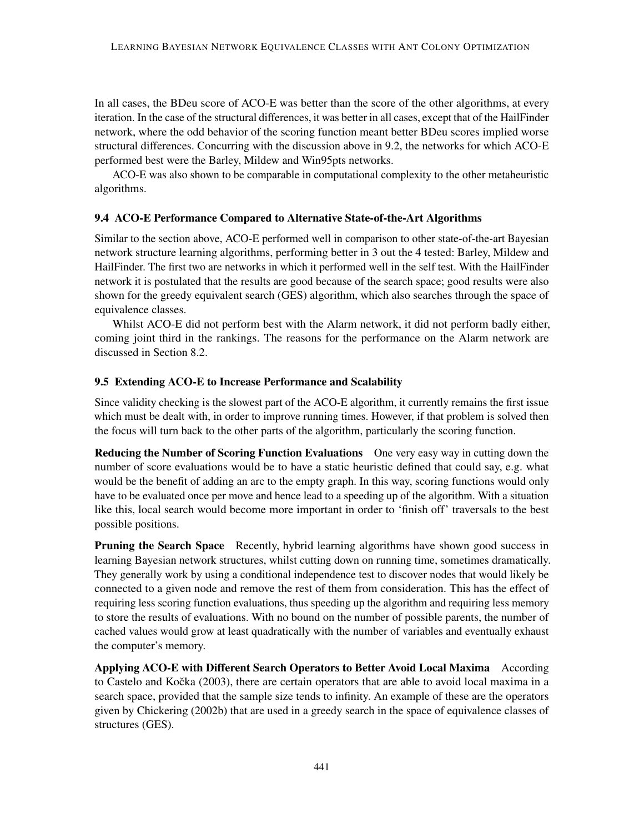In all cases, the BDeu score of ACO-E was better than the score of the other algorithms, at every iteration. In the case of the structural differences, it was better in all cases, except that of the HailFinder network, where the odd behavior of the scoring function meant better BDeu scores implied worse structural differences. Concurring with the discussion above in [9.2,](#page-49-0) the networks for which ACO-E performed best were the Barley, Mildew and Win95pts networks.

ACO-E was also shown to be comparable in computational complexity to the other metaheuristic algorithms.

#### 9.4 ACO-E Performance Compared to Alternative State-of-the-Art Algorithms

Similar to the section above, ACO-E performed well in comparison to other state-of-the-art Bayesian network structure learning algorithms, performing better in 3 out the 4 tested: Barley, Mildew and HailFinder. The first two are networks in which it performed well in the self test. With the HailFinder network it is postulated that the results are good because of the search space; good results were also shown for the greedy equivalent search (GES) algorithm, which also searches through the space of equivalence classes.

Whilst ACO-E did not perform best with the Alarm network, it did not perform badly either, coming joint third in the rankings. The reasons for the performance on the Alarm network are discussed in Section [8.2.](#page-43-0)

# 9.5 Extending ACO-E to Increase Performance and Scalability

Since validity checking is the slowest part of the ACO-E algorithm, it currently remains the first issue which must be dealt with, in order to improve running times. However, if that problem is solved then the focus will turn back to the other parts of the algorithm, particularly the scoring function.

Reducing the Number of Scoring Function Evaluations One very easy way in cutting down the number of score evaluations would be to have a static heuristic defined that could say, e.g. what would be the benefit of adding an arc to the empty graph. In this way, scoring functions would only have to be evaluated once per move and hence lead to a speeding up of the algorithm. With a situation like this, local search would become more important in order to 'finish off' traversals to the best possible positions.

Pruning the Search Space Recently, hybrid learning algorithms have shown good success in learning Bayesian network structures, whilst cutting down on running time, sometimes dramatically. They generally work by using a conditional independence test to discover nodes that would likely be connected to a given node and remove the rest of them from consideration. This has the effect of requiring less scoring function evaluations, thus speeding up the algorithm and requiring less memory to store the results of evaluations. With no bound on the number of possible parents, the number of cached values would grow at least quadratically with the number of variables and eventually exhaust the computer's memory.

Applying ACO-E with Different Search Operators to Better Avoid Local Maxima According to Castelo and Kočka [\(2003\)](#page-52-14), there are certain operators that are able to avoid local maxima in a search space, provided that the sample size tends to infinity. An example of these are the operators given by [Chickering](#page-52-8) [\(2002b\)](#page-52-8) that are used in a greedy search in the space of equivalence classes of structures (GES).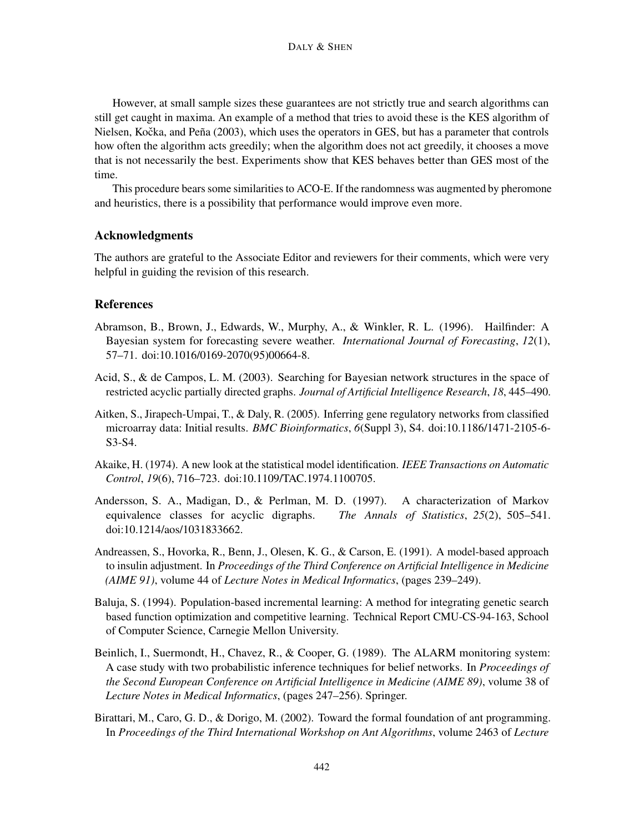However, at small sample sizes these guarantees are not strictly true and search algorithms can still get caught in maxima. An example of a method that tries to avoid these is the KES algorithm of Nielsen, Kočka, and Peña [\(2003\)](#page-55-13), which uses the operators in GES, but has a parameter that controls how often the algorithm acts greedily; when the algorithm does not act greedily, it chooses a move that is not necessarily the best. Experiments show that KES behaves better than GES most of the time.

This procedure bears some similarities to ACO-E. If the randomness was augmented by pheromone and heuristics, there is a possibility that performance would improve even more.

#### Acknowledgments

The authors are grateful to the Associate Editor and reviewers for their comments, which were very helpful in guiding the revision of this research.

#### References

- <span id="page-51-8"></span>Abramson, B., Brown, J., Edwards, W., Murphy, A., & Winkler, R. L. (1996). Hailfinder: A Bayesian system for forecasting severe weather. *International Journal of Forecasting*, *12*(1), 57–71. doi[:10.1016/0169-2070\(95\)00664-8.](http://dx.doi.org/10.1016/0169-2070(95)00664-8)
- <span id="page-51-3"></span>Acid, S., & de Campos, L. M. (2003). Searching for Bayesian network structures in the space of restricted acyclic partially directed graphs. *Journal of Artificial Intelligence Research*, *18*, 445–490.
- <span id="page-51-0"></span>Aitken, S., Jirapech-Umpai, T., & Daly, R. (2005). Inferring gene regulatory networks from classified microarray data: Initial results. *BMC Bioinformatics*, *6*(Suppl 3), S4. doi[:10.1186/1471-2105-6-](http://dx.doi.org/10.1186/1471-2105-6-S3-S4) [S3-S4.](http://dx.doi.org/10.1186/1471-2105-6-S3-S4)
- <span id="page-51-2"></span>Akaike, H. (1974). A new look at the statistical model identification. *IEEE Transactions on Automatic Control*, *19*(6), 716–723. doi[:10.1109/TAC.1974.1100705.](http://dx.doi.org/10.1109/TAC.1974.1100705)
- <span id="page-51-4"></span>Andersson, S. A., Madigan, D., & Perlman, M. D. (1997). A characterization of Markov equivalence classes for acyclic digraphs. *The Annals of Statistics*, *25*(2), 505–541. doi[:10.1214/aos/1031833662.](http://dx.doi.org/10.1214/aos/1031833662)
- <span id="page-51-7"></span>Andreassen, S., Hovorka, R., Benn, J., Olesen, K. G., & Carson, E. (1991). A model-based approach to insulin adjustment. In *Proceedings of the Third Conference on Artificial Intelligence in Medicine (AIME 91)*, volume 44 of *Lecture Notes in Medical Informatics*, (pages 239–249).
- <span id="page-51-6"></span>Baluja, S. (1994). Population-based incremental learning: A method for integrating genetic search based function optimization and competitive learning. Technical Report CMU-CS-94-163, School of Computer Science, Carnegie Mellon University.
- <span id="page-51-5"></span>Beinlich, I., Suermondt, H., Chavez, R., & Cooper, G. (1989). The ALARM monitoring system: A case study with two probabilistic inference techniques for belief networks. In *Proceedings of the Second European Conference on Artificial Intelligence in Medicine (AIME 89)*, volume 38 of *Lecture Notes in Medical Informatics*, (pages 247–256). Springer.
- <span id="page-51-1"></span>Birattari, M., Caro, G. D., & Dorigo, M. (2002). Toward the formal foundation of ant programming. In *Proceedings of the Third International Workshop on Ant Algorithms*, volume 2463 of *Lecture*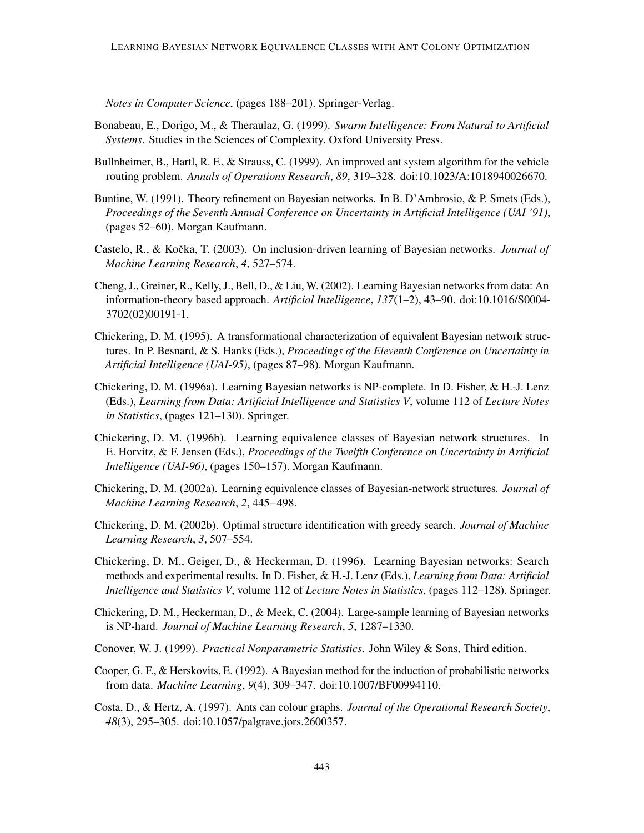*Notes in Computer Science*, (pages 188–201). Springer-Verlag.

- <span id="page-52-11"></span>Bonabeau, E., Dorigo, M., & Theraulaz, G. (1999). *Swarm Intelligence: From Natural to Artificial Systems*. Studies in the Sciences of Complexity. Oxford University Press.
- <span id="page-52-9"></span>Bullnheimer, B., Hartl, R. F., & Strauss, C. (1999). An improved ant system algorithm for the vehicle routing problem. *Annals of Operations Research*, *89*, 319–328. doi[:10.1023/A:1018940026670.](http://dx.doi.org/10.1023/A:1018940026670)
- <span id="page-52-5"></span>Buntine, W. (1991). Theory refinement on Bayesian networks. In B. D'Ambrosio, & P. Smets (Eds.), *Proceedings of the Seventh Annual Conference on Uncertainty in Artificial Intelligence (UAI '91)*, (pages 52–60). Morgan Kaufmann.
- <span id="page-52-14"></span>Castelo, R., & Kočka, T. (2003). On inclusion-driven learning of Bayesian networks. *Journal of Machine Learning Research*, *4*, 527–574.
- <span id="page-52-12"></span>Cheng, J., Greiner, R., Kelly, J., Bell, D., & Liu, W. (2002). Learning Bayesian networks from data: An information-theory based approach. *Artificial Intelligence*, *137*(1–2), 43–90. doi[:10.1016/S0004-](http://dx.doi.org/10.1016/S0004-3702(02)00191-1) [3702\(02\)00191-1.](http://dx.doi.org/10.1016/S0004-3702(02)00191-1)
- <span id="page-52-7"></span>Chickering, D. M. (1995). A transformational characterization of equivalent Bayesian network structures. In P. Besnard, & S. Hanks (Eds.), *Proceedings of the Eleventh Conference on Uncertainty in Artificial Intelligence (UAI-95)*, (pages 87–98). Morgan Kaufmann.
- <span id="page-52-0"></span>Chickering, D. M. (1996a). Learning Bayesian networks is NP-complete. In D. Fisher, & H.-J. Lenz (Eds.), *Learning from Data: Artificial Intelligence and Statistics V*, volume 112 of *Lecture Notes in Statistics*, (pages 121–130). Springer.
- <span id="page-52-6"></span>Chickering, D. M. (1996b). Learning equivalence classes of Bayesian network structures. In E. Horvitz, & F. Jensen (Eds.), *Proceedings of the Twelfth Conference on Uncertainty in Artificial Intelligence (UAI-96)*, (pages 150–157). Morgan Kaufmann.
- <span id="page-52-2"></span>Chickering, D. M. (2002a). Learning equivalence classes of Bayesian-network structures. *Journal of Machine Learning Research*, *2*, 445– 498.
- <span id="page-52-8"></span>Chickering, D. M. (2002b). Optimal structure identification with greedy search. *Journal of Machine Learning Research*, *3*, 507–554.
- <span id="page-52-1"></span>Chickering, D. M., Geiger, D., & Heckerman, D. (1996). Learning Bayesian networks: Search methods and experimental results. In D. Fisher, & H.-J. Lenz (Eds.), *Learning from Data: Artificial Intelligence and Statistics V*, volume 112 of *Lecture Notes in Statistics*, (pages 112–128). Springer.
- <span id="page-52-3"></span>Chickering, D. M., Heckerman, D., & Meek, C. (2004). Large-sample learning of Bayesian networks is NP-hard. *Journal of Machine Learning Research*, *5*, 1287–1330.
- <span id="page-52-13"></span>Conover, W. J. (1999). *Practical Nonparametric Statistics*. John Wiley & Sons, Third edition.
- <span id="page-52-4"></span>Cooper, G. F., & Herskovits, E. (1992). A Bayesian method for the induction of probabilistic networks from data. *Machine Learning*, *9*(4), 309–347. doi[:10.1007/BF00994110.](http://dx.doi.org/10.1007/BF00994110)
- <span id="page-52-10"></span>Costa, D., & Hertz, A. (1997). Ants can colour graphs. *Journal of the Operational Research Society*, *48*(3), 295–305. doi[:10.1057/palgrave.jors.2600357.](http://dx.doi.org/10.1057/palgrave.jors.2600357)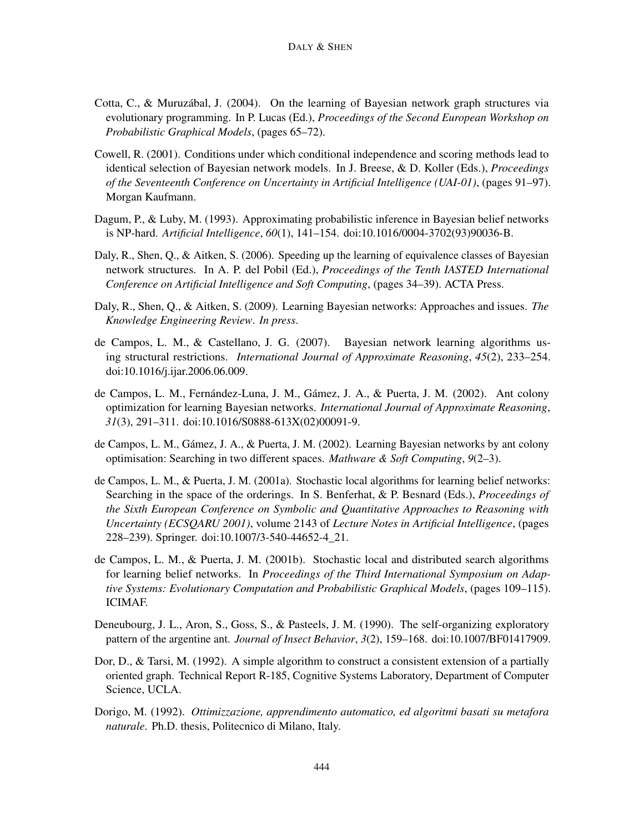- <span id="page-53-11"></span>Cotta, C., & Muruzábal, J. (2004). On the learning of Bayesian network graph structures via evolutionary programming. In P. Lucas (Ed.), *Proceedings of the Second European Workshop on Probabilistic Graphical Models*, (pages 65–72).
- <span id="page-53-3"></span>Cowell, R. (2001). Conditions under which conditional independence and scoring methods lead to identical selection of Bayesian network models. In J. Breese, & D. Koller (Eds.), *Proceedings of the Seventeenth Conference on Uncertainty in Artificial Intelligence (UAI-01)*, (pages 91–97). Morgan Kaufmann.
- <span id="page-53-1"></span>Dagum, P., & Luby, M. (1993). Approximating probabilistic inference in Bayesian belief networks is NP-hard. *Artificial Intelligence*, *60*(1), 141–154. doi[:10.1016/0004-3702\(93\)90036-B.](http://dx.doi.org/10.1016/0004-3702(93)90036-B)
- <span id="page-53-10"></span>Daly, R., Shen, Q., & Aitken, S. (2006). Speeding up the learning of equivalence classes of Bayesian network structures. In A. P. del Pobil (Ed.), *Proceedings of the Tenth IASTED International Conference on Artificial Intelligence and Soft Computing*, (pages 34–39). ACTA Press.
- <span id="page-53-0"></span>Daly, R., Shen, Q., & Aitken, S. (2009). Learning Bayesian networks: Approaches and issues. *The Knowledge Engineering Review*. *In press*.
- <span id="page-53-12"></span>de Campos, L. M., & Castellano, J. G. (2007). Bayesian network learning algorithms using structural restrictions. *International Journal of Approximate Reasoning*, *45*(2), 233–254. doi[:10.1016/j.ijar.2006.06.009.](http://dx.doi.org/10.1016/j.ijar.2006.06.009)
- <span id="page-53-2"></span>de Campos, L. M., Fernández-Luna, J. M., Gámez, J. A., & Puerta, J. M. (2002). Ant colony optimization for learning Bayesian networks. *International Journal of Approximate Reasoning*, *31*(3), 291–311. doi[:10.1016/S0888-613X\(02\)00091-9.](http://dx.doi.org/10.1016/S0888-613X(02)00091-9)
- <span id="page-53-6"></span>de Campos, L. M., Gámez, J. A., & Puerta, J. M. (2002). Learning Bayesian networks by ant colony optimisation: Searching in two different spaces. *Mathware & Soft Computing*, *9*(2–3).
- <span id="page-53-7"></span>de Campos, L. M., & Puerta, J. M. (2001a). Stochastic local algorithms for learning belief networks: Searching in the space of the orderings. In S. Benferhat, & P. Besnard (Eds.), *Proceedings of the Sixth European Conference on Symbolic and Quantitative Approaches to Reasoning with Uncertainty (ECSQARU 2001)*, volume 2143 of *Lecture Notes in Artificial Intelligence*, (pages 228–239). Springer. doi[:10.1007/3-540-44652-4\\_21.](http://dx.doi.org/10.1007/3-540-44652-4_21)
- <span id="page-53-8"></span>de Campos, L. M., & Puerta, J. M. (2001b). Stochastic local and distributed search algorithms for learning belief networks. In *Proceedings of the Third International Symposium on Adaptive Systems: Evolutionary Computation and Probabilistic Graphical Models*, (pages 109–115). ICIMAF.
- <span id="page-53-5"></span>Deneubourg, J. L., Aron, S., Goss, S., & Pasteels, J. M. (1990). The self-organizing exploratory pattern of the argentine ant. *Journal of Insect Behavior*, *3*(2), 159–168. doi[:10.1007/BF01417909.](http://dx.doi.org/10.1007/BF01417909)
- <span id="page-53-9"></span>Dor, D., & Tarsi, M. (1992). A simple algorithm to construct a consistent extension of a partially oriented graph. Technical Report R-185, Cognitive Systems Laboratory, Department of Computer Science, UCLA.
- <span id="page-53-4"></span>Dorigo, M. (1992). *Ottimizzazione, apprendimento automatico, ed algoritmi basati su metafora naturale*. Ph.D. thesis, Politecnico di Milano, Italy.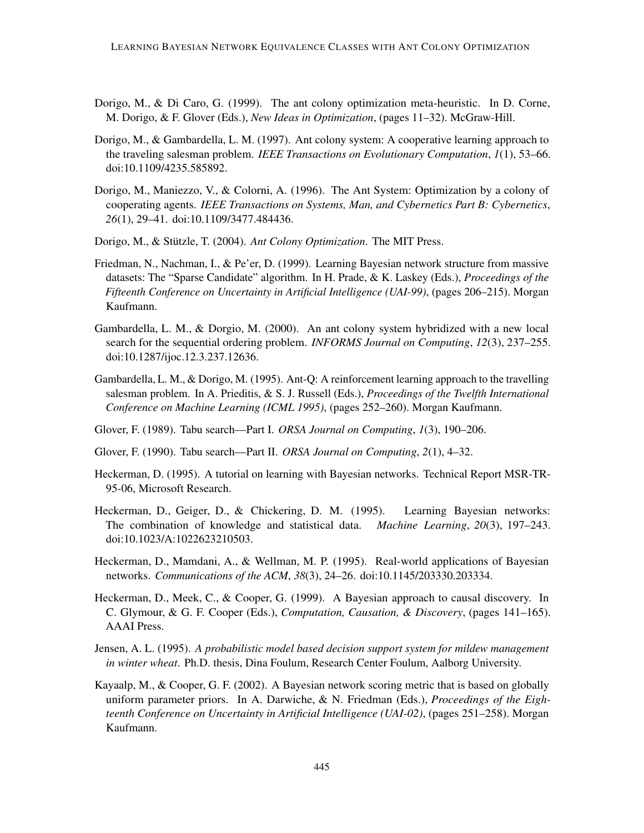- <span id="page-54-8"></span>Dorigo, M., & Di Caro, G. (1999). The ant colony optimization meta-heuristic. In D. Corne, M. Dorigo, & F. Glover (Eds.), *New Ideas in Optimization*, (pages 11–32). McGraw-Hill.
- <span id="page-54-10"></span>Dorigo, M., & Gambardella, L. M. (1997). Ant colony system: A cooperative learning approach to the traveling salesman problem. *IEEE Transactions on Evolutionary Computation*, *1*(1), 53–66. doi[:10.1109/4235.585892.](http://dx.doi.org/10.1109/4235.585892)
- <span id="page-54-9"></span>Dorigo, M., Maniezzo, V., & Colorni, A. (1996). The Ant System: Optimization by a colony of cooperating agents. *IEEE Transactions on Systems, Man, and Cybernetics Part B: Cybernetics*, *26*(1), 29–41. doi[:10.1109/3477.484436.](http://dx.doi.org/10.1109/3477.484436)
- <span id="page-54-4"></span>Dorigo, M., & Stützle, T. (2004). *Ant Colony Optimization*. The MIT Press.
- <span id="page-54-14"></span>Friedman, N., Nachman, I., & Pe'er, D. (1999). Learning Bayesian network structure from massive datasets: The "Sparse Candidate" algorithm. In H. Prade, & K. Laskey (Eds.), *Proceedings of the Fifteenth Conference on Uncertainty in Artificial Intelligence (UAI-99)*, (pages 206–215). Morgan Kaufmann.
- <span id="page-54-7"></span>Gambardella, L. M., & Dorgio, M. (2000). An ant colony system hybridized with a new local search for the sequential ordering problem. *INFORMS Journal on Computing*, *12*(3), 237–255. doi[:10.1287/ijoc.12.3.237.12636.](http://dx.doi.org/10.1287/ijoc.12.3.237.12636)
- <span id="page-54-11"></span>Gambardella, L. M., & Dorigo, M. (1995). Ant-Q: A reinforcement learning approach to the travelling salesman problem. In A. Prieditis, & S. J. Russell (Eds.), *Proceedings of the Twelfth International Conference on Machine Learning (ICML 1995)*, (pages 252–260). Morgan Kaufmann.
- <span id="page-54-2"></span>Glover, F. (1989). Tabu search—Part I. *ORSA Journal on Computing*, *1*(3), 190–206.
- <span id="page-54-3"></span>Glover, F. (1990). Tabu search—Part II. *ORSA Journal on Computing*, *2*(1), 4–32.
- <span id="page-54-5"></span>Heckerman, D. (1995). A tutorial on learning with Bayesian networks. Technical Report MSR-TR-95-06, Microsoft Research.
- <span id="page-54-6"></span>Heckerman, D., Geiger, D., & Chickering, D. M. (1995). Learning Bayesian networks: The combination of knowledge and statistical data. *Machine Learning*, *20*(3), 197–243. doi[:10.1023/A:1022623210503.](http://dx.doi.org/10.1023/A:1022623210503)
- <span id="page-54-0"></span>Heckerman, D., Mamdani, A., & Wellman, M. P. (1995). Real-world applications of Bayesian networks. *Communications of the ACM*, *38*(3), 24–26. doi[:10.1145/203330.203334.](http://dx.doi.org/10.1145/203330.203334)
- <span id="page-54-1"></span>Heckerman, D., Meek, C., & Cooper, G. (1999). A Bayesian approach to causal discovery. In C. Glymour, & G. F. Cooper (Eds.), *Computation, Causation, & Discovery*, (pages 141–165). AAAI Press.
- <span id="page-54-12"></span>Jensen, A. L. (1995). *A probabilistic model based decision support system for mildew management in winter wheat*. Ph.D. thesis, Dina Foulum, Research Center Foulum, Aalborg University.
- <span id="page-54-13"></span>Kayaalp, M., & Cooper, G. F. (2002). A Bayesian network scoring metric that is based on globally uniform parameter priors. In A. Darwiche, & N. Friedman (Eds.), *Proceedings of the Eighteenth Conference on Uncertainty in Artificial Intelligence (UAI-02)*, (pages 251–258). Morgan Kaufmann.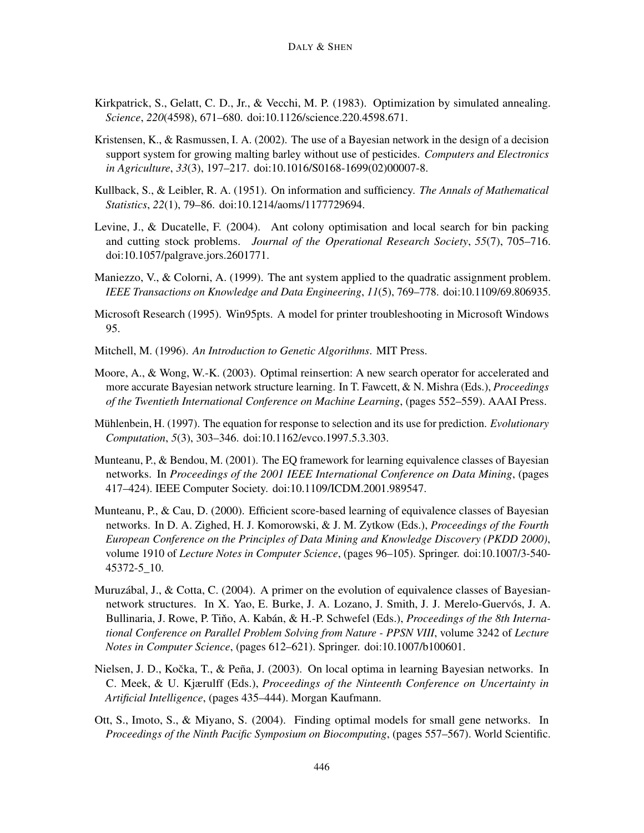- <span id="page-55-6"></span>Kirkpatrick, S., Gelatt, C. D., Jr., & Vecchi, M. P. (1983). Optimization by simulated annealing. *Science*, *220*(4598), 671–680. doi[:10.1126/science.220.4598.671.](http://dx.doi.org/10.1126/science.220.4598.671)
- <span id="page-55-9"></span>Kristensen, K., & Rasmussen, I. A. (2002). The use of a Bayesian network in the design of a decision support system for growing malting barley without use of pesticides. *Computers and Electronics in Agriculture*, *33*(3), 197–217. doi[:10.1016/S0168-1699\(02\)00007-8.](http://dx.doi.org/10.1016/S0168-1699(02)00007-8)
- <span id="page-55-2"></span>Kullback, S., & Leibler, R. A. (1951). On information and sufficiency. *The Annals of Mathematical Statistics*, *22*(1), 79–86. doi[:10.1214/aoms/1177729694.](http://dx.doi.org/10.1214/aoms/1177729694)
- <span id="page-55-4"></span>Levine, J., & Ducatelle, F. (2004). Ant colony optimisation and local search for bin packing and cutting stock problems. *Journal of the Operational Research Society*, *55*(7), 705–716. doi[:10.1057/palgrave.jors.2601771.](http://dx.doi.org/10.1057/palgrave.jors.2601771)
- <span id="page-55-5"></span>Maniezzo, V., & Colorni, A. (1999). The ant system applied to the quadratic assignment problem. *IEEE Transactions on Knowledge and Data Engineering*, *11*(5), 769–778. doi[:10.1109/69.806935.](http://dx.doi.org/10.1109/69.806935)
- <span id="page-55-10"></span>Microsoft Research (1995). Win95pts. A model for printer troubleshooting in Microsoft Windows 95.
- <span id="page-55-0"></span>Mitchell, M. (1996). *An Introduction to Genetic Algorithms*. MIT Press.
- <span id="page-55-12"></span>Moore, A., & Wong, W.-K. (2003). Optimal reinsertion: A new search operator for accelerated and more accurate Bayesian network structure learning. In T. Fawcett, & N. Mishra (Eds.), *Proceedings of the Twentieth International Conference on Machine Learning*, (pages 552–559). AAAI Press.
- <span id="page-55-7"></span>Mühlenbein, H. (1997). The equation for response to selection and its use for prediction. *Evolutionary Computation*, *5*(3), 303–346. doi[:10.1162/evco.1997.5.3.303.](http://dx.doi.org/10.1162/evco.1997.5.3.303)
- <span id="page-55-3"></span>Munteanu, P., & Bendou, M. (2001). The EQ framework for learning equivalence classes of Bayesian networks. In *Proceedings of the 2001 IEEE International Conference on Data Mining*, (pages 417–424). IEEE Computer Society. doi[:10.1109/ICDM.2001.989547.](http://dx.doi.org/10.1109/ICDM.2001.989547)
- <span id="page-55-8"></span>Munteanu, P., & Cau, D. (2000). Efficient score-based learning of equivalence classes of Bayesian networks. In D. A. Zighed, H. J. Komorowski, & J. M. Zytkow (Eds.), *Proceedings of the Fourth European Conference on the Principles of Data Mining and Knowledge Discovery (PKDD 2000)*, volume 1910 of *Lecture Notes in Computer Science*, (pages 96–105). Springer. doi[:10.1007/3-540-](http://dx.doi.org/10.1007/3-540-45372-5_10) [45372-5\\_10.](http://dx.doi.org/10.1007/3-540-45372-5_10)
- <span id="page-55-11"></span>Muruzábal, J., & Cotta, C. (2004). A primer on the evolution of equivalence classes of Bayesiannetwork structures. In X. Yao, E. Burke, J. A. Lozano, J. Smith, J. J. Merelo-Guervós, J. A. Bullinaria, J. Rowe, P. Tiňo, A. Kabán, & H.-P. Schwefel (Eds.), *Proceedings of the 8th International Conference on Parallel Problem Solving from Nature - PPSN VIII*, volume 3242 of *Lecture Notes in Computer Science*, (pages 612–621). Springer. doi[:10.1007/b100601.](http://dx.doi.org/10.1007/b100601)
- <span id="page-55-13"></span>Nielsen, J. D., Kočka, T., & Peña, J. (2003). On local optima in learning Bayesian networks. In C. Meek, & U. Kjærulff (Eds.), *Proceedings of the Ninteenth Conference on Uncertainty in Artificial Intelligence*, (pages 435–444). Morgan Kaufmann.
- <span id="page-55-1"></span>Ott, S., Imoto, S., & Miyano, S. (2004). Finding optimal models for small gene networks. In *Proceedings of the Ninth Pacific Symposium on Biocomputing*, (pages 557–567). World Scientific.